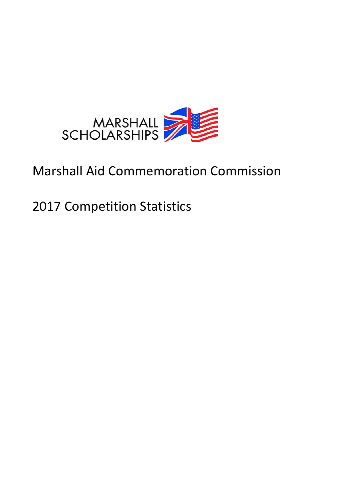

# Marshall Aid Commemoration Commission

2017 Competition Statistics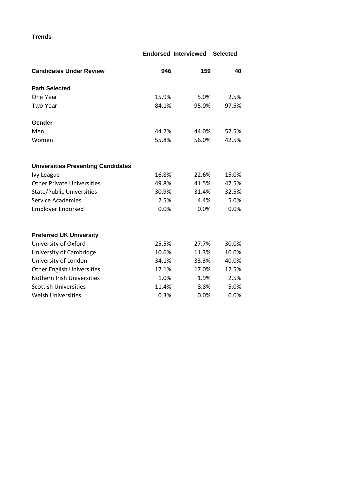**Trends**

|                                           |       | <b>Endorsed Interviewed</b> | <b>Selected</b> |
|-------------------------------------------|-------|-----------------------------|-----------------|
| <b>Candidates Under Review</b>            | 946   | 159                         | 40              |
| <b>Path Selected</b>                      |       |                             |                 |
| One Year                                  | 15.9% | 5.0%                        | 2.5%            |
| Two Year                                  | 84.1% | 95.0%                       | 97.5%           |
| Gender                                    |       |                             |                 |
| Men                                       | 44.2% | 44.0%                       | 57.5%           |
| Women                                     | 55.8% | 56.0%                       | 42.5%           |
| <b>Universities Presenting Candidates</b> |       |                             |                 |
| <b>Ivy League</b>                         | 16.8% | 22.6%                       | 15.0%           |
| <b>Other Private Universities</b>         | 49.8% | 41.5%                       | 47.5%           |
| <b>State/Public Universities</b>          | 30.9% | 31.4%                       | 32.5%           |
| <b>Service Academies</b>                  | 2.5%  | 4.4%                        | 5.0%            |
| <b>Employer Endorsed</b>                  | 0.0%  | 0.0%                        | 0.0%            |
| <b>Preferred UK University</b>            |       |                             |                 |
| University of Oxford                      | 25.5% | 27.7%                       | 30.0%           |
| University of Cambridge                   | 10.6% | 11.3%                       | 10.0%           |
| University of London                      | 34.1% | 33.3%                       | 40.0%           |
| <b>Other English Universities</b>         | 17.1% | 17.0%                       | 12.5%           |
| Nothern Irish Universities                | 1.0%  | 1.9%                        | 2.5%            |
| <b>Scottish Universities</b>              | 11.4% | 8.8%                        | 5.0%            |
| <b>Welsh Universities</b>                 | 0.3%  | 0.0%                        | 0.0%            |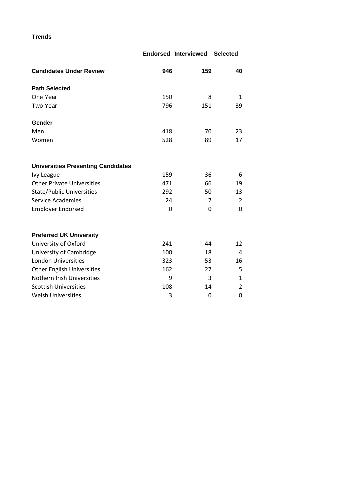**Trends**

|                                           |     | <b>Endorsed Interviewed</b> | <b>Selected</b> |
|-------------------------------------------|-----|-----------------------------|-----------------|
| <b>Candidates Under Review</b>            | 946 | 159                         | 40              |
| <b>Path Selected</b>                      |     |                             |                 |
| One Year                                  | 150 | 8                           | $\mathbf{1}$    |
| Two Year                                  | 796 | 151                         | 39              |
| Gender                                    |     |                             |                 |
| Men                                       | 418 | 70                          | 23              |
| Women                                     | 528 | 89                          | 17              |
| <b>Universities Presenting Candidates</b> |     |                             |                 |
| Ivy League                                | 159 | 36                          | 6               |
| <b>Other Private Universities</b>         | 471 | 66                          | 19              |
| <b>State/Public Universities</b>          | 292 | 50                          | 13              |
| <b>Service Academies</b>                  | 24  | 7                           | $\overline{2}$  |
| <b>Employer Endorsed</b>                  | 0   | 0                           | 0               |
| <b>Preferred UK University</b>            |     |                             |                 |
| University of Oxford                      | 241 | 44                          | 12              |
| University of Cambridge                   | 100 | 18                          | 4               |
| <b>London Universities</b>                | 323 | 53                          | 16              |
| <b>Other English Universities</b>         | 162 | 27                          | 5               |
| Nothern Irish Universities                | 9   | 3                           | $\mathbf{1}$    |
| <b>Scottish Universities</b>              | 108 | 14                          | $\overline{2}$  |
| <b>Welsh Universities</b>                 | 3   | 0                           | 0               |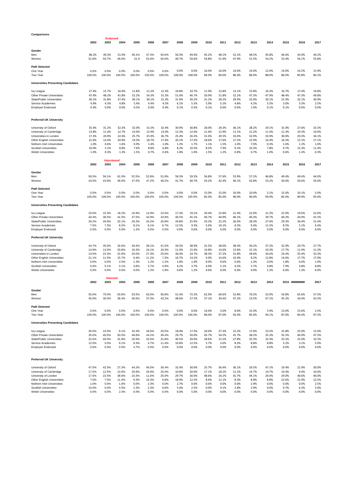| Comparisons                                                 |                |                            |                |                |                |                |                |                |                |                |                |                |                |                |                |                |
|-------------------------------------------------------------|----------------|----------------------------|----------------|----------------|----------------|----------------|----------------|----------------|----------------|----------------|----------------|----------------|----------------|----------------|----------------|----------------|
|                                                             |                | <b>Endorsed</b>            |                |                |                |                |                |                |                |                |                |                |                |                |                |                |
|                                                             | 2002           | 2003                       | 2004           | 2005           | 2006           | 2007           | 2008           | 2009           | 2010           | 2011           | 2012           | 2013           | 2014           | 2015           | 2016           | 2017           |
| Gender                                                      |                |                            |                |                |                |                |                |                |                |                |                |                |                |                |                |                |
| Men                                                         | 48.2%          | 49.3%                      | 51.0%          | 48.1%          | 47.4%          | 50.0%          | 50.3%          | 49.4%          | 45.2%          | 48.1%          | 52.1%          | 48.5%          | 45.8%          | 46.6%          | 43.9%          | 44.2%          |
| Women                                                       | 51.8%          | 50.7%                      | 49.0%          | 51.9           | 52.6%          | 50.0%          | 49.7%          | 50.6%          | 54.8%          | 51.9%          | 47.9%          | 51.5%          | 54.2%          | 53.4%          | 56.1%          | 55.8%          |
| <b>Path Selected</b>                                        |                |                            |                |                |                |                |                |                |                |                |                |                |                |                |                |                |
| One Year                                                    | 0.0%           | 0.0%                       | 0.0%           | 0.0%           | 0.0%           | 0.0%           | 0.0%           | 0.0%           | 16.0%          | 16.0%          | 14.0%          | 14.0%          | 12.0%          | 14.0%          | 14.2%          | 15.9%          |
| Two Year                                                    | 100.0%         | 100.0%                     | 100.0%         | 100.0%         | 100.0%         | 100.0%         | 100.0%         | 100.0%         | 84.0%          | 84.0%          | 86.0%          | 86.0%          | 88.0%          | 86.0%          | 85.8%          | 84.1%          |
|                                                             |                |                            |                |                |                |                |                |                |                |                |                |                |                |                |                |                |
| <b>Universities Presenting Candidates</b>                   |                |                            |                |                |                |                |                |                |                |                |                |                |                |                |                |                |
| Ivy League                                                  | 17.4%          | 15.7%                      | 16.0%          | 11.8%          | 11.2%          | 12.3%          | 10.8%          | 10.7%          | 11.9%          | 12.8%          | 13.1%          | 15.8%          | 16.3%          | 16.7%          | 17.4%          | 16.8%          |
| <b>Other Private Universities</b>                           | 47.4%          | 48.2%                      | 41.8%          | 52.2%          | 54.3%          | 51.5%          | 51.0%          | 46.7%          | 50.9%          | 51.8%          | 52.2%          | 47.3%          | 47.9%          | 48.4%          | 47.3%          | 49.8%          |
| <b>State/Public Universities</b>                            | 30.1%          | 31.8%                      | 37.4%          | 30.1%          | 30.1%          | 31.3%          | 31.9%          | 30.2%          | 31.2%          | 30.2%          | 29.9%          | 32.0%          | 30.1%          | 31.9%          | 32.1%          | 30.9%          |
| Service Academies                                           | 4.9%           | 4.3%                       | 4.8%           | 5.4%           | 4.4%           | 4.5%           | 6.1%           | 5.3%           | 5.9%           | 5.2%           | 4.8%           | 4.2%           | 5.5%           | 3.0%           | 3.3%           | 2.5%           |
| <b>Employer Endorsed</b>                                    | 0.4%           | 0.0%                       | 0.0%           | 0.5%           | 0.0%           | 0.4%           | 0.1%           | 0.3%           | 0.1%           | 0.0%           | 0.0%           | 1.0%           | 0.1%           | 0.1%           | 0.0%           | 0.0%           |
|                                                             |                |                            |                |                |                |                |                |                |                |                |                |                |                |                |                |                |
| <b>Preferred UK University</b>                              |                |                            |                |                |                |                |                |                |                |                |                |                |                |                |                |                |
|                                                             |                |                            |                |                |                |                |                |                |                |                |                |                |                |                |                |                |
| University of Oxford                                        | 35.4%          | 31.2%                      | 32.3%          | 32.0%          | 31.5%          | 32.4%          | 30.9%          | 30.8%          | 28.0%          | 29.3%          | 36.1%          | 28.2%          | 29.1%          | 31.0%          | 27.6%          | 25.5%          |
| University of Cambridge                                     | 13.8%<br>17.3% | 11.4%<br>20.9%             | 12.7%<br>22.6% | 13.0%<br>25.7% | 12.9%<br>25.9% | 13.0%<br>26.7% | 12.3%<br>25.4% | 12.4%<br>26.3% | 11.4%<br>31.0% | 12.9%<br>29.5% | 11.1%<br>33.0% | 11.2%<br>32.9% | 11.4%<br>33.9% | 11.3%<br>30.0% | 10.3%<br>29.3% | 10.6%<br>34.1% |
| Universities in London<br><b>Other English Universities</b> | 21.6%          | 14.4%                      | 20.9%          | 19.3%          | 18.7%          | 17.6%          | 20.1%          | 17.5%          | 18.6%          | 17.6%          | 17.5%          | 15.9%          | 16.4%          | 16.3%          | 15.1%          | 17.1%          |
| Nothern Irish Universities                                  | 1.0%           | 0.6%                       | 1.6%           | 0.9%           | 1.4%           | 1.0%           | 1.2%           | 1.7%           | 1.1%           | 1.5%           | 1.0%           | 7.0%           | 0.3%           | 1.0%           | 1.2%           | 1.0%           |
| Scottish Universities                                       | 10.0%          | 5.1%                       | 8.8%           | 7.6%           | 8.8%           | 6.8%           | 8.2%           | 10.3%          | 8.3%           | 7.9%           | 9.1%           | 10.3%          | 7.8%           | 9.7%           | 15.3%          | 11.4%          |
| <b>Welsh Universities</b>                                   | 1.0%           | 0.3%                       | 1.3%           | 1.5%           | 0.7%           | 0.6%           | 1.8%           | 1.0%           | 1.5%           | 1.2%           | 0.8%           | 0.7%           | 1.0%           | 0.6%           | 1.3%           | 0.3%           |
|                                                             |                |                            |                |                |                |                |                |                |                |                |                |                |                |                |                |                |
|                                                             | 2002           | <b>Interviewed</b><br>2003 | 2004           | 2005           | 2006           | 2007           | 2008           | 2009           | 2010           | 2011           | 2012           | 2013           | 2014           | 2015           | 2016           | 2017           |
|                                                             |                |                            |                |                |                |                |                |                |                |                |                |                |                |                |                |                |
| Gender                                                      |                |                            |                |                |                |                |                |                |                |                |                |                |                |                |                |                |
| Men                                                         | 56.5%          | 56.1%                      | 61.0%          | 52.5%          | 52.8%          | 51.8%          | 58.3%          | 59.3%          | 56.8%          | 57.6%          | 53.9%          | 57.2%          | 46.8%          | 49.4%          | 49.4%          | 44.0%          |
| Women                                                       | 43.5%          | 43.9%                      | 39.0%          | 47.5%          | 47.2%          | 48.2%          | 41.7%          | 40.7%          | 43.2%          | 42.4%          | 46.1%          | 42.8%          | 53.2%          | 50.6%          | 50.6%          | 56.0%          |
| <b>Path Selected</b>                                        |                |                            |                |                |                |                |                |                |                |                |                |                |                |                |                |                |
| One Year                                                    | 0.0%           | 0.0%                       | 0.0%           | 0.0%           | 0.0%           | 0.0%           | 0.0%           | 0.0%           | 15.0%          | 15.0%          | 10.0%          | 10.0%          | 5.1%           | 15.0%          | 10.1%          | 5.0%           |
| Two Year                                                    | 100.0%         | 100.0%                     | 100.0%         | 100.0%         | 100.0%         | 100.0%         | 100.0%         | 100.0%         | 85.0%          | 85.0%          | 90.0%          | 90.0%          | 94.9%          | 85.0%          | 89.9%          | 95.0%          |
|                                                             |                |                            |                |                |                |                |                |                |                |                |                |                |                |                |                |                |
| <b>Universities Presenting Candidates</b>                   |                |                            |                |                |                |                |                |                |                |                |                |                |                |                |                |                |
| Ivy League                                                  | 23.0%          | 15.3%                      | 18.2%          | 16.9%          | 14.9%          | 22.6%          | 17.3%          | 19.1%          | 20.4%          | 22.8%          | 21.4%          | 22.0%          | 21.2%          | 22.0%          | 19.6%          | 22.6%          |
| Other Private Universities                                  | 40.4%          | 36.5%                      | 41.5%          | 47.5%          | 42.9%          | 43.9%          | 40.5%          | 45.1%          | 40.7%          | 44.9%          | 46.1%          | 40.3%          | 39.7%          | 40.2%          | 44.9%          | 41.5%          |
| <b>State/Public Universities</b>                            | 29.2%          | 40.9%                      | 32.1%          | 26.3%          | 34.2%          | 26.8%          | 29.8%          | 25.9%          | 33.3%          | 22.2%          | 26.0%          | 28.3%          | 27.6%          | 29.3%          | 30.4%          | 31.4%          |
| Service Academies                                           | 7.5%           | 7.3%                       | 8.2%           | 8.1%           | 8.1%           | 6.7%           | 12.5%          | 9.3%           | 5.6%           | 10.1%          | 6.5%           | 9.4%           | 11.5%          | 8.5%           | 5.1%           | 4.4%           |
| <b>Employer Endorsed</b>                                    | 0.0%           | 0.0%                       | 0.0%           | 1.3%           | 0.0%           | 0.0%           | 0.0%           | 0.6%           | 0.0%           | 0.0%           | 0.0%           | 0.0%           | 0.0%           | 0.0%           | 0.0%           | 0.0%           |
| <b>Preferred UK University</b>                              |                |                            |                |                |                |                |                |                |                |                |                |                |                |                |                |                |
|                                                             |                |                            |                |                |                |                |                |                |                |                |                |                |                |                |                |                |
| University of Oxford                                        | 44.7%          | 35.0%                      | 34.6%          | 49.4%          | 39.1%          | 41.5%          | 34.5%          | 38.9%          | 31.5%          | 38.0%          | 38.3%          | 30.2%          | 37.2%          | 32.9%          | 29.7%          | 27.7%          |
| University of Cambridge                                     | 14.9%          | 14.0%                      | 20.8%          | 16.3%          | 16.1%          | 18.3%          | 11.9%          | 15.4%          | 14.8%          | 14.6%          | 13.6%          | 15.1%          | 10.3%          | 17.7%          | 11.4%          | 11.3%          |
| Universities in London                                      | 13.0%          | 22.3%                      | 22.6%          | 20.0%          | 27.3%          | 25.0%          | 30.4%          | 24.7%          | 38.3%          | 27.2%          | 31.8%          | 39.6%          | 34.6%          | 24.4%          | 35.4%          | 33.3%          |
| Other English Universities<br>Nothern Irish Universities    | 21.1%<br>0.6%  | 11.5%<br>0.0%              | 15.7%<br>2.5%  | 9.4%<br>1.3%   | 11.2%<br>1.2%  | 7.3%<br>1.2%   | 16.7%<br>1.8%  | 14.2%<br>1.9%  | 9.9%<br>0.0%   | 14.6%<br>0.6%  | 10.4%<br>0.6%  | 8.2%<br>1.3%   | 12.8%<br>0.0%  | 14.6%<br>1.8%  | 17.7%<br>0.6%  | 17.0%<br>1.9%  |
| <b>Scottish Universities</b>                                | 5.6%           | 5.1%                       | 3.1%           | 3.8%           | 3.7%           | 4.9%           | 4.2%           | 3.7%           | 4.9%           | 5.1%           | 4.5%           | 5.7%           | 3.8%           | 7.9%           | 3.8%           | 8.8%           |
| <b>Welsh Universities</b>                                   | 0.0%           | 0.0%                       | 0.6%           | 0.0%           | 1.2%           | 1.8%           | 0.6%           | 1.2%           | 0.6%           | 0.0%           | 0.6%           | 0.0%           | 1.3%           | 0.6%           | 1.3%           | 0.0%           |
|                                                             |                |                            |                |                |                |                |                |                |                |                |                |                |                |                |                |                |
|                                                             |                | <b>Selected</b>            |                |                |                | 2007           |                |                |                |                |                |                |                |                |                |                |
|                                                             | 2002           | 2003                       | 2004           | 2005           | 2006           |                | 2008           | 2009           | 2010           | 2011           | 2012           | 2013           | 2014           |                | 2015 ######### | 2017           |
| Gender                                                      |                |                            |                |                |                |                |                |                |                |                |                |                |                |                |                |                |
| Men                                                         | 55.0%          | 70.0%                      | 63.6%          | 53.5%          | 63.0%          | 56.8%          | 51.4%          | 72.5%          | 62.9%          | 60.6%          | 52.8%          | 76.5%          | 52.9%          | 54.8%          | 65.6%          | 57.5%          |
| Women                                                       | 45.0%          | 30.0%                      | 36.            | л.             | 37.09          | 43.2%          | 48.6%          | つフ             | 37.1%          | 20. UN         | .2%            | 23.5%          |                | 15             | 34.4%          | 42.5%          |
|                                                             |                |                            |                |                |                |                |                |                |                |                |                |                |                |                |                |                |
| <b>Path Selected</b><br>One Year                            | 0.0%           | 0.0%                       | 0.0%           | 0.0%           | 0.0%           | 0.0%           | 0.0%           | 0.0%           | 14.0%          | 3.0%           | 8.0%           | 15.0%          | 5.9%           | 13.0%          | 15.6%          | 2.5%           |
| Two Year                                                    | 100.0%         | 100.0%                     | 100.0%         | 100.0%         | 100.0%         | 100.0%         | 100.0%         | 100.0%         | 86.0%          | 97.0%          | 92.0%          | 85.0%          | 94.1%          | 87.0%          | 84.4%          | 97.5%          |
|                                                             |                |                            |                |                |                |                |                |                |                |                |                |                |                |                |                |                |
| <b>Universities Presenting Candidates</b>                   |                |                            |                |                |                |                |                |                |                |                |                |                |                |                |                |                |
| Ivy League                                                  | 30.0%          | 15.0%                      | 9.1%           | 16.3%          | 18.6%          | 20.5%          | 18.9%          | 17.5%          | 20.0%          | 27.3%          | 22.2%          | 17.6%          | 23.5%          | 25.8%          | 25.0%          | 15.0%          |
| <b>Other Private Universities</b>                           | 35.0%          | 40.0%                      | 50.0%          | 48.8%          | 44.2%          | 36.4%          | 29.7%          | 50.0%          | 45.7%          | 54.5%          | 41.7%          | 38.2%          | 35.3%          | 35.5%          | 46.9%          | 47.5%          |
| <b>State/Public Universities</b>                            | 22.5%          | 40.0%                      | 31.8%          | 20.9%          | 32.6%          | 31.8%          | 40.5%          | 20.0%          | 28.6%          | 15.2%          | 27.8%          | 35.3%          | 32.4%          | 35.5%          | 25.0%          | 32.5%          |
| Service Academies                                           | 12.5%          | 5.0%                       | 9.1%           | 9.3%           | 4.7%           | 11.4%          | 10.8%          | 12.5%          | 5.7%           | 3.0%           | 8.3%           | 8.8%           | 8.8%           | 3.2%           | 3.1%           | 5.0%           |
| <b>Employer Endorsed</b>                                    | 0.0%           | 0.0%                       | 0.0%           | 4.7%           | 0.0%           | 0.0%           | 0.0%           | 0.0%           | 0.0%           | 0.0%           | 0.0%           | 0.0%           | 0.0%           | 0.0%           | 0.0%           | 0.0%           |
|                                                             |                |                            |                |                |                |                |                |                |                |                |                |                |                |                |                |                |
| <b>Preferred UK University</b>                              |                |                            |                |                |                |                |                |                |                |                |                |                |                |                |                |                |
|                                                             |                |                            |                |                |                |                |                |                |                |                |                |                |                |                |                |                |
| University of Oxford                                        | 47.5%          | 42.5%                      | 27.3%          | 44.2%          | 46.5%          | 36.4%          | 32.4%          | 30.0%          | 25.7%          | 36.4%          | 36.1%          | 26.5%          | 47.1%          | 19.4%          | 21.9%          | 30.0%          |
| University of Cambridge                                     | 17.5%          | 12.5%                      | 13.6%          | 20.9%          | 20.9%          | 25.0%          | 10.8%          | 20.0%          | 17.1%          | 18.2%          | 11.1%          | 14.7%          | 14.7%          | 19.4%          | 9.4%           | 10.0%          |
| University of London<br>Other English Universities          | 17.5%<br>7.5%  | 22.5%<br>7.5%              | 38.6%<br>11.4% | 23.3%<br>9.3%  | 11.6%<br>16.3% | 25.0%<br>6.8%  | 29.7%<br>18.9% | 30.0%<br>12.5% | 48.6%<br>8.6%  | 24.2%<br>12.1% | 41.7%<br>8.3%  | 44.1%<br>8.8%  | 29.4%<br>8.8%  | 29.0%<br>22.6% | 40.6%<br>21.9% | 40.0%<br>12.5% |
| Nothern Irish Universities                                  | 1.0%           | 0.0%                       | 1.6%           | 0.0%           | 2.3%           | 0.0%           | 2.7%           | 0.0%           | 0.0%           | 0.0%           | 0.0%           | 2.9%           | 0.0%           | 0.0%           | 0.0%           | 2.5%           |
| <b>Scottish Universities</b>                                | 10.0%          | 5.0%                       | 4.5%           | 2.3%           | 2.3%           | 6.8%           | 5.4%           | 2.5%           | 0.0%           | 9.1%           | 2.8%           | 2.9%           | 0.0%           | 9.7%           | 6.3%           | 5.0%           |
| <b>Welsh Universities</b>                                   | 0.0%           | 0.0%                       | 2.3%           | 0.0%           | 0.0%           | 0.0%           | 0.0%           | 5.0%           | 0.0%           | 0.0%           | 0.0%           | 0.0%           | 0.0%           | 0.0%           | 0.0%           | 0.0%           |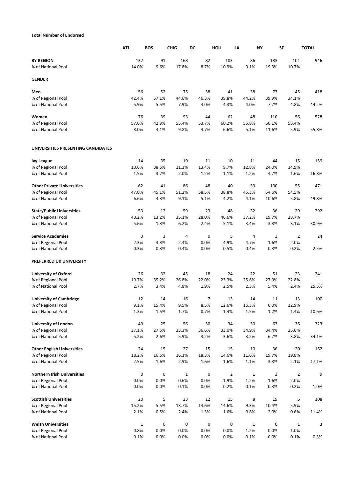## **Total Number of Endorsed**

|                                    | <b>ATL</b>   | <b>BOS</b> | <b>CHIG</b>  | DC    | HOU            | LA           | NY    | <b>SF</b>      | <b>TOTAL</b> |
|------------------------------------|--------------|------------|--------------|-------|----------------|--------------|-------|----------------|--------------|
| <b>BY REGION</b>                   | 132          | 91         | 168          | 82    | 103            | 86           | 183   | 101            | 946          |
| % of National Pool                 | 14.0%        | 9.6%       | 17.8%        | 8.7%  | 10.9%          | 9.1%         | 19.3% | 10.7%          |              |
| <b>GENDER</b>                      |              |            |              |       |                |              |       |                |              |
| Men                                | 56           | 52         | 75           | 38    | 41             | 38           | 73    | 45             | 418          |
| % of Regional Pool                 | 42.4%        | 57.1%      | 44.6%        | 46.3% | 39.8%          | 44.2%        | 39.9% | 34.1%          |              |
| % of National Pool                 | 5.9%         | 5.5%       | 7.9%         | 4.0%  | 4.3%           | 4.0%         | 7.7%  | 4.8%           | 44.2%        |
| Women                              | 76           | 39         | 93           | 44    | 62             | 48           | 110   | 56             | 528          |
| % of Regional Pool                 | 57.6%        | 42.9%      | 55.4%        | 53.7% | 60.2%          | 55.8%        | 60.1% | 55.4%          |              |
| % of National Pool                 | 8.0%         | 4.1%       | 9.8%         | 4.7%  | 6.6%           | 5.1%         | 11.6% | 5.9%           | 55.8%        |
| UNIVERSITIES PRESENTING CANDIDATES |              |            |              |       |                |              |       |                |              |
| <b>Ivy League</b>                  | 14           | 35         | 19           | 11    | 10             | 11           | 44    | 15             | 159          |
| % of Regional Pool                 | 10.6%        | 38.5%      | 11.3%        | 13.4% | 9.7%           | 12.8%        | 24.0% | 14.9%          |              |
| % of National Pool                 | 1.5%         | 3.7%       | 2.0%         | 1.2%  | 1.1%           | 1.2%         | 4.7%  | 1.6%           | 16.8%        |
| <b>Other Private Universities</b>  | 62           | 41         | 86           | 48    | 40             | 39           | 100   | 55             | 471          |
| % of Regional Pool                 | 47.0%        | 45.1%      | 51.2%        | 58.5% | 38.8%          | 45.3%        | 54.6% | 54.5%          |              |
| % of National Pool                 | 6.6%         | 4.3%       | 9.1%         | 5.1%  | 4.2%           | 4.1%         | 10.6% | 5.8%           | 49.8%        |
| <b>State/Public Universities</b>   | 53           | 12         | 59           | 23    | 48             | 32           | 36    | 29             | 292          |
| % of Regional Pool                 | 40.2%        | 13.2%      | 35.1%        | 28.0% | 46.6%          | 37.2%        | 19.7% | 28.7%          |              |
| % of National Pool                 | 5.6%         | 1.3%       | 6.2%         | 2.4%  | 5.1%           | 3.4%         | 3.8%  | 3.1%           | 30.9%        |
| <b>Service Academies</b>           | 3            | 3          | 4            | 0     | 5              | 4            | 3     | $\overline{2}$ | 24           |
| % of Regional Pool                 | 2.3%         | 3.3%       | 2.4%         | 0.0%  | 4.9%           | 4.7%         | 1.6%  | 2.0%           |              |
| % of National Pool                 | 0.3%         | 0.3%       | 0.4%         | 0.0%  | 0.5%           | 0.4%         | 0.3%  | 0.2%           | 2.5%         |
| PREFERRED UK UNIVERSITY            |              |            |              |       |                |              |       |                |              |
| <b>University of Oxford</b>        | 26           | 32         | 45           | 18    | 24             | 22           | 51    | 23             | 241          |
| % of Regional Pool                 | 19.7%        | 35.2%      | 26.8%        | 22.0% | 23.3%          | 25.6%        | 27.9% | 22.8%          |              |
| % of National Pool                 | 2.7%         | 3.4%       | 4.8%         | 1.9%  | 2.5%           | 2.3%         | 5.4%  | 2.4%           | 25.5%        |
| <b>University of Cambridge</b>     | 12           | 14         | 16           | 7     | 13             | 14           | 11    | 13             | 100          |
| % of Regional Pool                 | 9.1%         | 15.4%      | 9.5%         | 8.5%  | 12.6%          | 16.3%        | 6.0%  | 12.9%          |              |
| % of National Pool                 | 1.3%         | 1.5%       | 1.7%         | 0.7%  | 1.4%           | 1.5%         | 1.2%  | 1.4%           | 10.6%        |
| <b>University of London</b>        | 49           | 25         | 56           | 30    | 34             | 30           | 63    | 36             | 323          |
| % of Regional Pool                 | 37.1%        | 27.5%      | 33.3%        | 36.6% | 33.0%          | 34.9%        | 34.4% | 35.6%          |              |
| % of National Pool                 | 5.2%         | 2.6%       | 5.9%         | 3.2%  | 3.6%           | 3.2%         | 6.7%  | 3.8%           | 34.1%        |
| <b>Other English Universities</b>  | 24           | 15         | 27           | 15    | 15             | 10           | 36    | 20             | 162          |
| % of Regional Pool                 | 18.2%        | 16.5%      | 16.1%        | 18.3% | 14.6%          | 11.6%        | 19.7% | 19.8%          |              |
| % of National Pool                 | 2.5%         | 1.6%       | 2.9%         | 1.6%  | 1.6%           | 1.1%         | 3.8%  | 2.1%           | 17.1%        |
| <b>Northern Irish Universities</b> | 0            | 0          | $\mathbf{1}$ | 0     | $\overline{2}$ | $\mathbf{1}$ | 3     | $\overline{2}$ | 9            |
| % of Regional Pool                 | 0.0%         | 0.0%       | 0.6%         | 0.0%  | 1.9%           | 1.2%         | 1.6%  | 2.0%           |              |
| % of National Pool                 | 0.0%         | 0.0%       | 0.1%         | 0.0%  | 0.2%           | 0.1%         | 0.3%  | 0.2%           | 1.0%         |
| <b>Scottish Universities</b>       | 20           | 5          | 23           | 12    | 15             | 8            | 19    | 6              | 108          |
| % of Regional Pool                 | 15.2%        | 5.5%       | 13.7%        | 14.6% | 14.6%          | 9.3%         | 10.4% | 5.9%           |              |
| % of National Pool                 | 2.1%         | 0.5%       | 2.4%         | 1.3%  | 1.6%           | 0.8%         | 2.0%  | 0.6%           | 11.4%        |
| <b>Welsh Universities</b>          | $\mathbf{1}$ | 0          | 0            | 0     | 0              | $\mathbf{1}$ | 0     | $\mathbf 1$    | 3            |
| % of Regional Pool                 | 0.8%         | 0.0%       | 0.0%         | 0.0%  | 0.0%           | 1.2%         | 0.0%  | 1.0%           |              |
| % of National Pool                 | 0.1%         | 0.0%       | 0.0%         | 0.0%  | 0.0%           | 0.1%         | 0.0%  | 0.1%           | 0.3%         |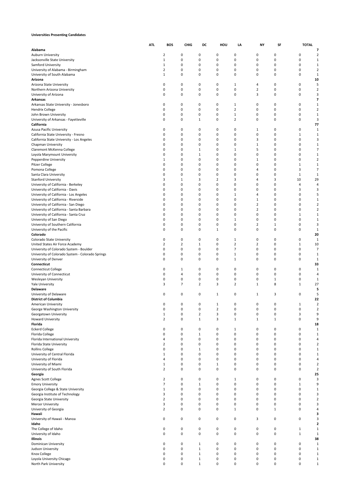#### **Universities Presenting Candidates**

|                                                                                   | <b>ATL</b> | <b>BOS</b>     | <b>CHIG</b>         | DC                  | HOU         | LA                  | NY                               | SF                | <b>TOTAL</b>               |                                  |
|-----------------------------------------------------------------------------------|------------|----------------|---------------------|---------------------|-------------|---------------------|----------------------------------|-------------------|----------------------------|----------------------------------|
| Alabama                                                                           |            |                |                     |                     |             |                     |                                  |                   |                            | 7                                |
| Auburn University                                                                 |            | $\overline{2}$ | 0                   | 0                   | 0           | 0                   | 0                                | 0                 | 0                          | $\overline{2}$                   |
| Jacksonville State University                                                     |            | $\mathbf{1}$   | 0                   | 0                   | 0           | 0                   | 0                                | 0                 | 0                          | $\mathbf{1}$                     |
| Samford University                                                                |            | 1              | 0                   | 0                   | 0           | 0                   | 0                                | 0                 | 0                          | 1                                |
| University of Alabama - Birmingham                                                |            | $\overline{2}$ | 0                   | 0                   | 0           | 0                   | 0                                | $\pmb{0}$         | 0                          | $\overline{2}$                   |
| University of South Alabama                                                       |            | $\mathbf{1}$   | 0                   | 0                   | 0           | 0                   | 0                                | 0                 | 0                          | $\mathbf 1$                      |
| Arizona<br>Arizona State University                                               |            | 0              | 0                   | 0                   | 0           | 1                   | 4                                | 0                 | 0                          | 10<br>5                          |
| Northern Arizona University                                                       |            | 0              | 0                   | 0                   | $\mathbf 0$ | 0                   | $\overline{2}$                   | 0                 | 0                          | $\overline{2}$                   |
| University of Arizona                                                             |            | 0              | 0                   | 0                   | 0           | 0                   | 3                                | 0                 | 0                          | 3                                |
| Arkansas                                                                          |            |                |                     |                     |             |                     |                                  |                   |                            | $\overline{\phantom{a}}$         |
| Arkansas State University - Jonesboro                                             |            | 0              | 0                   | 0                   | 0           | 1                   | 0                                | 0                 | 0                          | $\mathbf{1}$                     |
| Hendrix College                                                                   |            | $\pmb{0}$      | 0                   | 0                   | 0           | $\overline{2}$      | 0                                | $\pmb{0}$         | 0                          | $\overline{2}$                   |
| John Brown University                                                             |            | 0              | 0                   | 0                   | 0           | 1                   | 0                                | 0                 | 0                          | 1                                |
| University of Arkansas - Fayetteville                                             |            | 0              | 0                   | $\mathbf{1}$        | 0           | $\overline{2}$      | 0                                | 0                 | 0                          | 3                                |
| California                                                                        |            |                |                     |                     |             |                     |                                  |                   |                            | 77                               |
| Azusa Pacific University                                                          |            | 0              | 0                   | 0                   | 0           | 0                   | 1                                | 0                 | 0                          | 1                                |
| California State University - Fresno<br>California State University - Los Angeles |            | $\pmb{0}$<br>0 | 0<br>0              | 0<br>0              | 0<br>0      | 0<br>0              | 0<br>3                           | 0<br>0            | $\mathbf 1$<br>0           | $\mathbf{1}$<br>3                |
| Chapman University                                                                |            | 0              | 0                   | 0                   | 0           | 0                   | $1\,$                            | 0                 | 0                          | 1                                |
| Claremont McKenna College                                                         |            | 0              | 0                   | $\mathbf{1}$        | 0           | 1                   | 5                                | 0                 | 0                          | 7                                |
| Loyola Marymount University                                                       |            | 0              | 0                   | $\mathbf{1}$        | 0           | 0                   | 0                                | 0                 | 0                          | $\mathbf{1}$                     |
| Pepperdine University                                                             |            | 1              | 0                   | 0                   | 0           | 0                   | 1                                | $\pmb{0}$         | 0                          | $\overline{2}$                   |
| Pitzer College                                                                    |            | 0              | 0                   | 0                   | 0           | 0                   | 0                                | 0                 | $1\,$                      | 1                                |
| Pomona College                                                                    |            | 0              | 0                   | 0                   | 0           | 0                   | 4                                | 0                 | 3                          | $\overline{7}$                   |
| Santa Clara University                                                            |            | 0              | 0                   | 0                   | 0           | 0                   | 0                                | $\pmb{0}$         | $\mathbf 1$                | 1                                |
| <b>Stanford University</b>                                                        |            | 3              | $1\,$               | 3                   | 2           | 3                   | 4                                | 3                 | 10                         | 29                               |
| University of California - Berkeley                                               |            | 0              | 0                   | 0                   | 0           | 0                   | 0                                | $\pmb{0}$         | 4                          | $\overline{4}$                   |
| University of California - Davis                                                  |            | 0              | 0                   | 0                   | 0           | 0                   | 0                                | 0                 | 3                          | 3                                |
| University of California - Los Angeles                                            |            | 0              | 0                   | 0                   | 0           | 1                   | 4                                | 0                 | 0                          | 5                                |
| University of California - Riverside                                              |            | 0              | 0                   | 0                   | 0           | 0                   | $\mathbf 1$                      | 0                 | 0                          | $\mathbf{1}$                     |
| University of California - San Diego                                              |            | 0<br>$\pmb{0}$ | 0<br>0              | 0<br>0              | 0<br>0      | $\mathbf 0$<br>0    | $\overline{2}$<br>$\overline{2}$ | 0<br>$\pmb{0}$    | 0<br>0                     | $\overline{2}$<br>$\overline{2}$ |
| University of California - Santa Barbara                                          |            | 0              | 0                   | 0                   | 0           | $\mathbf 0$         | 0                                | 0                 | $1\,$                      | 1                                |
| University of California - Santa Cruz<br>University of San Diego                  |            | 0              | 0                   | 0                   | 0           | 1                   | 0                                | 0                 | 0                          | $\mathbf{1}$                     |
| University of Southern California                                                 |            | 0              | 0                   | 0                   | 0           | 0                   | $\overline{\mathbf{2}}$          | $\mathbf{1}$      | 0                          | 3                                |
| University of the Pacific                                                         |            | 0              | 0                   | 0                   | 1           | 0                   | 0                                | 0                 | 0                          | 1                                |
| Colorado                                                                          |            |                |                     |                     |             |                     |                                  |                   |                            | 20                               |
| Colorado State University                                                         |            | 0              | 0                   | 0                   | 0           | 1                   | 0                                | 0                 | 0                          | 1                                |
| United States Air Force Academy                                                   |            | $\mathbf 2$    | $\overline{2}$      | $1\,$               | 0           | $\overline{2}$      | $\overline{2}$                   | $\pmb{0}$         | $1\,$                      | 10                               |
| University of Colorado System - Boulder                                           |            | 0              | 0                   | 0                   | 0           | 7                   | 0                                | 0                 | 0                          | 7                                |
| University of Colorado System - Colorado Springs                                  |            | 0              | 0                   | 0                   | 0           | 1                   | 0                                | 0                 | 0                          | 1                                |
| University of Denver                                                              |            | $\pmb{0}$      | 0                   | 0                   | 0           | $1\,$               | 0                                | $\pmb{0}$         | 0                          | $\mathbf{1}$                     |
| Connecticut                                                                       |            |                |                     |                     |             |                     |                                  |                   |                            | 33                               |
| Connecticut College                                                               |            | 0              | 1                   | 0                   | 0           | 0                   | 0                                | 0                 | 0                          | 1                                |
| University of Connecticut                                                         |            | 0              | 4                   | 0                   | 0           | 0                   | 0                                | 0                 | 0                          | 4                                |
| Wesleyan University                                                               |            | 0<br>3         | 0<br>$\overline{7}$ | 0<br>$\overline{2}$ | 0<br>3      | 0<br>$\overline{2}$ | 0<br>$1\,$                       | $\mathbf{1}$<br>8 | 0<br>$1\,$                 | 1<br>27                          |
| <b>Yale University</b><br>Delaware                                                |            |                |                     |                     |             |                     |                                  |                   |                            | 5                                |
| University of Delaware                                                            |            | 0              | 0                   | 0                   | 1           | 0                   | 1                                | 3                 | 0                          | 5                                |
| <b>District of Columbia</b>                                                       |            |                |                     |                     |             |                     |                                  |                   |                            | 22                               |
| American University                                                               |            | 0              | 0                   | 0                   | 1           | 0                   | 0                                | 0                 | $\mathbf{1}$               | $\overline{2}$                   |
| George Washington University                                                      |            |                | 0                   | 0                   |             |                     |                                  | 0                 | 0                          | 2                                |
| Georgetown University                                                             |            | 1              | 0                   | $\overline{2}$      | 3           | 0                   | 0                                | 0                 | 3                          | 9                                |
| <b>Howard University</b>                                                          |            | $\overline{2}$ | 0                   | $\mathbf{1}$        | 3           | $\mathbf{1}$        | $\mathbf{1}$                     | $\mathbf{1}$      | 0                          | 9                                |
| Florida                                                                           |            |                |                     |                     |             |                     |                                  |                   |                            | 18                               |
| <b>Eckerd College</b>                                                             |            | 0              | 0                   | 0                   | 0           | 1                   | 0                                | 0                 | 0                          | $\mathbf 1$                      |
| Florida College                                                                   |            | $\pmb{0}$      | 0                   | $\mathbf 1$         | 0           | 0                   | 0                                | 0                 | 0                          | $\mathbf{1}$                     |
| Florida International University                                                  |            | 4              | 0                   | 0                   | 0           | 0                   | 0                                | 0                 | 0                          | $\overline{4}$                   |
| Florida State University                                                          |            | $\overline{2}$ | 0                   | 0                   | 0           | 0                   | 0                                | $\pmb{0}$         | 0                          | $\mathbf 2$                      |
| <b>Rollins College</b><br>University of Central Florida                           |            | 0<br>1         | 0<br>0              | $\mathbf 1$<br>0    | 0<br>0      | 0<br>0              | 0<br>0                           | 0<br>0            | 0<br>0                     | $\mathbf{1}$<br>$\mathbf{1}$     |
| University of Florida                                                             |            | 4              | 0                   | 0                   | 0           | 0                   | 0                                | 0                 | 0                          | $\overline{4}$                   |
| University of Miami                                                               |            | 1              | 0                   | 0                   | $\mathbf 1$ | 0                   | 0                                | 0                 | 0                          | $\mathbf 2$                      |
| University of South Florida                                                       |            | $\overline{2}$ | 0                   | 0                   | 0           | 0                   | 0                                | 0                 | 0                          | $\mathbf 2$                      |
| Georgia                                                                           |            |                |                     |                     |             |                     |                                  |                   |                            | 25                               |
| Agnes Scott College                                                               |            | $\overline{2}$ | 0                   | 0                   | 0           | 1                   | 0                                | 0                 | 0                          | 3                                |
| <b>Emory University</b>                                                           |            | $\overline{7}$ | 0                   | $\mathbf{1}$        | 0           | 0                   | 0                                | 0                 | $\mathbf 1$                | 9                                |
| Georgia College & State University                                                |            | 1              | 0                   | 0                   | 0           | 0                   | 0                                | 0                 | 0                          | $\mathbf{1}$                     |
| Georgia Institute of Technology                                                   |            | 3              | 0                   | 0                   | 0           | 0                   | 0                                | 0                 | 0                          | 3                                |
| Georgia State University                                                          |            | $\overline{2}$ | 0                   | 0                   | 0           | 0                   | 0                                | $\pmb{0}$         | 0                          | $\overline{2}$                   |
| <b>Mercer University</b>                                                          |            | 3              | 0                   | 0                   | 0           | 0                   | 0                                | 0                 | 0                          | 3                                |
| University of Georgia                                                             |            | $\overline{2}$ | 0                   | 0                   | $\mathsf 0$ | $1\,$               | 0                                | $\mathbf 1$       | 0                          | $\overline{4}$                   |
| Hawaii                                                                            |            |                |                     |                     |             |                     |                                  |                   |                            | з                                |
| University of Hawaii - Manoa                                                      |            | 0              | 0                   | 0                   | 0           | 0                   | 3                                | 0                 | 0                          | $\overline{\mathbf{3}}$          |
| Idaho                                                                             |            |                |                     |                     | 0           | 0                   |                                  |                   |                            | $\overline{\mathbf{2}}$          |
| The College of Idaho<br>University of Idaho                                       |            | 0<br>0         | 0<br>0              | 0<br>0              | 0           | 0                   | 0<br>0                           | 0<br>0            | $\mathbf 1$<br>$\mathbf 1$ | $\mathbf 1$<br>$\mathbf 1$       |
| Illinois                                                                          |            |                |                     |                     |             |                     |                                  |                   |                            | 38                               |
| Dominican University                                                              |            | 0              | 0                   | 1                   | 0           | 0                   | 0                                | 0                 | 0                          | $\mathbf{1}$                     |
| Judson University                                                                 |            | $\pmb{0}$      | 0                   | $\mathbf 1$         | $\mathbf 0$ | 0                   | 0                                | 0                 | 0                          | $\mathbf{1}$                     |
| Knox College                                                                      |            | 0              | 0                   | $1\,$               | 0           | 0                   | 0                                | 0                 | 0                          | $\mathbf{1}$                     |
| Loyola University Chicago                                                         |            | $\pmb{0}$      | 0                   | $\,1\,$             | 0           | 0                   | $\pmb{0}$                        | $\pmb{0}$         | 0                          | $\mathbf{1}$                     |
| North Park University                                                             |            | 0              | 0                   | $\mathbf{1}$        | 0           | 0                   | 0                                | 0                 | 0                          | $\mathbf{1}$                     |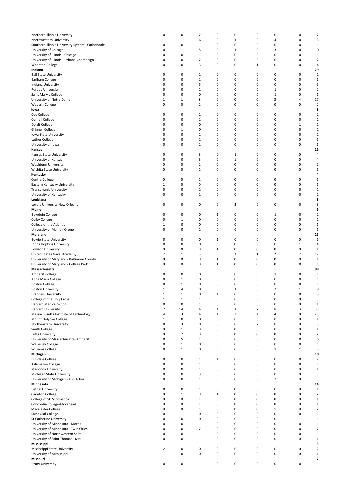| Northern Illinois University                     | 0                       | 0              | $\overline{2}$ | 0            | 0 | 0              | 0              | 0                       | $\overline{\mathbf{c}}$ |
|--------------------------------------------------|-------------------------|----------------|----------------|--------------|---|----------------|----------------|-------------------------|-------------------------|
| Northwestern University                          | $\mathbf 1$             | $1\,$          | 6              | 0            | 1 | 0              | 4              | 0                       | 13                      |
| Southern Illinois University System - Carbondale | 0                       | 0              | $1\,$          | 0            | 0 | 0              | 0              | 0                       | 1                       |
| University of Chicago                            | 0                       | $\mathbf{1}$   | 5              | 0            | 1 | 0              | 3              | 0                       | 10                      |
| University of Illinois - Chicago                 | 0                       | 0              | $\mathbf 1$    | 0            | 0 | 0              | 0              | 0                       | 1                       |
| University of Illinois - Urbana-Champaign        | 0                       | 0              | $\mathbf 2$    | 0            | 0 | 0              | 0              | 0                       | $\overline{\mathbf{c}}$ |
| Wheaton College - IL                             | 0                       | 0              | 3              | 0            | 0 | $\mathbf 1$    | 0              | 0                       | 4                       |
| Indiana                                          |                         |                |                |              |   |                |                |                         | 29                      |
| <b>Ball State University</b>                     | 0                       | 0              | 1              | 0            | 0 | 0              | 0              | 0                       | 1                       |
| Earlham College                                  | 0                       | 0              | $\mathbf 1$    | 0            | 0 | 0              | 0              | 0                       | 1                       |
| Indiana University                               | 0                       | 0              | 5              | 0            | 0 | 0              | 0              | 0                       | 5                       |
| <b>Purdue University</b>                         | 0                       | 0              | $\mathbf 1$    | 0            | 0 | 0              | $\mathbf 1$    | 0                       | $\overline{2}$          |
| Saint Mary's College                             | 0                       | 0              | 0              | 0            | 0 | 0              | $\mathbf 1$    | 0                       | $\mathbf 1$             |
| University of Notre Dame                         | 1                       | $\mathbf{1}$   | 8              | 0            | 0 | 0              | 3              | 4                       | 17                      |
| Wabash College                                   | 0                       | 0              | $\overline{2}$ | 0            | 0 | 0              | 0              | 0                       | $\overline{2}$          |
| lowa                                             |                         |                |                |              |   |                |                |                         | 8                       |
| Coe College                                      | 0                       | 0              | $\overline{2}$ | 0            | 0 | 0              | 0              | 0                       | $\overline{2}$          |
|                                                  |                         |                |                |              |   |                |                |                         |                         |
| Cornell College                                  | 0                       | 0              | $\mathbf 1$    | 0            | 0 | 0              | 0              | 0                       | $\mathbf 1$             |
| Dordt College                                    | 0                       | 0              | 0              | 0            | 0 | 0              | 0              | 1                       | 1                       |
| <b>Grinnell College</b>                          | 0                       | $1\,$          | 0              | 0            | 0 | 0              | 0              | 0                       | 1                       |
| Iowa State University                            | 0                       | 0              | $1\,$          | 0            | 0 | 0              | 0              | 0                       | 1                       |
| Luther College                                   | 0                       | 0              | $\mathbf 1$    | 0            | 0 | 0              | 0              | 0                       | $\mathbf 1$             |
| University of Iowa                               | 0                       | 0              | $\mathbf 1$    | 0            | 0 | 0              | 0              | 0                       | $\mathbf 1$             |
| Kansas                                           |                         |                |                |              |   |                |                |                         | 11                      |
| Kansas State University                          | 0                       | 0              | 3              | 0            | 1 | 0              | 0              | 0                       | 4                       |
| University of Kansas                             | 0                       | 0              | 3              | 0            | 1 | 0              | 0              | 0                       | 4                       |
| Washburn University                              | 0                       | 0              | $\overline{2}$ | 0            | 0 | 0              | 0              | 0                       | $\overline{2}$          |
| Wichita State University                         | 0                       | 0              | $\mathbf 1$    | 0            | 0 | 0              | 0              | 0                       | $\mathbf 1$             |
| Kentucky                                         |                         |                |                |              |   |                |                |                         | 4                       |
| Centre College                                   | 0                       | 0              | 1              | 0            | 0 | 0              | 0              | 0                       | $\mathbf 1$             |
| Eastern Kentucky University                      | $\mathbf{1}$            | 0              | 0              | 0            | 0 | 0              | 0              | 0                       | $\mathbf 1$             |
| Transylvania University                          | 0                       | 0              | $1\,$          | 0            | 0 | 0              | 0              | 0                       | $1\,$                   |
| University of Kentucky                           | 0                       | 0              | $\mathbf 1$    | 0            | 0 | 0              | 0              | 0                       | 1                       |
| Louisiana                                        |                         |                |                |              |   |                |                |                         | 3                       |
| Loyola University New Orleans                    | 0                       | 0              | 0              | 0            | 3 | 0              | 0              | 0                       | 3                       |
| Maine                                            |                         |                |                |              |   |                |                |                         | 5                       |
|                                                  |                         |                |                |              |   |                |                |                         |                         |
| <b>Bowdoin College</b>                           | 0                       | 0              | 0              | 1            | 0 | 0              | 1              | 0                       | $\overline{2}$          |
| Colby College                                    | 0                       | $1\,$          | 0              | 0            | 0 | 0              | 0              | 0                       | 1                       |
| College of the Atlantic                          | 1                       | 0              | 0              | 0            | 0 | 0              | 0              | 0                       | 1                       |
| University of Maine - Orono                      | 0                       | 0              | $\mathbf 1$    | 0            | 0 | 0              | 0              | 0                       | 1                       |
| Maryland                                         |                         |                |                |              |   |                |                |                         | 25                      |
| <b>Bowie State University</b>                    | 0                       | 0              | 0              | 1            | 0 | 0              | 0              | 0                       | $\mathbf 1$             |
| Johns Hopkins University                         | 0                       | 0              | 0              | 3            | 0 | 0              | 0              | $\mathbf 1$             | 4                       |
| <b>Towson University</b>                         | 0                       | 0              | 0              | $\mathbf{1}$ | 0 | 0              | 0              | 0                       | 1                       |
| United States Naval Academy                      | $\overline{2}$          | $1\,$          | 3              | 3            | 3 | $\mathbf 1$    | $\overline{2}$ | $\overline{\mathbf{c}}$ | 17                      |
| University of Maryland - Baltimore County        | 0                       | 0              | 0              | $\mathbf 1$  | 0 | 0              | 0              | 0                       | 1                       |
| University of Maryland - College Park            | 0                       | 0              | 0              | $\mathbf{1}$ | 0 | 0              | 0              | 0                       | 1                       |
| Massachusetts                                    |                         |                |                |              |   |                |                |                         | 99                      |
| <b>Amherst College</b>                           | 0                       | 0              | 0              | 0            | 0 | 0              | 1              | 0                       | 1                       |
| Anna Maria College                               | 0                       | $1\,$          | 0              | 0            | 0 | 0              | 0              | 0                       | 1                       |
| <b>Boston College</b>                            | 0                       | $1\,$          | 0              | 0            | 0 | 0              | 0              | 0                       | 1                       |
| <b>Boston University</b>                         | 1                       | 4              | 0              | 0            | 1 | 0              | 2              | 1                       | 9                       |
| <b>Brandeis University</b>                       | $\mathbf{1}$            | $\mathbf{1}$   | $\mathbf 0$    | $\mathbf{1}$ | 0 | 0              | 0              | 0                       | 3                       |
| College of the Holy Cross                        | 1                       | 1              | 1              | 0            | 0 | 0              | 0              | 0                       | 3                       |
| Harvard Medical School                           | 0                       | $\pmb{0}$      | $\mathbf 1$    | $\pmb{0}$    | 0 | 0              | $\pmb{0}$      | 0                       | $\mathbf 1$             |
| Harvard University                               | $\overline{\mathbf{c}}$ | 14             | 4              | $\mathbf 1$  | 1 | $\overline{2}$ | 8              | 3                       | 35                      |
|                                                  |                         |                |                |              |   |                |                |                         |                         |
| Massachusetts Institute of Technology            | 4                       | 3              | 4              | $\mathbf 1$  | 3 | 4              | 4              | 0                       | 23                      |
| Mount Holyoke College                            | $\mathbf 1$             | $\pmb{0}$      | 0              | 0            | 0 | 0              | 0              | 0                       | $\mathbf 1$             |
| Northeastern University                          | 0                       | 3              | 0              | 3            | 0 | $\overline{2}$ | 0              | 0                       | 8                       |
| Smith College                                    | 0                       | $\mathbf 1$    | 0              | 0            | 0 | 0              | 0              | 0                       | $\mathbf 1$             |
| <b>Tufts University</b>                          | 0                       | $\overline{2}$ | 0              | 0            | 0 | 0              | 0              | 0                       | $\mathbf 2$             |
| University of Massachusetts- Amherst             | 0                       | 5              | $\mathbf 1$    | 0            | 0 | 0              | $\mathbf 0$    | 0                       | 6                       |
| <b>Wellesley College</b>                         | 0                       | $\mathbf 1$    | 0              | 0            | 0 | 0              | 0              | 0                       | $\mathbf 1$             |
| Williams College                                 | 0                       | $\mathbf{1}$   | 0              | 0            | 0 | 0              | $\mathbf{1}$   | $\mathbf{1}$            | 3                       |
| Michigan                                         |                         |                |                |              |   |                |                |                         | 10                      |
| Hillsdale College                                | 0                       | 0              | $\mathbf 1$    | $\mathbf{1}$ | 0 | 0              | 0              | 0                       | $\overline{2}$          |
| Kalamazoo College                                | 0                       | 0              | $\mathbf 1$    | 0            | 0 | 0              | 0              | 0                       | $1\,$                   |
| Madonna University                               | 0                       | 0              | $\mathbf 1$    | 0            | 0 | 0              | 0              | 0                       | $\mathbf 1$             |
| Michigan State University                        | 0                       | 0              | 3              | 0            | 0 | 0              | 0              | 0                       | 3                       |
| University of Michigan - Ann Arbor               | 0                       | 0              | $\mathbf 1$    | 0            | 0 | 0              | $\overline{2}$ | 0                       | 3                       |
| Minnesota                                        |                         |                |                |              |   |                |                |                         | 14                      |
| <b>Bethel University</b>                         | 0                       | 0              | 1              | 0            | 0 | 0              | 0              | 0                       | $\mathbf 1$             |
| Carleton College                                 | 0                       | $1\,$          | 0              | $\mathbf{1}$ | 0 | 0              | 0              | 0                       | $\overline{2}$          |
| College of St. Scholastica                       | 0                       | 0              | $\mathbf 1$    | 0            | 0 | 0              | 0              | 0                       | $\mathbf 1$             |
| Concordia College-Moorhead                       | 0                       | 0              | $\mathbf 1$    | 0            | 0 | 0              | 0              | 0                       | $\mathbf 1$             |
| Macalester College                               | 0                       | $\pmb{0}$      | $\mathbf 1$    | 0            | 0 | 0              | $\mathbf 1$    | 0                       | $\mathbf 2$             |
|                                                  | 0                       |                |                |              |   | 0              | 0              | 0                       |                         |
| Saint Olaf College                               |                         | $\mathbf{1}$   | 0              | 0            | 0 |                |                |                         | $\mathbf 1$             |
| St Catherine University                          | 0                       | 0              | 0              | 0            | 0 | 0              | 0              | $\mathbf{1}$            | $\mathbf 1$             |
| University of Minnesota - Morris                 | 0                       | 0              | $\mathbf 1$    | 0            | 0 | 0              | 0              | 0                       | $1\,$                   |
| University of Minnesota - Twin Cities            | 0                       | 0              | $\overline{2}$ | 0            | 0 | 0              | 0              | 0                       | $\overline{2}$          |
| University of Northwestern St Paul               | 0                       | $\pmb{0}$      | $\mathbf 1$    | 0            | 0 | 0              | $\pmb{0}$      | 0                       | $\mathbf 1$             |
| University of Saint Thomas - MN                  | 0                       | 0              | $\mathbf 1$    | 0            | 0 | 0              | 0              | 0                       | $\mathbf 1$             |
| Mississippi                                      |                         |                |                |              |   |                |                |                         | 3                       |
| Mississippi State University                     | 2                       | 0              | 0              | 0            | 0 | 0              | 0              | 0                       | $\mathbf 2$             |
| University of Mississippi                        | $\mathbf 1$             | 0              | 0              | 0            | 0 | 0              | 0              | 0                       | $\mathbf{1}$            |
| Missouri                                         |                         |                |                |              |   |                |                |                         | 7                       |
| Drury University                                 | 0                       | 0              | $1\,$          | 0            | 0 | 0              | $\pmb{0}$      | 0                       | $\mathbf{1}$            |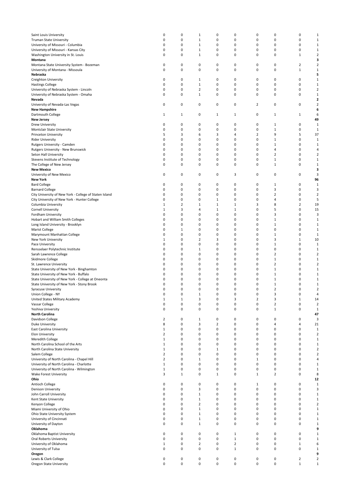| Saint Louis University                                 | 0              | $\pmb{0}$      | $\mathbf 1$    | 0              | 0              | 0              | 0              | 0              | $\mathbf{1}$   |
|--------------------------------------------------------|----------------|----------------|----------------|----------------|----------------|----------------|----------------|----------------|----------------|
| Truman State University                                | 0              | 0              | $\mathbf{1}$   | 0              | 0              | 0              | 0              | 0              | 1              |
|                                                        |                |                |                |                |                |                |                |                |                |
| University of Missouri - Columbia                      | 0              | 0              | $\mathbf{1}$   | 0              | 0              | 0              | 0              | 0              | $\mathbf{1}$   |
| University of Missouri - Kansas City                   | 0              | 0              | $\mathbf{1}$   | 0              | 0              | 0              | 0              | 0              | $\mathbf{1}$   |
| Washington University in St. Louis                     | 0              | 0              | $\mathbf 1$    | 0              | 0              | 0              | 0              | $\mathbf 1$    | $\overline{2}$ |
| Montana                                                |                |                |                |                |                |                |                |                | 3              |
| Montana State University System - Bozeman              | 0              | 0              | 0              | 0              | 0              | 0              | 0              | 2              | 2              |
| University of Montana - Missoula                       | 0              | 0              | 0              | 0              | 0              | 0              | 0              | $\mathbf 1$    | $\mathbf 1$    |
| Nebraska                                               |                |                |                |                |                |                |                |                | 5              |
| Creighton University                                   | 0              | 0              | 1              | 0              | 0              | 0              | 0              | 0              | $\mathbf{1}$   |
| <b>Hastings College</b>                                | 0              | 0              | $\mathbf 1$    | 0              | 0              | 0              | 0              | 0              | $\mathbf{1}$   |
|                                                        |                |                |                |                |                |                |                |                |                |
| University of Nebraska System - Lincoln                | 0              | 0              | $\overline{2}$ | 0              | 0              | 0              | 0              | 0              | $\overline{2}$ |
| University of Nebraska System - Omaha                  | 0              | 0              | $\mathbf{1}$   | 0              | 0              | 0              | 0              | 0              | $\mathbf{1}$   |
| Nevada                                                 |                |                |                |                |                |                |                |                | 2              |
| University of Nevada-Las Vegas                         | 0              | 0              | 0              | 0              | 0              | $\overline{2}$ | 0              | 0              | $\overline{2}$ |
| <b>New Hampshire</b>                                   |                |                |                |                |                |                |                |                | 6              |
| Dartmouth College                                      | 1              | $1\,$          | 0              | 1              | $\mathbf{1}$   | 0              | $\mathbf{1}$   | 1              | 6              |
| New Jersey                                             |                |                |                |                |                |                |                |                | 49             |
| Drew University                                        | 0              | 0              | 0              | 0              | 0              | 0              | $\mathbf 1$    | 0              | $\mathbf{1}$   |
|                                                        |                |                |                |                |                |                |                |                |                |
| Montclair State University                             | 0              | $\pmb{0}$      | 0              | 0              | 0              | 0              | $\mathbf 1$    | 0              | $\mathbf{1}$   |
| Princeton University                                   | 5              | 3              | 6              | 3              | 4              | 2              | 9              | 5              | 37             |
| <b>Rider University</b>                                | 0              | 0              | 0              | 0              | 0              | 0              | $\mathbf 1$    | 0              | $\mathbf 1$    |
| Rutgers University - Camden                            | 0              | 0              | 0              | 0              | 0              | 0              | $\mathbf{1}$   | 0              | $\mathbf{1}$   |
| Rutgers University - New Brunswick                     | 0              | 0              | $\pmb{0}$      | 0              | 0              | 0              | 4              | 0              | 4              |
| Seton Hall University                                  | 0              | 0              | 0              | 0              | 0              | 0              | 2              | 0              | $\overline{2}$ |
| Stevens Institute of Technology                        | 0              | $\pmb{0}$      | 0              | 0              | 0              | 0              | $\mathbf 1$    | 0              | $\mathbf{1}$   |
| The College of New Jersey                              | 0              | 0              | 0              | 0              | 0              | 0              | $\mathbf{1}$   | 0              | $\mathbf 1$    |
|                                                        |                |                |                |                |                |                |                |                |                |
| <b>New Mexico</b>                                      |                |                |                |                |                |                |                |                | 3              |
| University of New Mexico                               | 0              | 0              | 0              | 0              | 3              | 0              | 0              | 0              | 3              |
| <b>New York</b>                                        |                |                |                |                |                |                |                |                | 96             |
| <b>Bard College</b>                                    | 0              | 0              | 0              | 0              | 0              | 0              | $\mathbf{1}$   | 0              | $\mathbf{1}$   |
| <b>Barnard College</b>                                 | 0              | 0              | 0              | 0              | 0              | 0              | 3              | 0              | 3              |
| City University of New York - College of Staten Island | 0              | 0              | 0              | 0              | 0              | 0              | $\overline{2}$ | 0              | $\overline{2}$ |
| City University of New York - Hunter College           | 0              | 0              | $\pmb{0}$      | $\mathbf{1}$   | 0              | 0              | 4              | 0              | 5              |
| Columbia University                                    | $\mathbf 1$    | $\overline{2}$ | $\mathbf 1$    | $\mathbf{1}$   | $\mathbf 1$    | 3              | 8              | $\overline{2}$ | 19             |
|                                                        |                |                |                |                |                | 0              |                | 0              |                |
| Cornell University                                     | $\mathbf 1$    | 3              | 4              | $\mathbf{1}$   | $\mathbf 1$    |                | 5              |                | 15             |
| Fordham University                                     | 0              | 0              | 0              | 0              | 0              | 0              | 3              | 0              | 3              |
| Hobart and William Smith Colleges                      | 0              | 0              | 0              | 0              | 0              | 0              | $\mathbf{1}$   | 0              | $\mathbf{1}$   |
| Long Island University - Brooklyn                      | 0              | 0              | 0              | 0              | 0              | 0              | $\mathbf 1$    | 0              | $\mathbf{1}$   |
| Marist College                                         | 0              | $\mathbf{1}$   | 0              | 0              | 0              | 0              | 0              | 0              | $\mathbf{1}$   |
| Marymount Manhattan College                            | 0              | 0              | 0              | 0              | 0              | 0              | $\mathbf{1}$   | 0              | $\mathbf{1}$   |
| New York University                                    | $\mathbf 1$    | 0              | $\overline{2}$ | 3              | 0              | 0              | 3              | 1              | 10             |
| Pace University                                        | 0              | 0              | 0              | 0              | 0              | 0              | $\mathbf{1}$   | 0              | $\mathbf{1}$   |
|                                                        |                |                |                |                |                |                |                |                |                |
| Rensselaer Polytechnic Institute                       | 0              | 0              | $\mathbf 1$    | 0              | 0              | 0              | 0              | 0              | $\mathbf{1}$   |
| Sarah Lawrence College                                 | 0              | 0              | 0              | 0              | 0              | 0              | $\overline{2}$ | 0              | $\overline{2}$ |
| Skidmore College                                       | 0              | 0              | 0              | 0              | 0              | $\mathbf 0$    | $\mathbf 1$    | 0              | $\mathbf{1}$   |
| St. Lawrence University                                | 0              | 0              | 0              | 0              | 0              | 0              | 2              | 0              | $\overline{2}$ |
| State University of New York - Binghamton              | 0              | 0              | 0              | 0              | 0              | 0              | $\mathbf{1}$   | 0              | $\mathbf{1}$   |
| State University of New York - Buffalo                 | 0              | 0              | $\pmb{0}$      | 0              | 0              | 0              | $\mathbf 1$    | 0              | $\mathbf{1}$   |
| State University of New York - College at Oneonta      | 0              | 0              | 0              | 0              | 0              | 0              | $\mathbf{1}$   | 0              | $\mathbf 1$    |
| State University of New York - Stony Brook             | 0              | 0              | 0              | 0              | 0              | 0              | $\mathbf 1$    | 0              | $\mathbf{1}$   |
|                                                        |                |                |                |                |                |                |                |                |                |
| <b>Syracuse University</b>                             | 0              | 0              | 0              | 0              | 0              | 0              | 2              | 0              | 2              |
| Union College - NY                                     | 0              | 0              | $1\,$          | 0              | 0              | 0              | 3              | 0              | 4              |
| United States Military Academy                         | $\mathbf{1}$   | $\mathbf{1}$   | 3              | 0              | 3              | 2              | 3              | 1              | 14             |
| Vassar College                                         | 0              | $\pmb{0}$      | 0              | 0              | 0              | $\pmb{0}$      | $\overline{2}$ | 0              | $\overline{2}$ |
| Yeshiva University                                     | 0              | $\pmb{0}$      | 0              | $\pmb{0}$      | $\pmb{0}$      | 0              | $\mathbf{1}$   | 0              | $\mathbf 1$    |
| <b>North Carolina</b>                                  |                |                |                |                |                |                |                |                | 47             |
| Davidson College                                       | $\overline{2}$ | 0              | $\mathbf{1}$   | 0              | 0              | 0              | 0              | 0              | 3              |
| Duke University                                        | 8              | 0              | 3              | $\overline{2}$ | $\pmb{0}$      | 0              | 4              | 4              | 21             |
| East Carolina University                               | $\mathbf 1$    | 0              | 0              | 0              | 0              | 0              | 0              | 0              | $\mathbf{1}$   |
| Elon University                                        | $\overline{2}$ | 0              | 0              | $\pmb{0}$      | 0              | 0              | 0              | 0              | $\overline{2}$ |
|                                                        |                |                |                |                |                |                |                |                |                |
| Meredith College                                       | $\mathbf{1}$   | 0              | 0              | 0              | 0              | 0              | 0              | 0              | $\mathbf{1}$   |
| North Carolina School of the Arts                      | $\mathbf{1}$   | 0              | 0              | 0              | 0              | 0              | 0              | 0              | $\mathbf{1}$   |
| North Carolina State University                        | $\mathbf{1}$   | 0              | $\pmb{0}$      | $\mathbf{1}$   | 0              | 0              | 0              | 0              | $\overline{2}$ |
| Salem College                                          | $\overline{2}$ | 0              | 0              | 0              | 0              | 0              | 0              | 0              | $\overline{2}$ |
| University of North Carolina - Chapel Hill             | $\overline{2}$ | 0              | $\mathbf{1}$   | $\pmb{0}$      | 0              | $\mathbf{1}$   | 0              | 0              | 4              |
| University of North Carolina - Charlotte               | $\mathbf{1}$   | 0              | 0              | 0              | 0              | 0              | $\pmb{0}$      | 0              | $\mathbf{1}$   |
| University of North Carolina - Wilmington              | $\mathbf{1}$   | 0              | 0              | 0              | 0              | 0              | 0              | 0              | $\mathbf{1}$   |
| Wake Forest University                                 | 3              | $\mathbf{1}$   | 0              | $\mathbf{1}$   | $\pmb{0}$      | 1              | $\overline{2}$ | 0              | 8              |
| Ohio                                                   |                |                |                |                |                |                |                |                | 12             |
|                                                        |                |                |                |                |                |                |                |                |                |
| Antioch College                                        | 0              | 0              | $\pmb{0}$      | 0              | 0              | 1              | 0              | 0              | $\mathbf{1}$   |
| Denison University                                     | 0              | 0              | 3              | 0              | $\pmb{0}$      | 0              | 0              | 0              | 3              |
| John Carroll University                                | 0              | 0              | $\mathbf{1}$   | 0              | 0              | 0              | 0              | 0              | $\mathbf{1}$   |
| Kent State University                                  | 0              | 0              | $\mathbf 1$    | 0              | 0              | 0              | 0              | 0              | $\mathbf{1}$   |
| Kenyon College                                         | 0              | 0              | $\mathbf 2$    | 0              | 0              | 0              | 0              | 0              | 2              |
| Miami University of Ohio                               | 0              | 0              | $\mathbf 1$    | 0              | 0              | 0              | 0              | 0              | $\mathbf{1}$   |
| Ohio State University System                           | 0              | 0              | $\mathbf 1$    | 0              | 0              | 0              | 0              | 0              | $\mathbf{1}$   |
|                                                        | 0              | 0              | $\mathbf 1$    | 0              | 0              | 0              | 0              | 0              |                |
| University of Cincinnati                               |                |                |                |                |                |                |                |                | $\mathbf{1}$   |
| University of Dayton                                   | 0              | 0              | $\mathbf{1}$   | 0              | 0              | 0              | 0              | 0              | $\mathbf 1$    |
| Oklahoma                                               |                |                |                |                |                |                |                |                | 9              |
| Oklahoma Baptist University                            | 0              | $\pmb{0}$      | 0              | 0              | $\mathbf{1}$   | 0              | 0              | 0              | $\mathbf{1}$   |
| Oral Roberts University                                | 0              | 0              | 0              | 0              | $\mathbf 1$    | 0              | 0              | 0              | $\mathbf{1}$   |
| University of Oklahoma                                 | $\mathbf{1}$   | 0              | $\overline{2}$ | $\pmb{0}$      | $\overline{2}$ | 0              | 0              | $\mathbf 1$    | 6              |
| University of Tulsa                                    | 0              | 0              | 0              | $\pmb{0}$      | $\mathbf{1}$   | 0              | $\pmb{0}$      | 0              | $\mathbf{1}$   |
| Oregon                                                 |                |                |                |                |                |                |                |                | 9              |
| Lewis & Clark College                                  | 0              | $\pmb{0}$      | 0              | $\pmb{0}$      | $\pmb{0}$      | $\pmb{0}$      | 0              | 2              | $\overline{2}$ |
|                                                        |                |                |                |                |                |                |                |                |                |
| Oregon State University                                | 0              | 0              | 0              | 0              | 0              | 0              | 0              | $\mathbf 1$    | $\mathbf{1}$   |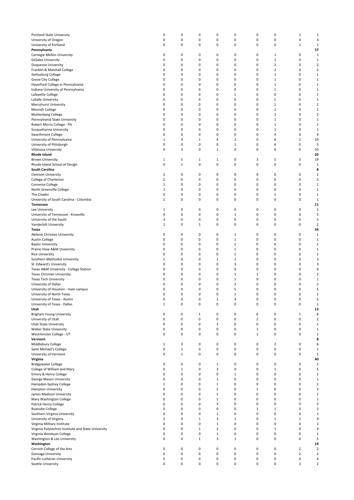| Portland State University                                | 0                | $\mathbf 0$                | 0            | 0                | $\pmb{0}$                    | $\pmb{0}$      | 0                | $\mathbf 1$         | 1                            |
|----------------------------------------------------------|------------------|----------------------------|--------------|------------------|------------------------------|----------------|------------------|---------------------|------------------------------|
| University of Oregon                                     | 0                | 0                          | 0            | 0                | 0                            | 0              | 0                | 4                   | $\overline{4}$               |
| University of Portland                                   | 0                | 0                          | 0            | 0                | 0                            | 0              | 0                | $\mathbf{1}$        | 1                            |
| Pennsylvania                                             |                  |                            |              |                  |                              |                |                  |                     | 57                           |
| Carnegie Mellon University<br><b>DeSales University</b>  | 0<br>0           | 0<br>$\mathbf 0$           | 0<br>0       | 0<br>0           | 0<br>$\pmb{0}$               | 0<br>0         | 1<br>$\mathbf 1$ | 0<br>0              | $\mathbf{1}$<br>$\mathbf{1}$ |
| <b>Duquesne University</b>                               | 0                | 0                          | 0            | 0                | 0                            | 0              | $\overline{2}$   | 0                   | $\overline{2}$               |
| Franklin & Marshall College                              | 0                | 0                          | 0            | 0                | 0                            | 0              | $\overline{2}$   | 0                   | $\overline{2}$               |
| Gettysburg College                                       | 0                | 0                          | 0            | 0                | 0                            | 0              | $\mathbf 1$      | 0                   | $\mathbf{1}$                 |
| Grove City College                                       | 0                | 0                          | 0            | 0                | 0                            | 0              | $\mathbf 1$      | 0                   | $\mathbf{1}$                 |
| Haverford College in Pennsylvania                        | 0                | $\mathbf 0$                | 0            | 0                | $\pmb{0}$                    | 0              | $\mathbf 1$      | 0                   | $\mathbf{1}$                 |
| Indiana University of Pennsylvania                       | 0                | 0                          | 0            | 0                | 0                            | 0              | 1                | 0                   | $\mathbf{1}$                 |
| Lafayette College                                        | 0                | 0                          | 0            | 0                | $\mathbf{1}$                 | 0              | 0                | 0                   | $\mathbf{1}$                 |
| LaSalle University                                       | 0                | 0                          | 0            | 0                | 0                            | 0              | $\mathbf 1$      | 0                   | $\mathbf{1}$                 |
| Mercyhurst University                                    | 0                | 0                          | 0            | 0                | 0                            | 0              | $\mathbf 1$      | 0                   | $\mathbf 1$                  |
| Messiah College                                          | 0                | $\mathbf 0$                | 0            | 0                | 0                            | 0              | $\mathbf 1$      | 0                   | $\mathbf{1}$                 |
| Muhlenberg College                                       | 0                | 0                          | 0            | 0                | 0                            | $\mathbf 0$    | 2                | 0                   | $\overline{2}$               |
| Pennsylvania State University                            | 0                | 0                          | 0            | 0                | 0                            | 0              | $\mathbf 1$      | 0                   | $\mathbf{1}$                 |
| Robert Morris College - PA                               | 0                | 0                          | 0            | 0                | 0                            | 0              | $\mathbf 1$      | 0                   | $\mathbf{1}$                 |
| Susquehanna University                                   | 0                | 0                          | 0            | 0                | 0                            | 0              | $\mathbf{1}$     | 0                   | $\mathbf{1}$                 |
| Swarthmore College                                       | 0                | $\mathbf 0$                | 0            | 0                | $\pmb{0}$                    | 0              | 4                | 0                   | $\overline{4}$               |
| University of Pennsylvania                               | $\mathbf{1}$     | 3                          | 1            | 4                | 2                            | $\mathbf 0$    | 6                | $\overline{2}$      | 19                           |
| University of Pittsburgh                                 | 0<br>0           | $\mathbf 0$                | 0<br>0       | 0<br>$\mathbf 1$ | $\mathbf{1}$                 | 0<br>0         | 4                | 0<br>0              | 5                            |
| Villanova University<br>Rhode Island                     |                  | 3                          |              |                  | 0                            |                | 6                |                     | 10<br>20                     |
| <b>Brown University</b>                                  | $\mathbf{1}$     | 5                          | $\mathbf 1$  | 1                | $\pmb{0}$                    | 3              | 5                | 3                   | 19                           |
| Rhode Island School of Design                            | 0                | $\mathbf 1$                | 0            | 0                | $\pmb{0}$                    | 0              | $\pmb{0}$        | 0                   | $\mathbf 1$                  |
| South Carolina                                           |                  |                            |              |                  |                              |                |                  |                     | 8                            |
| <b>Clemson University</b>                                | 2                | 0                          | 0            | 0                | 0                            | 0              | 0                | 0                   | $\overline{2}$               |
| College of Charleston                                    | 2                | 0                          | 0            | 0                | $\pmb{0}$                    | 0              | 0                | 0                   | $\overline{2}$               |
| Converse College                                         | $\mathbf{1}$     | 0                          | 0            | 0                | $\pmb{0}$                    | 0              | 0                | 0                   | $\mathbf{1}$                 |
| North Greenville College                                 | $\mathbf 1$      | 0                          | 0            | 0                | 0                            | 0              | 0                | 0                   | $\mathbf 1$                  |
| The Citadel                                              | 0                | 0                          | 0            | 0                | 0                            | 0              | $\mathbf 1$      | 0                   | $\mathbf{1}$                 |
| University of South Carolina - Columbia                  | $\mathbf 1$      | 0                          | 0            | 0                | 0                            | 0              | 0                | 0                   | $\mathbf{1}$                 |
| <b>Tennessee</b>                                         |                  |                            |              |                  |                              |                |                  |                     | 11                           |
| Lee University                                           | $\mathbf{1}$     | 0                          | 0            | 0                | $\pmb{0}$                    | 0              | 0                | 0                   | $\mathbf 1$                  |
| University of Tennessee - Knoxville                      | 4                | 0                          | 0            | 0                | $\mathbf{1}$                 | 0              | 0                | 0                   | 5                            |
| University of the South                                  | 3                | $\mathbf 0$                | 0            | 0                | $\pmb{0}$                    | 0              | 0                | 0                   | 3                            |
| Vanderbilt University                                    | $\mathbf 1$      | 0                          | $\mathbf 1$  | 0                | $\pmb{0}$                    | 0              | 0                | 0                   | $\overline{2}$               |
| Texas                                                    |                  |                            |              |                  |                              |                |                  |                     | 34                           |
| Abilene Christian University                             | 0                | 0                          | 0            | 0                | 1                            | 0              | 0                | 0                   | $\mathbf 1$                  |
| <b>Austin College</b>                                    | 0                | 0                          | 0            | 0                | $\mathbf{1}$                 | 0              | 0                | 0                   | $\mathbf{1}$                 |
| <b>Baylor University</b>                                 | 0                | 0                          | 0            | 0                | $\mathbf{1}$                 | 0              | 0                | 0                   | $\mathbf{1}$                 |
| Prairie View A&M University                              | 0                | 0                          | 0            | 0                | $\mathbf{1}$                 | 0              | 0                | 0<br>0              | $\mathbf{1}$                 |
| <b>Rice University</b>                                   | 0<br>$\mathbf 1$ | 0<br>$\mathbf 0$           | 0<br>0       | 0<br>1           | $\mathbf{1}$<br>$\mathbf{1}$ | 0<br>0         | 0<br>0           | 0                   | $\mathbf 1$<br>3             |
| Southern Methodist University<br>St. Edward's University | 0                | 0                          | 0            | 0                | 3                            | 0              | 0                | 0                   | 3                            |
| Texas A&M University - College Station                   | 0                | 0                          | 0            | 0                | 6                            | 0              | 0                | 0                   | 6                            |
| Texas Christian University                               | 0                | 0                          | 0            | 0                | $\mathbf{1}$                 | $\mathbf 1$    | 0                | 0                   | $\overline{2}$               |
| <b>Texas Tech University</b>                             | 0                | 0                          | 0            | 0                | $\mathbf{1}$                 | 0              | 0                | 0                   | $\mathbf{1}$                 |
| University of Dallas                                     | 0                | 0                          | 0            | 0                | $\overline{2}$               | 0              | 0                | 0                   | $\overline{2}$               |
| University of Houston - main campus                      | 0                | 0                          | 0            | 0                | 5                            | 0              | 0                | 0                   | 5                            |
| University of North Texas                                | $\mathbf 0$      | 0                          | 0            | 0                | $\mathbf{1}$                 | 0              | 0                | 0                   | $\mathbf{1}$                 |
| University of Texas - Austin                             | 0                | 0                          | 0            | $\mathbf 1$      | 4                            | 0              | 0                | 0                   | 5                            |
| University of Texas - Dallas                             | $\mathbf{1}$     | $\pmb{0}$                  | 0            | 0                | $\pmb{0}$                    | $\pmb{0}$      | $\pmb{0}$        | 0                   | $\mathbf 1$                  |
| Utah                                                     |                  |                            |              |                  |                              |                |                  |                     | 13                           |
| Brigham Young University                                 | 0                | 0                          | $\mathbf 1$  | 0                | $\pmb{0}$                    | 6              | 0                | $\mathbf 1$         | 8                            |
| University of Utah                                       | 0                | $\mathbf 0$                | 0            | 0                | $\pmb{0}$                    | $\overline{2}$ | $\pmb{0}$        | 0                   | $\overline{2}$               |
| Utah State University                                    | 0                | $\mathbf 0$                | 0            | $\mathbf{1}$     | $\pmb{0}$                    | 0              | $\pmb{0}$        | 0                   | $\mathbf 1$                  |
| Weber State University                                   | 0                | 0                          | 0            | 0                | 0                            | $1\,$          | 0                | 0                   | $\mathbf{1}$                 |
| Westminster College - UT                                 | 0                | $\mathbf 0$                | 0            | 0                | $\pmb{0}$                    | $\,1\,$        | 0                | 0                   | $\mathbf 1$                  |
| Vermont                                                  |                  |                            |              |                  |                              |                |                  |                     | 8                            |
| Middlebury College                                       | $\mathbf{1}$     | 3                          | 0<br>0       | 0<br>0           | $\pmb{0}$                    | 0              | $\mathbf 2$      | 0<br>0              | 6                            |
| Saint Michael's College<br>University of Vermont         | 0<br>0           | $\mathbf 1$<br>$\mathbf 1$ | 0            | 0                | $\pmb{0}$<br>0               | 0<br>0         | $\pmb{0}$<br>0   | 0                   | $\mathbf{1}$<br>$\mathbf{1}$ |
| Virginia                                                 |                  |                            |              |                  |                              |                |                  |                     | 40                           |
| <b>Bridgewater College</b>                               | 0                | 0                          | 0            | 1                | $\pmb{0}$                    | 0              | 0                | 0                   | $\mathbf{1}$                 |
| College of William and Mary                              | 0                | $\mathbf{1}$               | 0            | 3                | $\pmb{0}$                    | 0              | $\mathbf 1$      | 0                   | 5                            |
| Emory & Henry College                                    | 0                | $\mathsf 0$                | 0            | 0                | $\mathbf{1}$                 | 0              | $\pmb{0}$        | 0                   | $\mathbf{1}$                 |
| George Mason University                                  | 0                | 0                          | 0            | 1                | 0                            | 0              | 0                | 0                   | $\mathbf{1}$                 |
| Hampden-Sydney College                                   | $\mathbf{1}$     | $\mathbf 0$                | 0            | $\mathbf{1}$     | $\pmb{0}$                    | 0              | $\pmb{0}$        | 0                   | $\overline{2}$               |
| Hampton University                                       | 0                | 0                          | 0            | 2                | $\pmb{0}$                    | $\mathbf{1}$   | 0                | 0                   | 3                            |
| James Madison University                                 | 0                | $\mathbf 0$                | 0            | $\mathbf 1$      | $\pmb{0}$                    | 0              | 0                | 0                   | $\mathbf{1}$                 |
| Mary Washington College                                  | 0                | $\mathbf 0$                | 0            | $\mathbf 1$      | $\pmb{0}$                    | 0              | $\pmb{0}$        | 0                   | $\mathbf 1$                  |
| Patrick Henry College                                    | 0                | 0                          | 0            | $\overline{2}$   | 0                            | 0              | 0                | 0                   | $\overline{2}$               |
| Roanoke College                                          | 0                | $\mathbf 0$                | 0            | 0                | $\pmb{0}$                    | $\mathbf 1$    | $\mathbf 1$      | 0                   | $\overline{2}$               |
| Southern Virginia University                             | 0                | 0                          | 0            | $\mathbf 1$      | $\pmb{0}$                    | 0              | 0                | 0                   | $\mathbf{1}$                 |
| University of Virginia                                   | $\overline{2}$   | $\mathbf 0$                | $\mathbf 1$  | 3                | $\mathbf{1}$                 | 0              | $\mathbf 1$      | $\mathbf 1$         | 9                            |
| Virginia Military Institute                              | 0                | $\mathbf 0$                | 0            | $\mathbf 1$      | $\pmb{0}$                    | 0              | $\pmb{0}$        | 0                   | $\mathbf{1}$                 |
| Virginia Polytechnic Institute and State University      | 0                | 0                          | $\mathbf 1$  | $\overline{2}$   | 0                            | 0              | $\mathbf 1$      | 0                   | 4                            |
| Virginia Wesleyan College                                | 0                | $\pmb{0}$                  | 0            | $\mathbf 1$      | $\pmb{0}$                    | 0              | $\pmb{0}$        | 0                   | $\mathbf{1}$                 |
| Washington & Lee University                              | 0                | $\mathbf 0$                | $\mathbf{1}$ | 3                | $\mathbf{1}$                 | 0              | 0                | 0                   | 5                            |
| Washington                                               |                  |                            |              |                  |                              |                |                  |                     | 19                           |
| Cornish College of the Arts                              | 0                | $\pmb{0}$                  | 0            | 0                | $\pmb{0}$                    | 0              | $\pmb{0}$        | $\overline{2}$      | $\overline{2}$               |
| Gonzaga University                                       | 0                | $\mathbf 0$                | 0            | 0                | $\pmb{0}$                    | 0              | 0                | $\overline{2}$      | $\overline{2}$               |
| Pacific Lutheran University                              | 0<br>0           | $\pmb{0}$<br>0             | 0<br>0       | 0<br>0           | $\pmb{0}$<br>0               | $\pmb{0}$<br>0 | $\pmb{0}$<br>0   | 4<br>$\overline{2}$ | 4<br>$\overline{2}$          |
| Seattle University                                       |                  |                            |              |                  |                              |                |                  |                     |                              |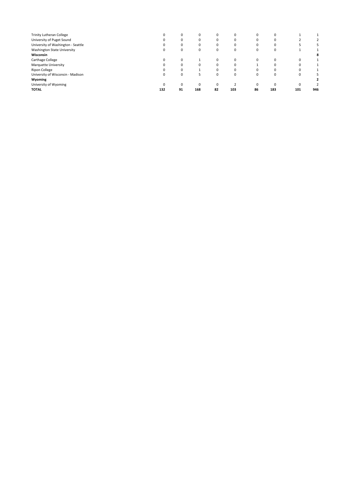|                                    |     | $\Omega$ |     |    |          |          | 0   |          |     |
|------------------------------------|-----|----------|-----|----|----------|----------|-----|----------|-----|
| <b>Trinity Lutheran College</b>    | 0   |          | 0   | 0  | 0        |          |     |          |     |
| University of Puget Sound          | 0   | $\Omega$ | 0   | 0  | $\Omega$ |          | 0   |          |     |
| University of Washington - Seattle | 0   | 0        | 0   | 0  | 0        |          | 0   |          |     |
| Washington State University        | 0   | $\Omega$ | 0   | 0  | 0        | 0        | 0   |          |     |
| Wisconsin                          |     |          |     |    |          |          |     |          | 8   |
| Carthage College                   | 0   | $\Omega$ |     | 0  | $\Omega$ | $\Omega$ | Ω   | $\Omega$ |     |
| Marquette University               | 0   |          | 0   | 0  | $\Omega$ |          | Ω   |          |     |
| <b>Ripon College</b>               | 0   |          |     | 0  | $\Omega$ |          | 0   |          |     |
| University of Wisconsin - Madison  | 0   | $\Omega$ |     | 0  | $\Omega$ | $\Omega$ | Ω   | $\Omega$ |     |
| Wyoming                            |     |          |     |    |          |          |     |          |     |
| University of Wyoming              | 0   | $\Omega$ | 0   | 0  |          | $\Omega$ | Ω   | $\Omega$ |     |
| <b>TOTAL</b>                       | 132 | 91       | 168 | 82 | 103      | 86       | 183 | 101      | 946 |
|                                    |     |          |     |    |          |          |     |          |     |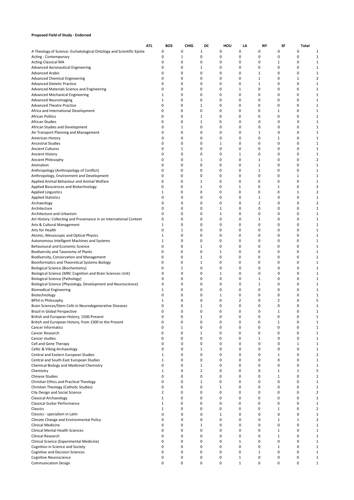### **Proposed Field of Study - Endorsed**

|                                                                                              | <b>ATL</b>   | <b>BOS</b>   | <b>CHIG</b> | DC             | HOU          | LA          | NY           | SF     | Total        |                         |
|----------------------------------------------------------------------------------------------|--------------|--------------|-------------|----------------|--------------|-------------|--------------|--------|--------------|-------------------------|
| A Theology of Science: Eschatological Ontology and Scientific Episte                         | 0            | 0            |             | $1\,$          | 0            | 0           | 0            | 0      | 0            | 1                       |
| Acting - Contemporary                                                                        | 0            | $1\,$        |             | 0              | 0            | 0           | 0            | 0      | 0            | 1                       |
| <b>Acting-Classical MA</b>                                                                   | 0            | 0            |             | $\mathbf 0$    | 0            | 0           | 0            | 1      | 0            | 1                       |
| <b>Advanced Aeronautical Engineering</b>                                                     | 0            | 0            |             | 1              | 0            | 0           | 0            | 0      | 0            | 1                       |
| <b>Advanced Arabic</b>                                                                       | 0            | 0            |             | 0              | 0            | 0           | 1            | 0      | 0            | 1                       |
| <b>Advanced Chemical Engineering</b>                                                         | 0            | 0            |             | 0              | 0            | 0           | 1            | 0      | $\mathbf{1}$ | 2                       |
| <b>Advanced Dietetic Practice</b>                                                            | 0            | 0            |             | 0              | 0            | 0           | 1            | 0      | 0            | 1                       |
| Advanced Materials Science and Engineering                                                   | 0            | 0            |             | 0              | 0            | 1           | 0            | 0      | 0            | 1                       |
| <b>Advanced Mechanical Engineering</b>                                                       | 1            | 0            |             | 0              | 0            | 0           | 0            | 0      | 0            | 1                       |
| <b>Advanced Neuroimaging</b>                                                                 | 1            | 0            |             | 0              | 0            | 0           | 0            | 0      | 0            | 1                       |
| <b>Advanced Theatre Practice</b>                                                             | 0            | 0            |             | 1              | 0            | 0           | 0            | 0      | 0            | 1                       |
| Africa and International Development                                                         | 0            | 0            |             | 0              | 0            | 0           | 0            | 1      | 0            | 1                       |
| <b>African Politics</b>                                                                      | 0            | 0            |             | 1              | 0            | 0           | 0            | 0      | 0            | 1                       |
| <b>African Studies</b>                                                                       | 0            | 0            |             | 1              | 0            | 0           | 0            | 0      | 0            | 1                       |
| African Studies and Development                                                              | 0            | $\mathbf{1}$ |             | 0              | 0            | 0           | 0            | 0      | 0            | 1                       |
| Air Transport Planning and Management                                                        | 0            | 0            |             | 0              | 0            | 0           | 1            | 0      | 0            | 1                       |
| American History                                                                             | 0            | 0            |             | 0              | 0            | 0           | 0            | 1      | 0            | 1                       |
| <b>Ancestral Studies</b>                                                                     | 0            | 0            |             | 0              | $1\,$        | 0           | 0            | 0      | $\Omega$     |                         |
| <b>Ancient Cultures</b>                                                                      | 0            | $\mathbf{1}$ |             | 0              | 0            | 0           | 0            | 0      | $\Omega$     | 1                       |
| Ancient History                                                                              | 0            | 0            |             | 0              | 0            | 1           | 0            | 0      | 0            | 1                       |
| Ancient Philosophy                                                                           | $\mathbf 0$  | 0            |             | 1              | 0            | 0           | $\mathbf{1}$ | 0      | $\Omega$     | $\overline{\mathbf{c}}$ |
| Animation                                                                                    | 0            | 0            |             | 0              | 0            | 0           | $\mathbf 1$  | 0      | 0            | 1                       |
| Anthropology (Anthropology of Conflict)                                                      | 0            | 0            |             | 0              | 0            | 0           | $\mathbf 1$  | 0      | 0            | 1                       |
| Anthropology, Environment and Development                                                    | 0            | 0            |             | 0              | 0            | 0           | 0            | 0      | 1            | 1                       |
| Applied Animal Behaviour and Animal Welfare                                                  | 0            | 0            |             | 1              | 0            | 0           | 0            | 0      | 0            | 1                       |
| Applied Biosciences and Biotechnology                                                        | 0            | 0            |             | 1              | 0            | 1           | 0            | 1      | 0            | 3                       |
| <b>Applied Linguistics</b>                                                                   | 1            | 0            |             | 0              | 0            | 0           | 0            | 0      | 1            | $\overline{\mathbf{c}}$ |
| <b>Applied Statistics</b>                                                                    | 0            | 0            |             | 0              | 0            | 0           | 1            | 0      | 0            | 1                       |
| Archaeology                                                                                  | 0            | 0            |             | 0              | 0            | 0           | 2            | 0      | 0            | 2                       |
| Architecture                                                                                 | 0            | 0            |             | 0              | $1\,$        | 0           | 0            | 0      | 0            | 1                       |
| Architecture and Urbanism                                                                    | 0            | 0            |             | 0              | $1\,$        | 0           | 0            | 0      | 0            | 1                       |
| Art History: Collecting and Provenance in an International Context                           | 0            | 0            |             | 0              | 0            | 0           | 1            | 0      | 0            | 1                       |
| Arts & Cultural Management                                                                   | $\mathbf{1}$ | 0            |             | 0              | 0            | 0           | 0            | 0      | 0            | 1                       |
| Arts for Health                                                                              | 0            | $\mathbf{1}$ |             | $\mathbf 0$    | 0            | 0           | 0            | 0      | 0            | 1                       |
| Atomic, Mesoscopic and Optical Physics                                                       | 1            | 0            |             | 0              | 0            | 0           | 0            | 0      | 0            | 1                       |
| Autonomous Intelligent Machines and Systems                                                  | 1            | 0            |             | 0              | 0            | 0           | 0            | 0      | 0            | 1                       |
| Behavioural and Economic Science                                                             | 0            | 0            |             | 1              | 0            | 0           | 0            | 0      | 0            | 1                       |
| Biodiversity and Taxonomy of Plants                                                          | 0            | 0            |             | 0              | $1\,$        | 0           | 0            | 0      | 0            | 1                       |
| Biodiversity, Conservation and Management                                                    | 0<br>0       | 0<br>0       |             | $1\,$<br>$1\,$ | 0<br>0       | 0<br>0      | 0<br>0       | 0<br>0 | 0<br>0       | 1<br>1                  |
| Bioinformatics and Theoretical Systems Biology<br><b>Biological Science (Biochemistry)</b>   | 0            | $1\,$        |             | 0              | 0            | 0           | 0            | 0      | 0            |                         |
|                                                                                              | 0            | 0            |             | 0              | $\mathbf 1$  | 0           | 0            | 0      | 0            |                         |
| Biological Science (MRC Cognition and Brain Sciences Unit)<br>Biological Science (Pathology) | 0            | 0            |             | 0              | 0            | 0           | 1            | 0      | 0            |                         |
| Biological Science (Physiology, Development and Neuroscience)                                | 0            | 0            |             | 0              | 0            | 0           | $\mathbf{1}$ | 0      | $\Omega$     |                         |
| <b>Biomedical Engineering</b>                                                                | 1            | 0            |             | 0              | 0            | 0           | 0            | 0      | 0            | 1                       |
| Biotechnology                                                                                | 0            | $\mathbf 0$  |             | 0              | $1\,$        | 0           | 0            | 0      | 0            |                         |
| <b>BPhil in Philosophy</b>                                                                   | 1            | $\mathbf 0$  |             | 0              | 0            | 2           | 0            | 2      | 0            | 5                       |
| Brain Sciences/Stem Cells in Neurodegenerative Diseases                                      | $\Omega$     | $\Omega$     |             | 1              | $\Omega$     | 0           | 0            | 0      | $\Omega$     | 1                       |
| Brazil in Global Perspective                                                                 | 0            | 0            |             | 0              | 0            | 0           | 0            | 1      | 0            |                         |
| British and European History, 1500-Present                                                   | 0            | 0            |             | $\mathbf{1}$   | 0            | 0           | 0            | 0      | 0            |                         |
| British and European History, from 1500 to the Present                                       | 0            | 0            |             | 0              | 0            | 0           | 0            | 1      | 0            | 1                       |
| Cancer Informatics                                                                           | 0            | $\mathbf{1}$ |             | 0              | 0            | 0           | 0            | 0      | 0            | 1                       |
| Cancer Research                                                                              | 0            | 0            |             | $\mathbf{1}$   | 0            | 0           | 0            | 0      | 0            | 1                       |
| Cancer studies                                                                               | 0            | 0            |             | 0              | 0            | 0           | $1\,$        | 0      | 0            | 1                       |
| Cell and Gene Therapy                                                                        | 0            | 0            |             | 0              | 0            | 0           | 0            | 0      | $\mathbf{1}$ | 1                       |
| Celtic & Viking Archaeology                                                                  | 0            | 0            |             | $\mathbf{1}$   | 0            | 0           | 0            | 0      | 0            | 1                       |
| Central and Eastern European Studies                                                         | 1            | 0            |             | 0              | 0            | 0           | 0            | 1      | 0            | 2                       |
| Central and South-East European Studies                                                      | $\mathbf{1}$ | 0            |             | $\mathbf 0$    | 0            | 0           | 0            | 0      | 0            | 1                       |
| Chemical Biology and Medicinal Chemistry                                                     | $\mathbf 0$  | 0            |             | $\mathbf{1}$   | 0            | 0           | 0            | 0      | 0            | 1                       |
| Chemistry                                                                                    | 1            | 0            |             | 2              | 0            | 0           | 0            | 1      | 1            | 5                       |
| <b>Chinese Studies</b>                                                                       | 0            | 0            |             | 0              | 0            | 0           | 0            | 1      | 0            | 1                       |
| Christian Ethics and Practical Theology                                                      | 0            | 0            |             | $\mathbf{1}$   | 0            | 0           | 0            | 0      | 0            | 1                       |
| Christian Theology (Catholic Studies)                                                        | 0            | 0            |             | 0              | $\mathbf{1}$ | 0           | 0            | 0      | 0            | 1                       |
| City Design and Social Science                                                               | 2            | 0            |             | 0              | 0            | 0           | 0            | 0      | 0            | $\overline{\mathbf{c}}$ |
| <b>Classical Archaeology</b>                                                                 | $\mathbf{1}$ | 0            |             | 0              | 0            | 0           | 0            | 0      | 0            | $\mathbf{1}$            |
| Classical Guitar Performance                                                                 | $\mathbf{1}$ | 0            |             | 0              | 0            | 0           | 0            | 0      | 0            | 1                       |
| Classics                                                                                     | $\mathbf{1}$ | 0            |             | 0              | 0            | 0           | 0            | $1\,$  | 0            | $\overline{\mathbf{c}}$ |
| Classics - specialism in Latin                                                               | 0            | 0            |             | 0              | $\mathbf{1}$ | 0           | 0            | 0      | 0            |                         |
| Climate Change and Environmental Policy                                                      | 0            | 0            |             | 0              | 0            | 0           | 0            | 1      | $\mathbf{1}$ | 2                       |
| Clinical Medicine                                                                            | 0            | 0            |             | 1              | 0            | 0           | 0            | 0      | 0            |                         |
| <b>Clinical Mental Health Sciences</b>                                                       | 0            | 0            |             | 0              | 0            | 0           | 0            | 1      | 0            |                         |
| Clinical Research                                                                            | 0            | 0            |             | 0              | 0            | 0           | 0            | 1      | 0            | 1                       |
| Clinical Science (Experimental Medicine)                                                     | 0            | 0            |             | 0              | 0            | 1           | 0            | 0      | 0            | 1                       |
| Cognition in Science and Society                                                             | 0            | 0            |             | $\mathbf 0$    | 0            | 0           | 0            | 1      | 0            | 1                       |
| <b>Cognitive and Decision Sciences</b>                                                       | 0            | 0            |             | 0              | 0            | 0           | $1\,$        | 0      | 0            | 1                       |
| Cognitive Neuroscience                                                                       | 0            | 0            |             | 0              | 0            | $\mathbf 1$ | 0            | 0      | 0            | 1                       |
| <b>Communication Design</b>                                                                  | 0            | 0            |             | 0              | 0            | $1\,$       | 0            | 0      | 0            | 1                       |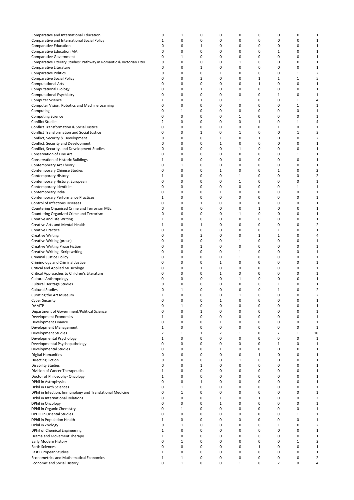| Comparative and International Education                             | 0            | 1            | 0            | 0            | 0            | 0            | 0              | 0            | 1              |
|---------------------------------------------------------------------|--------------|--------------|--------------|--------------|--------------|--------------|----------------|--------------|----------------|
| Comparative and International Social Policy                         | 1            | 0            | 0            | 0            | 0            | 0            | 0              | 0            | $1\,$          |
| <b>Comparative Education</b>                                        | 0            | 0            | 1            | 0            | 0            | 0            | 0              | 0            | $\mathbf{1}$   |
|                                                                     |              |              |              |              |              |              |                |              |                |
| <b>Comparative Education MA</b>                                     | 0            | 0            | 0            | 0            | 0            | 0            | 1              | 0            | $\mathbf{1}$   |
| <b>Comparative Government</b>                                       | 0            | 1            | 0            | 0            | 0            | 0            | 0              | 0            | $\mathbf{1}$   |
| Comparative Literary Studies: Pathway in Romantic & Victorian Liter | 0            | 0            | 0            | 0            | 1            | 0            | 0              | 0            | $\mathbf{1}$   |
| Comparative Literature                                              | 0            | 0            | 1            | 0            | 0            | 0            | 0              | 0            | $\mathbf 1$    |
| <b>Comparative Politics</b>                                         | 0            | 0            | 0            | $1\,$        | 0            | 0            | 0              | $1\,$        | $\overline{2}$ |
| Comparative Social Policy                                           | 0            | 0            | 2            | 0            | 0            | $\mathbf{1}$ | $\mathbf{1}$   | $\mathbf{1}$ | 5              |
| <b>Computational Arts</b>                                           | 0            | 0            | 0            | 0            | 0            | $\mathbf{1}$ | 0              | 0            | $\mathbf{1}$   |
| <b>Computational Biology</b>                                        | 0            | 0            | 1            | 0            | 0            | 0            | 0              | 0            | $\mathbf 1$    |
| Computational Psychiatry                                            | 0            | 0            | 0            | 0            | 0            | 0            | $\mathbf{1}$   | 0            | $\mathbf 1$    |
| <b>Computer Science</b>                                             | 1            | 0            | $1\,$        | 0            | $1\,$        | 0            | 0              | $1\,$        | 4              |
| Computer Vision, Robotics and Machine Learning                      | 0            | 0            | 0            | 0            | 0            | 0            | 0              | $1\,$        | $\mathbf{1}$   |
|                                                                     | 0            | 1            | 0            | 0            | 0            | 0            | 0              | 0            | $\mathbf{1}$   |
| Computing                                                           |              |              |              |              |              |              |                |              |                |
| <b>Computing Science</b>                                            | 0            | 0            | 0            | 0            | $\mathbf{1}$ | 0            | 0              | 0            | $\mathbf{1}$   |
| Conflict Studies                                                    | 2            | 0            | 0            | 0            | 0            | $1\,$        | 0              | $1\,$        | 4              |
| Conflict Transformation & Social Justice                            | 0            | 0            | 0            | 0            | 0            | 0            | $\mathbf{1}$   | 0            | $\mathbf{1}$   |
| <b>Conflict Transformation and Social Justice</b>                   | 0            | 0            | 1            | 0            | 1            | 0            | 0              | $\mathbf{1}$ | 3              |
| Conflict, Security & Development                                    | 0            | 0            | 0            | $\mathbf 1$  | 0            | $1\,$        | 0              | 0            | $\overline{2}$ |
| Conflict, Security and Development                                  | 0            | 0            | 0            | $\mathbf 1$  | 0            | 0            | 0              | 0            | $\mathbf{1}$   |
| Conflict, Security, and Development Studies                         | 0            | 0            | 0            | 0            | $1\,$        | 0            | 0              | 0            | $\mathbf{1}$   |
| Conservation of Fine Art                                            | 0            | 0            | 0            | 0            | 0            | 0            | $\mathbf 0$    | $1\,$        | $\mathbf{1}$   |
| <b>Conservation of Historic Buildings</b>                           | 1            | 0            | 0            | 0            | 0            | 0            | $\mathbf 0$    | 0            | $\mathbf 1$    |
| Contemporary Art Theory                                             | 0            | 1            | 0            | 0            | 0            | 0            | $\mathbf 0$    | 0            | $\mathbf{1}$   |
|                                                                     | 0            | 0            | 0            | $1\,$        | 0            | 0            | 1              | 0            | $\overline{2}$ |
| Contemporary Chinese Studies                                        |              |              |              |              |              |              |                |              |                |
| <b>Contemporary History</b>                                         | 1            | 0            | 0            | 0            | 1            | 0            | 0              | 0            | $\overline{2}$ |
| Contemporary History, European                                      | 0            | 0            | 0            | 0            | $\mathbf{1}$ | 0            | 0              | 0            | $\mathbf{1}$   |
| Contemporary Identities                                             | 0            | 0            | 0            | 0            | 0            | 0            | 0              | $1\,$        | $\mathbf{1}$   |
| Contemporary India                                                  | 0            | 0            | 0            | $1\,$        | 0            | 0            | 0              | 0            | $\mathbf{1}$   |
| <b>Contemporary Performance Practices</b>                           | 1            | 0            | 0            | 0            | 0            | 0            | 0              | 0            | $\mathbf{1}$   |
| <b>Control of Infectious Diseases</b>                               | 0            | 0            | $1\,$        | 0            | 0            | 0            | 0              | 0            | $\mathbf{1}$   |
| Countering Organised Crime and Terrorism MSc                        | 0            | 0            | 0            | 0            | 0            | $\mathbf{1}$ | 0              | 0            | $\mathbf{1}$   |
| Countering Organized Crime and Terrorism                            | 0            | 0            | 0            | 0            | $1\,$        | $\mathbf 0$  | 0              | 0            | $\mathbf{1}$   |
| Creative and Life Writing                                           | 1            | 0            | 0            | 0            | 0            | 0            | 0              | 0            | $\mathbf 1$    |
|                                                                     | $1\,$        | 0            | $\mathbf 1$  | 0            | 0            | 0            | 0              | 0            | $\overline{2}$ |
| <b>Creative Arts and Mental Health</b>                              |              |              |              |              |              |              |                |              |                |
| <b>Creative Practice</b>                                            | 0            | 0            | 0            | 0            | 0            | 0            | $\mathbf{1}$   | 0            | $\mathbf{1}$   |
| <b>Creative Writing</b>                                             | 0            | 0            | 2            | 0            | 0            | $\mathbf{1}$ | $\mathbf{1}$   | 0            | 4              |
| Creative Writing (prose)                                            | 0            | 0            | 0            | 0            | $1\,$        | 0            | 0              | 0            | $\mathbf{1}$   |
| <b>Creative Writing Prose Fiction</b>                               | 0            | 0            | 1            | 0            | 0            | 0            | 0              | 0            | $\mathbf{1}$   |
| Creative Writing--Scriptwriting                                     | 0            | 0            | 0            | 0            | $\mathbf{1}$ | 0            | 0              | 0            | $\mathbf{1}$   |
| Criminal Justice Policy                                             | 0            | 0            | 0            | 0            | $1\,$        | 0            | 0              | 0            | $\mathbf{1}$   |
| Criminology and Criminal Justice                                    | 0            | 0            | 0            | $1\,$        | 0            | 0            | 0              | 0            | $\mathbf{1}$   |
| <b>Critical and Applied Musicology</b>                              | 0            | 0            | 1            | 0            | 0            | 0            | 0              | 0            | $\mathbf{1}$   |
| Critical Approaches to Children's Literature                        | 0            | 0            | 0            | $1\,$        | 0            | 0            | 0              | 0            | $\mathbf{1}$   |
| Cultural Anthropology                                               | 0            | 0            | 0            | 0            | 1            | 0            | 0              | 0            | $\mathbf{1}$   |
|                                                                     | 0            | 0            | 0            | 0            | 0            | 0            | $\mathbf{1}$   | 0            | $\mathbf{1}$   |
| <b>Cultural Heritage Studies</b>                                    |              |              | 0            |              | 0            |              |                |              |                |
| <b>Cultural Studies</b>                                             | 0            | 1            |              | 0            |              | 0            | 1              | 0            | $\overline{2}$ |
| Curating the Art Museum                                             | $\mathbf{1}$ | 0            | 0            | 0            | $\mathbf{1}$ | 0            | $\mathbf 0$    | 0            | $\overline{2}$ |
| <b>Cyber Security</b>                                               | 0            | 0            | 0            | 1            | 0            | 0            | 0              | 0            | 1              |
| <b>DAMTP</b>                                                        | 0            | $\mathbf{1}$ | 0            | 0            | 0            | 0            | 0              | 0            | $\mathbf{1}$   |
| Department of Government/Political Science                          | 0            | 0            | 1            | 0            | 0            | 0            | 0              | 0            | $\mathbf{1}$   |
| <b>Development Economics</b>                                        | 1            | 0            | 0            | 0            | 0            | 0            | 0              | 0            | $\mathbf{1}$   |
| Development Finance                                                 | 0            | 0            | 0            | $\mathbf{1}$ | 0            | 0            | 0              | 0            | $\mathbf{1}$   |
| Development Management                                              | $\mathbf{1}$ | 0            | 0            | 0            | 0            | 0            | 0              | 0            | $\mathbf{1}$   |
| <b>Development Studies</b>                                          | 2            | $\mathbf{1}$ | $\mathbf{1}$ | 2            | $\mathbf{1}$ | 0            | $\overline{2}$ | $\mathbf{1}$ | 10             |
| Developmental Psychology                                            | $\mathbf{1}$ | 0            | 0            | $\mathsf 0$  | 0            | 0            | 0              | 0            | $\mathbf{1}$   |
| Developmental Psychopathology                                       | 0            | 0            | 0            | $\mathbf 0$  | 0            | 0            | $\mathbf{1}$   | 0            | $\mathbf{1}$   |
| Developmental Studies                                               | 0            | 0            | 0            | $\mathbf{1}$ | 0            | 0            | 0              | 0            | $\mathbf{1}$   |
| <b>Digital Humanities</b>                                           | 0            | 0            | 0            | 0            | 0            | $\mathbf 1$  | 0              | 0            |                |
|                                                                     |              |              |              |              |              |              |                |              | $\mathbf{1}$   |
| <b>Directing Fiction</b>                                            | 0            | 0            | 0            | 0            | $1\,$        | 0            | 0              | 0            | $\mathbf{1}$   |
| <b>Disability Studies</b>                                           | 0            | 0            | $\mathbf{1}$ | 0            | 0            | 0            | 0              | 0            | $\mathbf{1}$   |
| Division of Cancer Therapeutics                                     | $1\,$        | 0            | 0            | 0            | 0            | 0            | 0              | 0            | $\mathbf{1}$   |
| Doctor of Philosophy- Oncology                                      | 1            | 0            | 0            | 0            | 0            | 0            | 0              | 0            | $\mathbf{1}$   |
| DPhil in Astrophysics                                               | 0            | 0            | $\mathbf{1}$ | 0            | 0            | 0            | 0              | 0            | $\mathbf{1}$   |
| <b>DPhil in Earth Sciences</b>                                      | 0            | 1            | 0            | 0            | 0            | 0            | 0              | 0            | $\mathbf{1}$   |
| DPhil in Infection, Immunology and Translational Medicine           | 0            | $\mathbf{1}$ | 0            | 0            | 0            | 0            | 0              | 0            | $\mathbf{1}$   |
| DPhil in International Relations                                    | 0            | 0            | 0            | $\mathbf{1}$ | 0            | $\mathbf{1}$ | 0              | 0            | $\overline{2}$ |
| DPhil in Oncology                                                   | 0            | 0            | 0            | $\mathbf{1}$ | 0            | 0            | 0              | 0            | $\mathbf{1}$   |
| DPhil in Organic Chemistry                                          | 0            | $\mathbf{1}$ | 0            | $\mathsf 0$  | 0            | 0            | 0              | 0            | $\mathbf{1}$   |
| <b>DPHIL In Oriental Studies</b>                                    | 0            | 0            | 0            | 0            | 0            | 0            | 0              | $1\,$        | $\mathbf{1}$   |
|                                                                     |              |              |              |              |              |              |                |              |                |
| DPhil in Population Health                                          | $\mathbf{1}$ | 0            | 0            | 0            | $\mathbf 0$  | 0            | $\mathbf 0$    | 0            | $\mathbf{1}$   |
| DPhil in Zoology                                                    | $\mathbf 0$  | 1            | 0            | 0            | 0            | 0            | $\mathbf{1}$   | 0            | $\overline{2}$ |
| DPhil of Chemical Engineering                                       | 1            | 0            | 0            | 0            | $\mathbf 0$  | 0            | $\mathbf 0$    | 0            | $\mathbf 1$    |
| Drama and Movement Therapy                                          | 1            | 0            | 0            | 0            | 0            | 0            | 0              | 0            | $\mathbf{1}$   |
| Early Modern History                                                | 0            | $\mathbf{1}$ | 0            | 0            | 0            | 0            | 0              | $\mathbf{1}$ | $\overline{2}$ |
| <b>Earth Sciences</b>                                               | 0            | 0            | 0            | 0            | 0            | $\mathbf{1}$ | 0              | $\mathbf 0$  | $\mathbf{1}$   |
| <b>East European Studies</b>                                        | 1            | 0            | 0            | 0            | 0            | 0            | 0              | 0            | $\mathbf{1}$   |
| <b>Econometrics and Mathematical Economics</b>                      | 1            | 1            | 0            | 0            | 0            | 0            | 0              | 0            | $\overline{2}$ |
| Economic and Social History                                         | 0            | $\mathbf{1}$ | 0            | 0            | $1\,$        | 0            | 2              | 0            | 4              |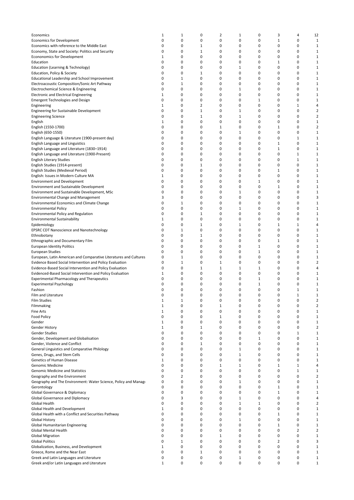| Economics                                                         | $\mathbf{1}$ | $\mathbf{1}$   | 0            | 2            | $1\,$ | 0            | 3            | 4              | 12                      |
|-------------------------------------------------------------------|--------------|----------------|--------------|--------------|-------|--------------|--------------|----------------|-------------------------|
| <b>Economics for Development</b>                                  | 0            | 0              | 0            | 0            | 0     | 0            | $1\,$        | 0              | 1                       |
| Economics with reference to the Middle East                       | 0            | 0              | $\mathbf{1}$ | 0            | 0     | 0            | 0            | 0              | 1                       |
| Economy, State and Society: Politics and Security                 | 0            | 0              | $\mathbf{1}$ | 0            | 0     | 0            | 0            | 0              | 1                       |
| Econonomics for Development                                       | $\mathbf{1}$ | 0              | 0            | 0            | 0     | 0            | 0            | 0              | $\mathbf{1}$            |
| Education                                                         | 0            | 0              | 0            | 0            | 0     | 0            | $\mathbf{1}$ | 0              | 1                       |
| Education (Learning & Technology)                                 | 0            | 0              | 0            | 0            | $1\,$ | 0            | 0            | 0              | $\mathbf{1}$            |
| Education, Policy & Society                                       | 0            | 0              | $\mathbf{1}$ | 0            | 0     | 0            | 0            | 0              | 1                       |
| Educational Leadership and School Improvement                     | 0            | $\mathbf{1}$   | 0            | 0            | 0     | 0            | 0            | 0              | $1\,$                   |
| Electroacoustic Composition/Sonic Art Pathway                     | 0            | $\mathbf{1}$   | 0            | 0            | 0     | 0            | 0            | 0              | $1\,$                   |
| Electrochemical Science & Engineering                             | 0            | 0              | 0            | 0            | 1     | 0            | 0            | 0              | $1\,$                   |
| <b>Electronic and Electrical Engineering</b>                      | 1            | 0              | 0            | 0            | 0     | 0            | 0            | 0              | 1                       |
| <b>Emergent Technologies and Design</b>                           | 0            | 0              | 0            | 0            | 0     | 1            | 0            | 0              | 1                       |
| Engineering                                                       | $\mathbf{1}$ | 0              | 2            | 0            | 0     | 0            | 0            | $\mathbf{1}$   | 4                       |
| Engineering for Sustainable Development                           | 0            | 0              | 1            | 0            | $1\,$ | 0            | 0            | 0              | 2                       |
| <b>Engineering Science</b>                                        | 0            | 0              | $\mathbf{1}$ | 0            | $1\,$ | 0            | 0            | 0              | 2                       |
| English                                                           | 1            | 0              | 0            | 0            | 0     | 0            | 0            | 0              | 1                       |
| English (1550-1700)                                               | 0            | 0              | 0            | 1            | 0     | 0            | $\mathbf{1}$ | 0              | $\overline{\mathbf{c}}$ |
| English (650-1550)                                                | 0            | 0              | 0            | 0            | 1     | 0            | 0            | 0              | 1                       |
| English Language & Literature (1900-present day)                  | 0            | 0              | 0            | 0            | 0     | 0            | 0            | $\mathbf{1}$   | 1                       |
| English Language and Linguistics                                  | 0            | 0              | 0            | 0            | 0     | 0            | 1            | 0              | 1                       |
| English Language and Literature (1830-1914)                       | 0            | 0              | 0            | 0            | 0     | 0            | 1            | 0              | $1\,$                   |
| English Language and Literature (1900-Present)                    | 0            | 0              | 0            | 0            | 0     | 0            | 0            | 1              | 1                       |
| <b>English Literary Studies</b>                                   | 0            | 0              | 0            | 0            | 0     | 0            | 0            | $\mathbf{1}$   | $\mathbf{1}$            |
| English Studies (1914-present)                                    | 0            | 0              | 1            | 0            | 0     | 0            | 0            | 0              | 1                       |
| English Studies (Medieval Period)                                 | 0            | 0              | 0            | 0            | 0     | 0            | 1            | 0              | $\mathbf{1}$            |
| English: Issues in Modern Culture MA                              | 1            | 0              | 0            | 0            | 0     | 0            | 0            | 0              | 1                       |
| <b>Environment and Development</b>                                | 0            | 0              | 0            | 0            | 0     | 1            | 0            | 0              | 1                       |
| <b>Environment and Sustainable Development</b>                    | 0            | 0              | 0            | 0            | 0     | 0            | 1            | 0              | 1                       |
| Environment and Sustainable Development, MSc                      | 0            | 0              | 0            | 0            | $1\,$ | 0            | 0            | 0              | $\mathbf{1}$            |
| <b>Environmental Change and Management</b>                        | 3            | 0              | 0            | 0            | 0     | 0            | 0            | 0              | 3                       |
| <b>Environmental Economics and Climate Change</b>                 | 0            | $\mathbf{1}$   | 0            | 0            | 0     | 0            | 0            | 0              | $1\,$                   |
| <b>Environmental Policy</b>                                       | 0            | 0              | 0            | 0            | $1\,$ | 0            | 0            | 0              | $1\,$                   |
| <b>Environmental Policy and Regulation</b>                        | 0            | 0              | $\mathbf{1}$ | 0            | 0     | 0            | 0            | 0              | $1\,$                   |
| <b>Environmental Sustainability</b>                               | $\mathbf 1$  | 0              | 0            | 0            | 0     | 0            | 0            | 0              | $1\,$                   |
| Epidemiology                                                      | 0            | 0              | $\mathbf{1}$ | 0            | 1     | 0            | 1            | $\mathbf{1}$   | 4                       |
| EPSRC CDT Nanoscience and Nanotechnology                          | 0            | $\mathbf{1}$   | 0            | 0            | 0     | 0            | 0            | 0              | 1                       |
| Ethnobotany                                                       | 0            | 0              | 1            | 0            | 0     | 0            | 0            | 0              | 1                       |
| Ethnographic and Documentary Film                                 | 0            | 0              | 0            | 0            | 0     | 0            | 1            | 0              | $\mathbf{1}$            |
| <b>European Identity Politics</b>                                 | 0            | 0              | 0            | 0            | 0     | 1            | 0            | 0              | $\mathbf{1}$            |
| <b>European Studies</b>                                           | 0            | 0              | 0            | 0            | 0     | 1            | 0            | 0              | 1                       |
| European, Latin American and Comparative Literatures and Cultures | 0            | $\mathbf{1}$   | 0            | 0            | 0     | 0            | 0            | 0              | 1                       |
| Evidence Based Social Intervention and Policy Evaluation          | 0            | $\mathbf{1}$   | 0            | $\mathbf{1}$ | 0     | 0            | 0            | 0              | $\overline{\mathbf{c}}$ |
| Evidence-Based Social Intervention and Policy Evaluation          | 0            | 0              | 1            | 1            | 1     | $1\,$        | 0            | 0              | 4                       |
| Evidenced-Based Social Intervention and Policy Evaluation         | 1            | 0              | 0            | 0            | 0     | 0            | 0            | 0              | 1                       |
| <b>Experimental Pharmacology and Therapeutics</b>                 | 0            | 0              | 0            | 0            | 0     | $1\,$        | 0            | 0              | 1                       |
| <b>Experimental Psychology</b>                                    | 0            | 0              | 0            | 0            | 0     | $\mathbf{1}$ | 0            | 0              | 1                       |
| Fashion                                                           | 0            | 0              | 0            | 0            | 0     | 0            | 0            | 1              | 1                       |
| Film and Literature                                               | 0            | 0              | 0            | 0            | 0     | 0            | $\Omega$     | $\mathbf{1}$   | $\mathbf{1}$            |
| <b>Film Studies</b>                                               | 1            | 1              | 0            | 0            | 0     | 0            | 0            | 0              | 2                       |
| Filmmaking                                                        | $\mathbf{1}$ | 0              | 0            | $\mathbf{1}$ | 0     | 0            | 0            | 0              | $\overline{2}$          |
| <b>Fine Arts</b>                                                  | $\mathbf{1}$ | 0              | 0            | 0            | 0     | 0            | 0            | 0              | $\mathbf{1}$            |
| <b>Food Policy</b>                                                | 0            | 0              | 0            | $\mathbf{1}$ | 0     | 0            | 0            | 0              | $\mathbf{1}$            |
| Gender                                                            | $\mathbf{1}$ | 0              | 0            | 0            | 0     | 0            | 0            | 0              | $\mathbf{1}$            |
| <b>Gender History</b>                                             | $\mathbf{1}$ | 0              | $\mathbf{1}$ | 0            | 0     | 0            | 0            | 0              | $\overline{2}$          |
| Gender Studies                                                    | 0            | 0              | 0            | 0            | 0     | 0            | 0            | $\mathbf{1}$   | $\mathbf{1}$            |
| Gender, Development and Globalisation                             | 0            | 0              | 0            | 0            | 0     | $\mathbf 1$  | 0            | 0              | $\mathbf{1}$            |
| Gender, Violence and Conflict                                     | 0            | 0              | $\mathbf{1}$ | 0            | 0     | 0            | 0            | 0              | $1\,$                   |
| General Linguistics and Comparative Philology                     | 0            | 0              | 0            | 0            | $1\,$ | 0            | 0            | 0              | $1\,$                   |
| Genes, Drugs, and Stem Cells                                      | 0            | 0              | 0            | 0            | $1\,$ | 0            | 0            | 0              | $1\,$                   |
| Genetics of Human Disease                                         | $\mathbf{1}$ | 0              | 0            | 0            | 0     | 0            | 0            | 0              | $1\,$                   |
| Genomic Medicine                                                  | 0            | 0              | 0            | $\mathbf{1}$ | $1\,$ | 0            | $\mathbf{1}$ | $\mathbf{1}$   | 4                       |
| <b>Genomic Medicine and Statistics</b>                            | 0            | 0              | 0            | 0            | 0     | 0            | 0            | $\mathbf{1}$   | 1                       |
| Geography and the Environment                                     | 0            | $\overline{2}$ | 0            | 0            | 0     | 0            | 0            | 0              | 2                       |
| Geography and The Environment: Water Science, Policy and Manage   | 0            | 0              | 0            | 0            | $1\,$ | 0            | 0            | 0              | 1                       |
| Gerontology                                                       | 0            | 0              | 0            | 0            | 0     | 0            | $\mathbf{1}$ | 0              | $\mathbf{1}$            |
| Global Governance & Diplomacy                                     | 0            | 0              | 0            | 0            | 0     | 0            | $\mathbf{1}$ | 0              | 1                       |
| Global Governance and Diplomacy                                   | 0            | 3              | 0            | 0            | $1\,$ | 0            | 0            | 0              | 4                       |
| Global Health                                                     | 0            | 0              | 0            | 0            | $1\,$ | $1\,$        | 0            | $\mathbf 0$    | 2                       |
| Global Health and Development                                     | $\mathbf{1}$ | 0              | 0            | 0            | 0     | 0            | 0            | 0              | $\mathbf{1}$            |
| Global Health with a Conflict and Securities Pathway              | 0            | 0              | 0            | 0            | 0     | 0            | $\mathbf{1}$ | 0              | $1\,$                   |
| <b>Global History</b>                                             | 0            | 0              | 0            | $\mathbf 0$  | $1\,$ | $\mathbf 0$  | $\mathbf 0$  | $\mathbf 0$    | $\mathbf{1}$            |
| Global Humanitarian Engineering                                   | 0            | 0              | 0            | 0            | 0     | 0            | 1            | 0              | 1                       |
| Global Mental Health                                              | 0            | 0              | 0            | $\mathsf 0$  | 0     | 0            | 0            | $\overline{2}$ | $\overline{2}$          |
| <b>Global Migration</b>                                           | 0            | 0              | 0            | $\mathbf{1}$ | 0     | 0            | 0            | 0              | $\mathbf{1}$            |
| <b>Global Politics</b>                                            | 0            | $\mathbf{1}$   | 0            | $\mathsf 0$  | 0     | 0            | 2            | 0              | 3                       |
| Globalization, Business, and Development                          | $\mathbf{1}$ | 0              | 0            | 0            | 0     | 0            | 0            | 0              | $\mathbf{1}$            |
| Greece, Rome and the Near East                                    | 0            | 0              | 1            | 0            | 0     | 0            | 0            | 0              | $\mathbf{1}$            |
| Greek and Latin Languages and Literature                          | 0            | 0              | 0            | 0            | $1\,$ | 0            | 0            | 0              | 1                       |
| Greek and/or Latin Languages and Literature                       | $\mathbf{1}$ | 0              | 0            | 0            | 0     | 0            | 0            | 0              | $\mathbf{1}$            |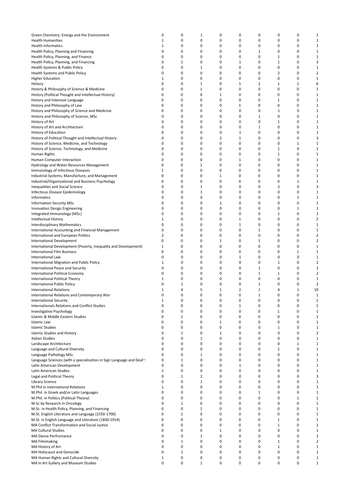| Green Chemistry: Energy and the Environment                         | 0            | 0            | $\mathbf{1}$   | 0              | 0            | 0              | 0              | 0           | 1              |
|---------------------------------------------------------------------|--------------|--------------|----------------|----------------|--------------|----------------|----------------|-------------|----------------|
| <b>Health Humanities</b>                                            | 1            | 0            | 0              | 0              | 0            | 0              | 0              | 0           | $\mathbf 1$    |
| <b>Health Informatics</b>                                           | 1            | 0            | 0              | 0              | 0            | 0              | 0              | 0           | $\mathbf 1$    |
|                                                                     |              |              |                |                |              |                |                |             |                |
| Health Policy, Planning and Financing                               | 0            | 0            | 0              | 0              | 0            | $\mathbf{1}$   | 0              | 0           | $\mathbf{1}$   |
| Health Policy, Planning, and Finance                                | 0            | 0            | 0              | 0              | 0            | 0              | 1              | 0           | $\mathbf{1}$   |
| Health Policy, Planning, and Financing                              | 0            | $\mathbf 1$  | 0              | 0              | $\mathbf{1}$ | 0              | $\mathbf{1}$   | 0           | 3              |
| Health Systems & Public Policy                                      | 0            | 0            | 1              | 0              | 0            | 0              | 0              | 0           | $\mathbf 1$    |
|                                                                     | 0            | 0            | 0              | 0              | 0            | 0              | $\overline{2}$ | 0           | $\overline{2}$ |
| <b>Health Systems and Public Policy</b>                             |              |              |                |                |              |                |                |             |                |
| <b>Higher Education</b>                                             | 1            | 0            | 0              | 0              | 0            | 0              | 0              | 0           | $\mathbf{1}$   |
| History                                                             | 0            | 0            | $1\,$          | 0              | $\mathbf{1}$ | $\overline{2}$ | $\mathbf{1}$   | $1\,$       | 6              |
| History & Philosophy of Science & Medicine                          | 0            | 0            | $1\,$          | 0              | 0            | 0              | 0              | 0           | $\mathbf{1}$   |
| History (Political Thought and Intellectual History)                | 0            | 0            | 0              | $\mathbf{1}$   | 0            | 0              | 0              | 0           | $\mathbf{1}$   |
|                                                                     |              |              |                |                |              |                |                |             |                |
| History and Intensive Language                                      | 0            | 0            | 0              | 0              | 0            | 0              | 1              | 0           | $\mathbf{1}$   |
| History and Philosophy of Law                                       | 0            | 0            | 0              | 0              | 1            | 0              | 0              | 0           | $\mathbf{1}$   |
| History and Philosophy of Science and Medicine                      | 0            | 0            | 0              | 0              | 0            | 0              | $\mathbf{1}$   | 0           | $\mathbf 1$    |
| History and Philosophy of Science, MSc                              | 0            | 0            | 0              | 0              | 0            | $\mathbf{1}$   | 0              | 0           | $\mathbf{1}$   |
|                                                                     |              |              |                |                |              |                |                |             |                |
| History of Art                                                      | 0            | 0            | 0              | 0              | 0            | 0              | 1              | 0           | $\mathbf{1}$   |
| History of Art and Architecture                                     | 0            | 0            | 0              | 0              | 0            | $\mathbf 1$    | 0              | 0           | $\mathbf 1$    |
| History of Education                                                | 0            | 0            | 0              | 0              | $\mathbf{1}$ | 0              | 0              | 0           | $\mathbf 1$    |
| History of Political Thought and Intellectual History               | 0            | 0            | 0              | $\overline{2}$ | $\mathbf{1}$ | 0              | 0              | 0           | 3              |
|                                                                     |              |              |                |                |              |                |                |             |                |
| History of Science, Medicine, and Technology                        | 0            | 0            | 0              | 0              | 0            | 0              | 0              | 1           | $\mathbf 1$    |
| History of Science, Technology, and Medicine                        | 0            | 0            | 0              | 0              | 0            | 0              | $\mathbf{1}$   | 0           | $\mathbf{1}$   |
| Human Rights                                                        | 0            | 0            | 0              | 0              | 0            | 0              | $\mathbf{1}$   | 0           | $\mathbf{1}$   |
| Human-Computer Interaction                                          | 0            | 0            | 0              | 0              | 1            | 0              | 0              | 0           | $\mathbf{1}$   |
|                                                                     |              |              |                |                |              |                |                |             |                |
| Hydrology and Water Resources Management                            | 0            | 0            | 1              | 0              | 0            | 0              | 0              | 0           | $\mathbf{1}$   |
| Immunology of Infectious Diseases                                   | 1            | 0            | 0              | 0              | 0            | 0              | 0              | 0           | $\mathbf 1$    |
| Industrial Systems, Manufacture, and Management                     | 0            | 0            | 0              | $\mathbf{1}$   | 0            | 0              | 0              | 0           | $\mathbf 1$    |
|                                                                     | 0            | 0            | 0              | 0              | 0            | 0              | 0              | 1           | $\mathbf 1$    |
| Industrial/Organizational and Business Psychology                   |              |              |                |                |              |                |                |             |                |
| <b>Inequalities and Social Science</b>                              | 0            | 0            | 1              | 0              | 0            | 0              | $\overline{2}$ | 0           | 3              |
| Infectious Disease Epidemiology                                     | 0            | 0            | $1\,$          | 0              | 0            | 0              | 0              | 0           | $\mathbf 1$    |
| Informatics                                                         | 0            | 0            | 0              | 0              | 0            | 0              | 0              | $1\,$       | $\mathbf 1$    |
|                                                                     |              |              |                |                |              |                |                |             |                |
| <b>Information Security MSc</b>                                     | 0            | 0            | 0              | 1              | 0            | 0              | 0              | 0           | $\mathbf{1}$   |
| Innovation Design Engineering                                       | 0            | 0            | 0              | 0              | 0            | 0              | 0              | $1\,$       | $\mathbf{1}$   |
| Integrated Immunology (MSc)                                         | 0            | 0            | 0              | 0              | 0            | 0              | 1              | 0           | $\mathbf{1}$   |
| Intellectual History                                                | 1            | 0            | 0              | 0              | $\mathbf{1}$ | 0              | 0              | 0           | $\overline{2}$ |
|                                                                     |              |              |                |                |              |                |                |             |                |
| <b>Interdisciplinary Mathematics</b>                                | 0            | 0            | 0              | 0              | $\mathbf{1}$ | 0              | 0              | 0           | $\mathbf{1}$   |
| International Accounting and Financial Management                   | 0            | 0            | 0              | 0              | 0            | 1              | 0              | 0           | $\mathbf{1}$   |
| International and European Politics                                 | 2            | 0            | 0              | 0              | 0            | 0              | 0              | 0           | $\overline{2}$ |
| <b>International Development</b>                                    | 0            | 0            | 0              | $1\,$          | 0            | 1              | 0              | 0           | $\overline{2}$ |
|                                                                     |              |              |                |                |              |                |                |             |                |
| International Development (Poverty, Inequality and Development)     | $\mathbf 1$  | 0            | 0              | 0              | 0            | 0              | 0              | 0           | $\mathbf{1}$   |
| <b>International Film Business</b>                                  | 0            | 0            | 0              | 0              | 0            | 0              | 0              | $\mathbf 1$ | $\mathbf{1}$   |
| International Law                                                   | 0            | 0            | 0              | 0              | 1            | 0              | $\mathbf 0$    | 0           | $\mathbf{1}$   |
| International Migration and Public Policy                           | 1            | 0            | 0              | 0              | 0            | 0              | 1              | 0           | $\overline{2}$ |
|                                                                     |              |              |                |                |              |                |                |             |                |
| <b>International Peace and Security</b>                             | 0            | 0            | 0              | 0              | 0            | 1              | $\mathbf 0$    | 0           | $\mathbf 1$    |
| International Political Economy                                     | 0            | 0            | 0              | 0              | 0            | $\mathbf 1$    | 1              | 0           | $\overline{2}$ |
| International Political Theory                                      | 1            | 0            | 0              | 0              | 0            | 0              | 0              | 0           | $\mathbf{1}$   |
|                                                                     | 0            | 1            | 0              | 0              | 0            | 1              | 0              | 0           | $\overline{2}$ |
| <b>International Public Policy</b>                                  |              |              |                |                |              |                |                |             |                |
| <b>International Relations</b>                                      | 1            | 4            | 5              | 1              | 2            | 1              | 4              | $\mathbf 1$ | 19             |
| International Relations and Contemporary War                        | 0            | 0            | 0              | 0              | 0            | $\mathbf{1}$   | 0              | 0           | $1\,$          |
| <b>International Security</b>                                       | 1            | 0            | 0              | 0              | 0            | 0              | 0              | 0           | 1              |
| <b>Internationals Relations and Conflict Studies</b>                | 0            | 0            | 0              | 0              | $\mathbf{1}$ | 0              | 0              | 0           | $\mathbf{1}$   |
|                                                                     |              |              |                |                |              |                |                |             |                |
| Investigative Psychology                                            | 0            | 0            | 0              | $\mathbf 0$    | $\mathbf 0$  | 0              | $\mathbf{1}$   | 0           | $\mathbf{1}$   |
| Islamic & Middle Eastern Studies                                    | 0            | $1\,$        | 0              | $\mathbf 0$    | 0            | 0              | $\mathbf 0$    | 0           | $\mathbf{1}$   |
| Islamic Law                                                         | 0            | 0            | 0              | $\mathbf 1$    | $\mathbf 0$  | 0              | $\mathbf 0$    | 0           | $\mathbf{1}$   |
| Islamic Studies                                                     | 0            | $\mathbf 0$  | 0              | $\mathbf 0$    | 0            | 0              | $\mathbf{1}$   | 0           | $\mathbf 1$    |
|                                                                     |              |              |                |                |              |                |                |             |                |
| <b>Islamic Studies and History</b>                                  | 0            | $\mathbf 1$  | 0              | $\mathbf 1$    | 0            | 0              | $\mathbf 0$    | 0           | $\overline{2}$ |
| Italian Studies                                                     | 0            | 0            | $\mathbf{1}$   | 0              | 0            | 0              | 0              | 0           | $\mathbf{1}$   |
| Landscape Architecture                                              | 0            | 0            | 0              | 0              | 0            | 0              | 0              | $\mathbf 1$ | $\mathbf{1}$   |
| Language and Cultural Diversity                                     | 0            | 0            | 0              | 0              | 0            | 0              | $\mathbf{1}$   | 0           | $\mathbf{1}$   |
|                                                                     |              |              |                |                |              |                |                |             |                |
| Language Pathology MSc                                              | 0            | 0            | $\mathbf{1}$   | 0              | 0            | $\mathbf 0$    | 0              | 0           | $\mathbf{1}$   |
| Language Sciences (with a specialisation in Sign Language and Deaf! | 0            | $\mathbf{1}$ | 0              | 0              | 0            | 0              | 0              | 0           | $\mathbf{1}$   |
| Latin American Development                                          | 0            | 0            | 0              | 0              | $1\,$        | $\mathbf 0$    | 0              | 0           | $\mathbf{1}$   |
| Latin American Studies                                              | $1\,$        | 0            | $\mathbf 0$    | 0              | 0            | 0              | 0              | 0           | $\mathbf{1}$   |
|                                                                     |              |              |                |                |              |                |                |             |                |
| Legal and Political Theory                                          | 0            | $\mathbf 1$  | $\overline{2}$ | 0              | $\mathbf 0$  | $\mathbf 0$    | $\mathbf 0$    | 0           | 3              |
| Library Science                                                     | 0            | $\mathbf 0$  | $\mathbf{1}$   | 0              | 0            | 0              | 0              | 0           | $\mathbf{1}$   |
| M.Phil in International Relations                                   | $\mathbf{1}$ | 0            | 0              | 0              | 0            | 0              | $\mathbf 0$    | 0           | $\mathbf 1$    |
| M.Phil. in Greek and/or Latin Languages                             | 0            | 0            | $\mathbf 0$    | 0              | 0            | $\mathbf{1}$   | $\mathbf 0$    | $\mathbf 0$ | $\mathbf{1}$   |
|                                                                     |              |              |                |                |              |                |                |             |                |
| M.Phil. in Politics (Political Theory)                              | 0            | 0            | $\mathbf 0$    | 0              | 0            | 0              | $\mathbf 0$    | $\mathbf 1$ | $\mathbf 1$    |
| M.Sc by Research in Oncology                                        | $\Omega$     | $\mathbf{1}$ | 0              | 0              | 0            | 0              | $\Omega$       | 0           | $\mathbf{1}$   |
| M.Sc. in Health Policy, Planning, and Financing                     | 0            | 0            | $1\,$          | 0              | 0            | 0              | 0              | 0           | $\mathbf{1}$   |
|                                                                     | 0            | $\mathbf{1}$ | 0              | 0              | 0            | 0              | 0              | 0           | $\mathbf{1}$   |
| M.St. English Literature and Language (1550-1700)                   |              |              |                |                |              |                |                |             |                |
| M.St. in English Language and Literature (1830-1914)                | 0            | 0            | 0              | 0              | 0            | 0              | $1\,$          | 0           | $\mathbf{1}$   |
| MA Conflict Transformation and Social Justice                       | 0            | 0            | 0              | 0              | 0            | 0              | $1\,$          | 0           | $\mathbf{1}$   |
| <b>MA Cultural Studies</b>                                          | 0            | 0            | 0              | $\mathbf{1}$   | 0            | 0              | 0              | 0           | $\mathbf{1}$   |
| <b>MA Dance Perfromance</b>                                         | 0            | 0            | $1\,$          | 0              | 0            | $\mathbf 0$    | 0              | 0           | $\mathbf{1}$   |
|                                                                     |              |              |                |                |              |                |                |             |                |
| <b>MA Filmmaking</b>                                                | 0            | $1\,$        | 0              | 0              | 0            | $\mathbf 0$    | $\mathbf{1}$   | 0           | $\overline{2}$ |
| MA History of Art                                                   | 0            | 0            | 0              | 0              | 0            | $\mathbf 0$    | $\mathbf{1}$   | 0           | $\mathbf{1}$   |
| MA Holocaust and Genocide                                           | 0            | $\mathbf 1$  | 0              | $\mathbf 0$    | 0            | 0              | $\mathbf 0$    | 0           | $\mathbf{1}$   |
| MA Human Rights and Cultural Diversity                              | $\mathbf 1$  | 0            | 0              | 0              | 0            | 0              | 0              | 0           | $\mathbf{1}$   |
|                                                                     |              |              |                |                |              |                |                |             |                |
| MA in Art Gallery and Museum Studies                                | 0            | 0            | $\mathbf{1}$   | 0              | 0            | 0              | $\mathbf 0$    | 0           | $\mathbf 1$    |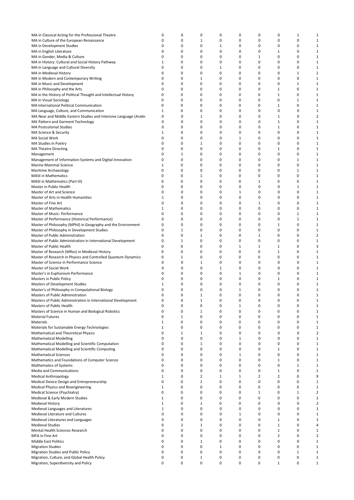| MA in Classical Acting for the Professional Theatre               | 0            | 0            | 0            | 0            | 0            | 0              | 0            | $\mathbf{1}$ | $1\,$          |
|-------------------------------------------------------------------|--------------|--------------|--------------|--------------|--------------|----------------|--------------|--------------|----------------|
| MA in Culture of the European Renaissance                         | 0            | 0            | 1            | 0            | 0            | 0              | 0            | 0            | $\mathbf{1}$   |
| MA in Development Studies                                         | 0            | 0            | 0            | 1            | 0            | 0              | 0            | 0            | 1              |
|                                                                   | 0            | 0            | 0            | 0            | 0            | 0              | 1            | 0            | 1              |
| MA in English Literature                                          |              |              |              |              |              |                |              |              |                |
| MA in Gender, Media & Culture                                     | 0            | 0            | 0            | 0            | 0            | 1              | 0            | 0            | 1              |
| MA in History: Cultural and Social History Pathway                | 1            | 0            | 0            | 0            | 0            | 0              | 0            | 0            | $\mathbf{1}$   |
| MA in Language and Cultural Diversity                             | 0            | 0            | 0            | 1            | 0            | 0              | 0            | 0            | $\mathbf{1}$   |
| MA in Medieval History                                            | 0            | 0            | 0            | 0            | 0            | 0              | 0            | 1            | $\mathbf{1}$   |
|                                                                   |              |              |              |              |              |                |              |              |                |
| MA in Modern and Contemporary Writing                             | 0            | 0            | 1            | 0            | 0            | 0              | 0            | 0            | $\mathbf{1}$   |
| MA in Music and Development                                       | 0            | 0            | 0            | 0            | 0            | 0              | 0            | 1            | $\mathbf{1}$   |
| MA in Philosophy and the Arts                                     | 0            | 0            | 0            | 0            | 0            | 0              | 1            | 0            | $\mathbf{1}$   |
| MA in the History of Political Thought and Intellectual History   | 0            | 0            | 0            | 0            | 0            | 0              | 1            | 0            |                |
|                                                                   |              |              |              |              |              |                |              |              | $\mathbf{1}$   |
| MA in Visual Sociology                                            | 0            | 0            | 0            | 0            | 0            | 0              | 0            | $\mathbf{1}$ | $\mathbf{1}$   |
| MA International Political Communication                          | 0            | 0            | 0            | 0            | 0            | 0              | 1            | 0            | $\mathbf{1}$   |
| MA Language, Culture, and Communication                           | 1            | 0            | 0            | 0            | 0            | 0              | 0            | 0            | 1              |
|                                                                   |              |              |              |              |              |                |              |              |                |
| MA Near and Middle Eastern Studies and Intensive Language (Arabio | 0            | 0            | 1            | 0            | 0            | 0              | 1            | 0            | 2              |
| MA Pattern and Garment Technology                                 | 0            | 0            | 0            | 0            | 0            | 0              | 1            | 0            | $\mathbf{1}$   |
| <b>MA Postcolonial Studies</b>                                    | 0            | 0            | 0            | 0            | 0            | 0              | 1            | 0            | $\mathbf{1}$   |
| MA Science & Security                                             | 1            | 0            | 0            | 0            | 0            | 0              | 0            | 0            | 1              |
|                                                                   |              |              |              |              |              |                |              |              |                |
| MA Social Work                                                    | 0            | 0            | $\Omega$     | 0            | 1            | 0              | 0            | 0            | 1              |
| MA Studies in Poetry                                              | 0            | 0            | 1            | 0            | 0            | 0              | 0            | $\mathbf 0$  | 1              |
| <b>MA Theatre Directing</b>                                       | 0            | 0            | 0            | 0            | 0            | 0              | 1            | 0            | $\mathbf{1}$   |
|                                                                   | 0            | 1            | 0            | 0            | 0            | 0              | 0            | 0            | 1              |
| Management                                                        |              |              |              |              |              |                |              |              |                |
| Management of Information Systems and Digital Innovation          | 0            | 0            | 0            | 0            | 0            | 0              | 0            | $\mathbf{1}$ | 1              |
| Marine Mammal Science                                             | 1            | 0            | 0            | 0            | 0            | 0              | 0            | 0            | 1              |
| Maritime Archaeology                                              | 0            | 0            | 0            | 0            | 0            | 0              | 0            | $\mathbf{1}$ | $\mathbf{1}$   |
|                                                                   | 0            | 0            |              | 0            |              | 0              |              | 0            |                |
| <b>MASt in Mathematics</b>                                        |              |              | 1            |              | 0            |                | 0            |              | $\mathbf{1}$   |
| <b>MASt in Mathematics (Part III)</b>                             | 0            | 0            | 0            | 0            | 0            | $1\,$          | 0            | 0            | $\mathbf{1}$   |
| Master in Public Health                                           | 0            | 0            | 0            | 0            | 0            | 0              | 0            | 1            | $\mathbf{1}$   |
| Master of Art and Science                                         | 0            | 0            | 0            | 0            | 1            | 0              | 0            | 0            | 1              |
|                                                                   |              |              |              |              |              |                |              |              |                |
| Master of Arts in Health Humanities                               | 1            | 0            | 0            | 0            | 0            | 0              | 0            | 0            | $\mathbf{1}$   |
| Master of Fine Art                                                | 0            | 0            | 0            | 0            | 0            | 1              | 0            | $\mathbf 0$  | $\mathbf{1}$   |
| <b>Master of Mathematics</b>                                      | 1            | 0            | 0            | 0            | 0            | 0              | 0            | 0            | $\mathbf{1}$   |
| Master of Music: Performance                                      | 0            | 0            | 0            | 0            | 0            | 0              | 0            | $\mathbf{1}$ | $\mathbf{1}$   |
|                                                                   |              |              |              |              |              |                |              |              |                |
| Master of Performance (Historical Performance)                    | 0            | 0            | 0            | 0            | 0            | 0              | 0            | $\mathbf{1}$ | $\mathbf{1}$   |
| Master of Philosophy (MPhil) in Geography and the Environment     | 0            | 0            | 0            | 0            | 0            | 0              | 1            | 0            | 1              |
| Master of Philosophy in Development Studies                       | 0            | 1            | 0            | 0            | 0            | 0              | 0            | 0            | 1              |
|                                                                   |              |              |              |              |              |                |              |              |                |
| Master of Public Administration                                   | 0            | 0            | 1            | 0            | 0            | 1              | 0            | 0            | 2              |
| Master of Public Administration in International Development      | 0            | $\mathbf 1$  | 0            | 0            | 0            | 0              | 0            | 0            | $\mathbf{1}$   |
| Master of Public Health                                           | 0            | 0            | 0            | 0            | 1            | 1              | 1            | 0            | 3              |
| Master of Research (MRes) in Medieval History                     | 0            | 0            | 0            | 0            | 0            | 0              | 1            | 0            | $\mathbf{1}$   |
|                                                                   |              |              |              |              |              |                |              |              |                |
| Master of Research in Physics and Controlled Quantum Dynamics     | 0            | 1            | 0            | 0            | 0            | 0              | 0            | 0            | 1              |
| Master of Science in Performance Science                          | 0            | 0            | 1            | 0            | 0            | 0              | 0            | 0            | $\mathbf{1}$   |
| Master of Social Work                                             | 0            | 0            | 0            | 1            | 0            | 0              | 0            | 0            | 1              |
| Master's in Euphonium Performance                                 | 0            | 0            | $\Omega$     | 0            | 1            | 0              | 0            | 0            | $\mathbf{1}$   |
|                                                                   |              |              |              |              |              |                |              |              |                |
| Masters in Public Policy                                          | 0            | 0            | 0            | 0            | 0            | 0              | 1            | 0            | 1              |
| Masters of Development Studies                                    | 1            | 0            | 0            | 0            | 0            | 0              | 0            | 0            | 1              |
| Master's of Philosophy in Computational Biology                   | 0            | 0            | 0            | 0            | 1            | 0              | 0            | 0            | 1              |
| Masters of Public Administration                                  | $\Omega$     | 0            | 1            | 0            | $\Omega$     | 0              | 0            | 0            | 1              |
|                                                                   |              |              |              |              |              |                |              |              |                |
| Masters of Public Administration in International Development     | 0            | 0            | 1            | 0            | 0            | 0              | 0            | 0            | 1              |
| Masters of Public Health                                          | 0            | 0            | 0            | 0            | 1            | 0              | 0            | 0            | $\mathbf{1}$   |
| Masters of Science in Human and Biological Robotics               | 0            | 0            | 1            | 0            | 0            | 0              | 0            | 0            | $\mathbf{1}$   |
|                                                                   | 0            | $\mathbf{1}$ | 0            | 0            | 0            | 0              | 0            | 0            | $\mathbf{1}$   |
| <b>Material Futures</b>                                           |              |              |              |              |              |                |              |              |                |
| Materials                                                         | 1            | 0            | 0            | 0            | 0            | 0              | 0            | 0            | 1              |
| Materials for Sustainable Energy Technologies                     | $1\,$        | 0            | 0            | 0            | 0            | 0              | 0            | 0            | 1              |
| Mathematical and Theoretical Physics                              | 0            | $\mathbf{1}$ | $1\,$        | 0            | 0            | 0              | 0            | 0            | $\overline{2}$ |
| <b>Mathematical Modelling</b>                                     | 0            | 0            | 0            | 0            | 1            | 0              | 0            | 0            | $\mathbf{1}$   |
|                                                                   |              |              |              |              |              |                |              |              |                |
| Mathematical Modelling and Scientific Computation                 | 0            | 0            | $\mathbf{1}$ | 0            | 0            | 0              | 0            | 0            | $\mathbf{1}$   |
| Mathematical Modelling and Scientific Computing                   | 0            | 0            | 0            | 0            | 0            | 0              | $\mathbf 1$  | 0            | $1\,$          |
| <b>Mathematical Sciences</b>                                      | 0            | 0            | 0            | 0            | $\mathbf{1}$ | 0              | 0            | 0            | $\mathbf{1}$   |
|                                                                   | 0            |              |              |              |              |                |              |              |                |
| Mathematics and Foundations of Computer Science                   |              | 0            | 0            | 0            | 0            | 0              | $\mathbf{1}$ | 0            | $\mathbf{1}$   |
| <b>Mathematics of Systems</b>                                     | 0            | 0            | 0            | 0            | 0            | 0              | 0            | $\mathbf{1}$ | $\mathbf{1}$   |
| Media and Communications                                          | 0            | 0            | 0            | 0            | 0            | 0              | $\mathbf{1}$ | 0            | $\mathbf{1}$   |
| <b>Medical Anthropology</b>                                       | $\mathbf{1}$ | 0            | 2            | $\mathbf{1}$ | $\mathbf{1}$ | $\overline{2}$ | 2            | 0            | 9              |
|                                                                   |              |              |              |              |              |                |              |              |                |
| Medical Device Design and Entrepreneurship                        | 0            | 0            | $1\,$        | 0            | 0            | 0              | 0            | 0            | $\mathbf{1}$   |
| Medical Physics and Bioengineering                                | $\mathbf{1}$ | 0            | 0            | 0            | 0            | 0              | 0            | 0            | 1              |
| Medical Science (Psychiatry)                                      | 0            | 0            | 0            | 0            | 0            | $\mathbf{1}$   | 0            | $\mathbf{1}$ | $\overline{2}$ |
|                                                                   | $\mathbf{1}$ | 0            | 0            | 0            | 0            | 0              | 0            | $\mathsf 0$  | $\mathbf{1}$   |
| Medieval & Early Modern Studies                                   |              |              |              |              |              |                |              |              |                |
| Medieval History                                                  | 1            | 0            | 1            | 0            | 0            | 0              | 0            | 0            | $\overline{2}$ |
| Medieval Languages and Literatures                                | $\mathbf{1}$ | 0            | 0            | 0            | 0            | 0              | 0            | 0            | $\mathbf{1}$   |
| Medieval Literature and Cultures                                  | 0            | 0            | 0            | 0            | 1            | 0              | 0            | 0            | $\mathbf{1}$   |
|                                                                   |              |              |              |              |              |                |              |              |                |
| Medieval Literatures and Languages                                | 0            | 0            | 0            | 0            | 0            | 0              | $\mathbf{1}$ | 0            | $\mathbf{1}$   |
| <b>Medieval Studies</b>                                           | 0            | 2            | 1            | 0            | 0            | 0              | $\mathbf{1}$ | 0            | 4              |
| Mental Health Sciences Research                                   | 0            | 0            | 0            | 0            | 0            | 0              | $\mathbf{1}$ | 0            | 1              |
| MFA in Fine Art                                                   | 0            | 0            | 0            | 0            | 0            | 0              | 2            | 0            | 2              |
|                                                                   |              |              |              |              |              |                |              |              |                |
| Middle East Politics                                              | 0            | 0            | 1            | 0            | 0            | 0              | 0            | 0            | $\mathbf{1}$   |
| <b>Migration Studies</b>                                          | 0            | 0            | 0            | 1            | 0            | 0              | 0            | 0            | $\mathbf{1}$   |
| Migration Studies and Public Policy                               | 0            | 0            | 0            | 0            | 0            | 0              | 0            | $\mathbf{1}$ | 1              |
| Migration, Culture, and Global Health Policy                      | 0            | 0            | 1            | 0            | 0            | 0              | 0            | 0            | $\mathbf{1}$   |
|                                                                   |              |              |              |              |              |                |              |              |                |
| Migration, Superdiversity and Policy                              | 0            | 0            | 0            | 0            | 0            | 0              | 1            | 0            | $\mathbf{1}$   |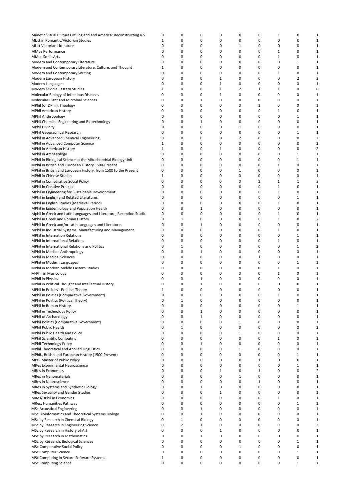| Mimetic Visual Cultures of England and America: Reconstructing a S  | 0           | 0              | 0            | 0            | 0              | 0            | $\mathbf{1}$ | 0              | $\mathbf 1$    |
|---------------------------------------------------------------------|-------------|----------------|--------------|--------------|----------------|--------------|--------------|----------------|----------------|
|                                                                     |             |                |              |              |                |              |              |                |                |
| MLitt in Romantic/Victorian Studies                                 | 1           | 0              | 0            | 0            | 0              | 0            | 0            | 0              | $\mathbf 1$    |
| MLitt Victorian Literature                                          | 0           | 0              | 0            | 0            | 1              | 0            | 0            | 0              | $\mathbf{1}$   |
| MMus Performance                                                    | 0           | 0              | 0            | 0            | 0              | 0            | 1            | 0              | $\mathbf 1$    |
| <b>MMus Sonic Arts</b>                                              | 0           | 0              | 0            | 0            | 0              | 0            | 1            | 0              | $\mathbf 1$    |
| Modern and Contemporary Literature                                  | 0           | 0              | 0            | 0            | 0              | 0            | 0            | $\mathbf{1}$   | $\mathbf 1$    |
|                                                                     |             |                |              |              |                |              |              |                |                |
| Modern and Contemporary Literature, Culture, and Thought            | $\mathbf 1$ | 0              | 0            | 0            | 0              | 0            | 0            | 0              | $\mathbf 1$    |
| Modern and Contemporary Writing                                     | 0           | 0              | 0            | 0            | 0              | 0            | $\mathbf{1}$ | 0              | $1\,$          |
| Modern European History                                             | 0           | 0              | 0            | $1\,$        | 0              | 0            | 0            | $\overline{2}$ | 3              |
| Modern Languages                                                    | 0           | 0              | 0            | $1\,$        | 0              | 0            | 0            | 0              | $\mathbf 1$    |
|                                                                     | 1           | 0              | 0            | $\mathbf{1}$ | $\overline{2}$ | $\mathbf{1}$ | $\mathbf{1}$ | 0              | 6              |
| Modern Middle Eastern Studies                                       |             |                |              |              |                |              |              |                |                |
| Molecular Biology of Infectious Diseases                            | 0           | 0              | 0            | $\,$ 1       | 0              | 0            | 0            | 0              | $\mathbf{1}$   |
| Molecular Plant and Microbial Sciences                              | 0           | 0              | 1            | 0            | 0              | 0            | 0            | 0              | $\mathbf{1}$   |
| MPhil (or DPhil), Theology                                          | 0           | 0              | 0            | 0            | 0              | $\mathbf 1$  | 0            | 0              | $\mathbf{1}$   |
| <b>MPhil American History</b>                                       | 0           | 0              | 0            | 0            | 0              | 0            | $\mathbf{1}$ | 0              | $\mathbf{1}$   |
|                                                                     |             |                |              |              |                |              |              |                |                |
| <b>MPhil Anthropology</b>                                           | 0           | 0              | 0            | 0            | 0              | 0            | 0            | $\mathbf{1}$   | $\mathbf{1}$   |
| MPhil Chemical Engineering and Biotechnology                        | 0           | 0              | 1            | 0            | 0              | 0            | 0            | 0              | $\mathbf{1}$   |
| <b>MPhil Divinity</b>                                               | 0           | 0              | 0            | 0            | $1\,$          | 0            | 0            | 0              | $\mathbf{1}$   |
| MPhil Geographical Research                                         | 0           | 0              | 0            | 0            | 0              | 0            | 0            | $\mathbf{1}$   | $\mathbf{1}$   |
| MPhil in Advanced Chemical Engineering                              | 0           | 0              | 0            | 0            | $\overline{2}$ | 0            | 0            | 0              | $\overline{2}$ |
|                                                                     |             |                |              |              |                |              |              |                |                |
| MPhil in Advanced Computer Science                                  | 1           | 0              | 0            | 0            | 0              | 0            | $\mathbf 0$  | 0              | $\mathbf{1}$   |
| MPhil in American History                                           | $\mathbf 1$ | 0              | 0            | $\mathbf 1$  | 0              | 0            | 0            | 0              | $\overline{2}$ |
| MPhil in Archaeology                                                | 0           | 0              | 0            | 0            | 0              | 0            | 0            | $1\,$          | $\mathbf{1}$   |
| MPhil in Biological Science at the Mitochondrial Biology Unit       | 0           | 0              | 0            | 0            | 0              | 0            | 0            | $1\,$          | $\mathbf{1}$   |
|                                                                     | 0           | 0              | 0            | 0            | 0              | 0            | 1            | 0              | 1              |
| MPhil in British and European History 1500-Present                  |             |                |              |              |                |              |              |                |                |
| MPhil in British and European History, from 1500 to the Present     | 0           | 0              | 0            | 0            | 1              | 0            | 0            | 0              | $\mathbf{1}$   |
| MPhil in Chinese Studies                                            | 1           | 0              | 0            | 0            | 0              | 0            | 0            | 0              | $\mathbf{1}$   |
| MPhil in Comparative Social Policy                                  | 0           | 0              | 0            | 0            | 0              | $1\,$        | $\mathbf{1}$ | $\mathbf{1}$   | 3              |
| <b>MPhil in Creative Practice</b>                                   | 0           | 0              | 0            | 0            | 0              | 0            | $\mathbf{1}$ | 0              | $1\,$          |
|                                                                     |             |                |              |              |                |              |              |                |                |
| MPhil in Engineering for Sustainable Development                    | 0           | 0              | 0            | 0            | 0              | 0            | 1            | 0              | $\mathbf 1$    |
| MPhil in English and Related Literatures                            | 0           | 0              | 0            | 0            | 0              | 0            | 0            | $1\,$          | $\mathbf 1$    |
| MPhil in English Studies (Medieval Period)                          | 0           | 0              | 0            | 0            | 0              | 0            | $\mathbf{1}$ | 0              | $\mathbf{1}$   |
| MPhil in Epidemiology and Population Health                         | 0           | 0              | $1\,$        | 0            | 0              | 0            | 0            | 0              | $\mathbf{1}$   |
|                                                                     |             |                |              |              |                |              |              |                |                |
| Mphil in Greek and Latin Languages and Literature, Reception Studie | 0           | 0              | 0            | 0            | 0              | 0            | $\mathbf{1}$ | 0              | $\mathbf{1}$   |
| MPhil in Greek and Roman History                                    | 0           | $\mathbf 1$    | 0            | 0            | 0              | 0            | $\mathbf{1}$ | 0              | $\overline{2}$ |
| MPhil in Greek and/or Latin Languages and Literatures               | 0           | 0              | 1            | 0            | 0              | 0            | 0            | 0              | $\mathbf{1}$   |
| MPhil in Industrial Systems, Manufacturing and Management           | 0           | 0              | 0            | 0            | 0              | 0            | $\mathbf{1}$ | 0              | $\mathbf{1}$   |
|                                                                     |             |                |              |              |                |              |              |                |                |
| <b>MPhil in Internation Relations</b>                               | 0           | 0              | 0            | 0            | 0              | 0            | 0            | $1\,$          | $\mathbf{1}$   |
| <b>MPhil in International Relations</b>                             | 0           | 0              | 0            | 0            | 0              | 0            | $\mathbf{1}$ | 0              | $\mathbf{1}$   |
| MPhil in International Relations and Politics                       | 0           | $\mathbf 1$    | 0            | 0            | 0              | 0            | 0            | $1\,$          | $\overline{2}$ |
| MPhil in Medical Anthropology                                       | 0           | 0              | $\mathbf{1}$ | 0            | 0              | 0            | 0            | 0              | $\mathbf{1}$   |
| <b>MPhil in Medical Sciences</b>                                    | 0           | 0              | 0            | 0            | 0              | $\mathbf{1}$ | 0            | 0              | $\mathbf{1}$   |
|                                                                     |             |                |              |              |                |              |              |                |                |
| MPhil in Modern Languages                                           | 0           | 0              | 0            | 0            | 0              | 0            | 0            | $1\,$          | $\mathbf{1}$   |
| MPhil in Modern Middle Eastern Studies                              | 0           | 0              | 0            | 0            | 0              | 0            | $\mathbf{1}$ | 0              | $\mathbf{1}$   |
| M-Phil in Musicology                                                | 0           | 0              | 0            | 0            | 0              | 0            | $\mathbf{1}$ | 0              | $\mathbf{1}$   |
| <b>MPhil in Physics</b>                                             | 0           | 0              | 1            | 0            | 0              | 0            | 0            | 0              | $\mathbf{1}$   |
| MPhil in Political Thought and Intellectual History                 | 0           | 0              | $\mathbf 1$  | 0            | 0              | 0            | 0            | 0              | $\mathbf{1}$   |
|                                                                     |             |                |              |              |                |              |              |                |                |
| MPhil in Politics - Political Theory                                | 1           | 0              | 0            | 0            | 0              | 0            | 0            | 0              | $\mathbf 1$    |
| MPhil in Politics (Comparative Government)                          | $\Omega$    | 0              | 0            | 0            | 0              | 0            | $\mathbf{1}$ | $\mathbf 0$    | $1\,$          |
| MPhil in Politics (Political Theory)                                | 0           | 1              | 0            | 0            | 0              | 0            | 0            | 0              | 1              |
| MPhil in Roman History                                              | 0           | 0              | 0            | 0            | 0              | 0            | 0            | $1\,$          | $\mathbf{1}$   |
|                                                                     |             |                |              |              |                |              |              |                |                |
| MPhil in Technology Policy                                          | 0           | 0              | $1\,$        | 0            | 0              | 0            | 0            | 0              | $\mathbf{1}$   |
| <b>MPhil of Archaeology</b>                                         | 0           | 0              | $\mathbf{1}$ | 0            | 0              | 0            | 0            | 0              | $\mathbf{1}$   |
| <b>MPhil Politics (Comparative Government)</b>                      | 0           | 0              | 0            | 0            | $\mathbf{1}$   | 0            | 0            | 0              | $\mathbf{1}$   |
| MPhil Public Health                                                 | 0           | $\mathbf{1}$   | 0            | 0            | $\mathbf 0$    | 0            | 0            | 0              | $\mathbf{1}$   |
| MPhil Public Health and Policy                                      | 0           | 0              | 0            | 0            | $\mathbf{1}$   | 0            | 0            | 0              | $\mathbf{1}$   |
|                                                                     | 0           |                |              |              |                |              |              |                |                |
| <b>MPhil Scientific Computing</b>                                   |             | 0              | 0            | 0            | 0              | 0            | $1\,$        | 0              | $\mathbf{1}$   |
| MPhil Technology Policy                                             | 0           | 0              | $1\,$        | 0            | 0              | 0            | 0            | 0              | $\mathbf 1$    |
| MPhil Theoretical and Applied Linguistics                           | 0           | 0              | 0            | 0            | $\mathbf{1}$   | 0            | 0            | 0              | $\mathbf 1$    |
| MPhil., British and European History (1500-Present)                 | 0           | 0              | 0            | 0            | 0              | 0            | 0            | $\mathbf{1}$   | $\mathbf{1}$   |
| MPP- Master of Public Policy                                        | 0           | 0              | 0            | 0            | 0              | $\mathbf 1$  | 0            | 0              | $\mathbf{1}$   |
|                                                                     |             |                |              |              |                |              |              |                |                |
| <b>MRes Experimental Neuroscience</b>                               | 0           | 0              | 0            | 0            | 0              | $\mathbf 0$  | 0            | $\mathbf 1$    | $\mathbf{1}$   |
| <b>MRes in Economics</b>                                            | 0           | 0              | 0            | 1            | 0              | $\mathbf{1}$ | 0            | 0              | $\overline{2}$ |
| <b>MRes in Nanomaterials</b>                                        | 0           | 0              | 0            | 0            | $1\,$          | $\mathbf 0$  | 0            | 0              | $\mathbf{1}$   |
| <b>MRes in Neuroscience</b>                                         | 0           | 0              | 0            | 0            | 0              | $\mathbf{1}$ | 0            | 0              | $\mathbf{1}$   |
|                                                                     | 0           | 0              | $1\,$        | 0            | $\mathbf 0$    | 0            | 0            | 0              | $\mathbf{1}$   |
| MRes in Systems and Synthetic Biology                               |             |                |              |              |                |              |              |                |                |
| <b>MRes Sexuality and Gender Studies</b>                            | 0           | 0              | 0            | $1\,$        | 0              | 0            | 0            | 0              | $\mathbf{1}$   |
| MRes/DPhil in Economics                                             | 0           | 0              | 0            | 0            | 0              | 0            | $1\,$        | 0              | $\mathbf{1}$   |
| MRes: Humanities Pathway                                            | 0           | 0              | 0            | 0            | 0              | 0            | 0            | $1\,$          | $\mathbf{1}$   |
| <b>MSc Acoustical Engineering</b>                                   | 0           | 0              | $\mathbf 1$  | $\mathbf 0$  | $\mathbf 0$    | 0            | $\mathbf 0$  | 0              | $\mathbf 1$    |
|                                                                     |             |                |              |              |                |              |              |                |                |
| MSc Bioinformatics and Theoretical Systems Biology                  | 0           | 0              | $1\,$        | 0            | 0              | 0            | 0            | 0              | $\mathbf{1}$   |
| MSc by Research in Chemical Biology                                 | 0           | $\mathbf{1}$   | $\mathbf 0$  | 0            | 0              | 0            | $\mathbf 0$  | 0              | $\mathbf{1}$   |
| MSc by Research in Engineering Science                              | 0           | $\overline{2}$ | $1\,$        | 0            | 0              | 0            | 0            | 0              | 3              |
| MSc by Research in History of Art                                   | 0           | 0              | 0            | $\mathbf 1$  | 0              | 0            | 0            | 0              | $\mathbf 1$    |
| MSc by Research in Mathematics                                      | 0           | 0              | $\mathbf 1$  | 0            | 0              | 0            | 0            | 0              | $\mathbf{1}$   |
|                                                                     |             |                |              |              |                |              |              |                |                |
| MSc by Research, Biological Sciences                                | 0           | 0              | 0            | 0            | 0              | 0            | 0            | $\mathbf 1$    | $\mathbf{1}$   |
| MSc Comparative Social Policy                                       | 0           | 0              | 0            | 0            | $1\,$          | 0            | 0            | 0              | $\mathbf{1}$   |
| MSc Computer Science                                                | 0           | 0              | 0            | 0            | 0              | 0            | 0            | $\mathbf 1$    | $1\,$          |
| MSc Computing In Secure Software Systems                            | 1           | 0              | 0            | 0            | 0              | $\pmb{0}$    | 0            | 0              | $1\,$          |
| <b>MSc Computing Science</b>                                        | 0           | 0              | 0            | 0            | 0              | 0            | 0            | $1\,$          | $\mathbf{1}$   |
|                                                                     |             |                |              |              |                |              |              |                |                |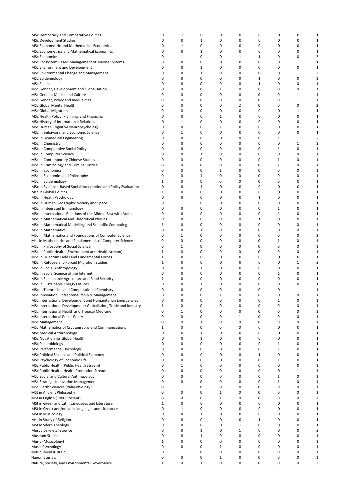| MSc Democracy and Comparative Politics                          | 0            | 1            | 0                 | 0                 | 0            | 0            | 0            | 0            | $\mathbf{1}$   |
|-----------------------------------------------------------------|--------------|--------------|-------------------|-------------------|--------------|--------------|--------------|--------------|----------------|
| <b>MSc Development Studies</b>                                  | 0            | 0            | 1                 | 0                 | 0            | 0            | 0            | 0            | 1              |
| MSc Econometric and Mathematical Economics                      | 0            | 1            | 0                 | 0                 | 0            | 0            | 0            | 0            | 1              |
|                                                                 |              |              |                   |                   |              |              |              |              |                |
| MSc Econometrics and Mathematical Economics                     | 0            | 0            | 1                 | 0                 | 0            | 0            | 0            | 0            | 1              |
| <b>MSc Economics</b>                                            | 0            | 1            | 0                 | 0                 | 1            | $\mathbf{1}$ | 0            | 0            | 3              |
| MSc Ecosystem Based Management of Marine Systems                | 0            | 0            | 0                 | 0                 | 0            | 0            | 0            | $1\,$        | $\mathbf{1}$   |
|                                                                 |              |              |                   |                   |              |              |              |              |                |
| MSc Environment and Development                                 | 0            | 0            | 1                 | 0                 | 0            | 0            | 0            | 0            | $\mathbf{1}$   |
| MSc Environmental Change and Management                         | 0            | 0            | 1                 | 0                 | 0            | 0            | 0            | $1\,$        | $\overline{2}$ |
|                                                                 |              |              |                   |                   |              |              |              |              |                |
| MSc Epidemiology                                                | 0            | 0            | 0                 | 0                 | 0            | $\mathbf{1}$ | 0            | 0            | $\mathbf{1}$   |
| <b>MSc Finance</b>                                              | 0            | 0            | 0                 | 0                 | 0            | $1\,$        | 0            | 0            | $\mathbf{1}$   |
|                                                                 | 0            | 0            | 0                 | 1                 | 0            | 0            | 0            | 0            | $\mathbf{1}$   |
| MSc Gender, Development and Globalisation                       |              |              |                   |                   |              |              |              |              |                |
| MSc Gender, Media, and Culture                                  | 0            | 0            | 0                 | 0                 | 0            | 0            | 0            | $\mathbf{1}$ | $\mathbf{1}$   |
| MSc Gender, Policy and Inequalities                             | 0            | 0            | 0                 | 0                 | 0            | 0            | 0            | $\mathbf{1}$ | $\mathbf{1}$   |
|                                                                 |              |              |                   |                   |              |              |              |              |                |
| MSc Global Mental Health                                        | 0            | 0            | 0                 | 0                 | 2            | 0            | 0            | $\mathbf 0$  | $\overline{2}$ |
| <b>MSc Global Migration</b>                                     | 0            | 0            | 0                 | 0                 | 0            | 0            | 0            | $\mathbf{1}$ | $\mathbf{1}$   |
|                                                                 |              |              |                   |                   |              |              |              |              |                |
| MSc Health Policy, Planning, and Financing                      | 0            | 0            | 0                 | $\mathbf 1$       | 0            | 0            | 0            | 0            | $\mathbf{1}$   |
| MSc History of International Relations                          | 0            | 1            | 0                 | 0                 | 0            | 0            | 0            | 0            | 1              |
| MSc Human Cognitive Neuropsychology                             | 0            | 0            | 0                 | 1                 | 0            | 0            | 0            | 0            | 1              |
|                                                                 |              |              |                   |                   |              |              |              |              |                |
| MSc in Behavioral and Economic Science                          | 0            | 1            | 0                 | 0                 | 0            | 0            | 0            | 0            | 1              |
| MSc in Biomedical Engineering                                   | 0            | 0            | 0                 | 0                 | 0            | 0            | 1            | $\mathbf 1$  | $\overline{2}$ |
|                                                                 |              |              |                   |                   |              |              |              |              |                |
| MSc in Chemistry                                                | 0            | 0            | 0                 | 0                 | 0            | 0            | $\mathbf 0$  | $1\,$        | $\mathbf{1}$   |
| MSc in Comparative Social Policy                                | 0            | 0            | 0                 | 0                 | 0            | 0            | $1\,$        | 0            | $\mathbf{1}$   |
|                                                                 |              |              |                   |                   |              |              |              |              |                |
| MSc in Computer Science                                         | 0            | 0            | 1                 | 0                 | 0            | 0            | 0            | 0            | $\mathbf{1}$   |
| MSc in Contemporary Chinese Studies                             | 0            | 0            | 0                 | 0                 | 0            | 0            | 1            | 0            | $\mathbf{1}$   |
|                                                                 | 0            | 0            | 0                 | 0                 | 0            |              |              | 0            | $\mathbf{1}$   |
| MSc in Criminology and Criminal Justice                         |              |              |                   |                   |              | 0            | 1            |              |                |
| MSc in Economics                                                | 0            | 0            | 0                 | 1                 | 0            | 0            | 0            | 0            | $\mathbf{1}$   |
| MSc in Economics and Philosophy                                 | 0            | 0            | 1                 | 0                 | 0            | 0            | 0            | 0            | $\mathbf{1}$   |
|                                                                 |              |              |                   |                   |              |              |              |              |                |
| MSc in Epidemiology                                             | 1            | 0            | 0                 | 0                 | 0            | 0            | 0            | 0            | $\mathbf{1}$   |
| MSc in Evidence-Based Social Intervention and Policy Evaluation | 0            | 0            | 1                 | 0                 | 0            | 0            | 0            | 0            | $\mathbf{1}$   |
|                                                                 |              |              |                   |                   |              |              |              |              |                |
| Msc in Global Politics                                          | 1            | 0            | 0                 | 0                 | 0            | 0            | 0            | 0            | $\mathbf{1}$   |
| MSc in Heath Psychology                                         | 0            | 0            | 0                 | 0                 | 0            | $\mathbf 1$  | 0            | 0            | $\mathbf{1}$   |
|                                                                 |              |              |                   |                   |              |              |              |              |                |
| MSc in Human Geography: Society and Space                       | 0            | $\mathbf{1}$ | 0                 | 0                 | 0            | 0            | $\mathbf 0$  | 0            | $\mathbf 1$    |
| MSc in Integrated Immunology                                    | 0            | 0            | 0                 | 0                 | 0            | 0            | 1            | 0            | $\mathbf{1}$   |
|                                                                 |              |              |                   |                   |              |              |              |              |                |
| MSc in International Relations of the Middle East with Arabic   | 0            | 0            | 0                 | 0                 | 0            | 0            | $1\,$        | 0            | $\,1\,$        |
| MSc in Mathematical and Theoretical Physics                     | 0            | 0            | 0                 | 0                 | 0            | $1\,$        | 0            | 0            | $\mathbf{1}$   |
| MSc in Mathematical Modelling and Scientific Computing          | 1            | 0            | 0                 | 0                 | 0            | 0            | 0            | 0            | $\mathbf{1}$   |
|                                                                 |              |              |                   |                   |              |              |              |              |                |
| <b>MSc in Mathematics</b>                                       | 0            | 0            | $\mathbf{1}$      | 0                 | 0            | 0            | 0            | 0            | $\mathbf{1}$   |
| MSc in Mathematics and Foundations of Computer Science          | 0            | 1            | 0                 | 0                 | 0            | 0            | 0            | 0            | $\mathbf{1}$   |
|                                                                 |              |              |                   |                   |              |              |              |              |                |
| Msc in Mathematics and Fundamentals of Computer Science         | 0            | 0            | 0                 | 0                 | 0            | 0            | $\mathbf{1}$ | 0            | $\mathbf{1}$   |
| MSc in Philospohy of Social Science                             | 0            | 1            | 0                 | 0                 | 0            | 0            | 0            | 0            | $\mathbf{1}$   |
|                                                                 |              |              |                   |                   |              |              |              |              |                |
| MSc in Public Health (Environment and Health stream)            | 1            | 0            | 0                 | 0                 | 0            | 0            | 0            | $\mathbf 0$  | $\mathbf{1}$   |
| MSc in Quantum Fields and Fundamental Forces                    | 1            | 0            | 0                 | 0                 | 0            | 0            | 0            | 0            | 1              |
| MSc in Refugee and Forced Migration Studies                     | 1            | 0            | 0                 | 0                 | 0            | 0            | 0            | $1\,$        | $\overline{2}$ |
|                                                                 |              |              |                   |                   |              |              |              |              |                |
| MSc in Social Anthropology                                      | 0            | 0            | 1                 | 0                 | 0            | 0            | 0            | 0            | $\mathbf{1}$   |
| MSc in Social Science of the Internet                           | 0            | 0            | 0                 | 0                 | 0            | 0            | 1            | 0            | $\mathbf{1}$   |
|                                                                 |              |              |                   |                   |              |              |              |              |                |
| MSc in Sustainable Agriculture and Food Security                | 1            | 0            | 0                 | 0                 | 0            | 0            | 0            | 0            | $\mathbf{1}$   |
| MSc in Sustainable Energy Futures                               | 0            | 0            | 1                 | 0                 | 0            | 0            | 0            | 0            | $\mathbf{1}$   |
| MSc in Theoretical and Computational Chemistry                  | 0            | 0            | 0                 | 0                 | 0            | 0            | 0            | 1            | $\mathbf{1}$   |
|                                                                 |              |              |                   |                   |              |              |              |              |                |
| MSc Innovation, Entrepreneurship & Management                   | 0            | 0            | $\Omega$          | 1                 | $\Omega$     | 0            | $\Omega$     | 0            | $\mathbf{1}$   |
| MSc International Development and Humanitarian Emergencies      | 0            | 0            | 0                 | 0                 | 0            | 0            | 1            | 0            | 1              |
|                                                                 |              |              |                   |                   |              |              |              |              |                |
| MSc International Development: Globaliation, Trade and Industry | $\mathbf{1}$ | 0            | 0                 | 0                 | 0            | 0            | 0            | 0            | 1              |
| MSc International Health and Tropical Medicine                  | 0            | 1            | 0                 | 0                 | 0            | 0            | 0            | 0            | 1              |
| MSc International Public Policy                                 | 0            | 0            | 0                 | 0                 | $1\,$        | 0            | 0            | 0            | $\mathbf{1}$   |
|                                                                 |              |              |                   |                   |              |              |              |              |                |
| <b>MSc Management</b>                                           | 0            | 0            | 1                 | 0                 | 0            | 0            | 0            | 0            | $\mathbf{1}$   |
| MSc Mathematics of Cryptography and Communications              | 1            | 0            | 0                 | 0                 | 0            | 0            | 0            | 0            | 1              |
|                                                                 |              |              |                   |                   |              |              |              |              |                |
| <b>MSc Medical Anthropology</b>                                 | 0            | 0            | $\mathbf{1}$      | 0                 | 0            | 0            | 0            | 0            | $\mathbf{1}$   |
| MSc Nutrition for Global Health                                 | 0            | 0            | $\mathbf 1$       | 0                 | 0            | 0            | 0            | 0            | $\mathbf{1}$   |
|                                                                 |              |              |                   |                   |              |              |              |              |                |
| <b>MSc Palaeobiology</b>                                        | 0            | 0            | 0                 | 0                 | 0            | 0            | $\mathbf{1}$ | 0            | $\mathbf{1}$   |
| MSc Performance Psychology                                      | 0            | 0            | 0                 | 0                 | 0            | 0            | $1\,$        | 0            | 1              |
| MSc Political Science and Political Economy                     | 0            | 0            | 0                 | 0                 | 0            | $\mathbf{1}$ | 0            | 0            | $\mathbf{1}$   |
|                                                                 |              |              |                   |                   |              |              |              |              |                |
| MSc Psychology of Economic Life                                 | 0            | 0            | 0                 | 0                 | 0            | 0            | 1            | 0            | $\mathbf{1}$   |
| MSc Public Health (Public Health Stream)                        | 0            | 1            | 0                 | 0                 | 0            | 0            | 0            | 0            | $\mathbf{1}$   |
|                                                                 |              |              |                   |                   |              |              |              |              |                |
| MSc Public Health, Health Promotion Stream                      | 0            | 0            | 0                 | 0                 | 0            | 0            | 0            | $\mathbf{1}$ | $\mathbf{1}$   |
| MSc Social and Cultural Anthropology                            | 0            | 0            | 0                 | 0                 | 0            | 0            | $1\,$        | $\mathbf 0$  | $\mathbf{1}$   |
|                                                                 |              |              |                   |                   |              |              |              |              |                |
| <b>MSc Strategic Innovation Management</b>                      | 0            | 0            | 0                 | 0                 | 0            | 0            | $1\,$        | 0            | 1              |
| MSci Earth Sciences (Palaeobiology)                             | 0            | 1            | 0                 | 0                 | 0            | 0            | 0            | $\mathbf 0$  | 1              |
| MSt in Ancient Philosophy                                       | 0            | 0            | 0                 | $\mathbf{1}$      | 0            | 0            | 0            | 0            | 1              |
|                                                                 |              |              |                   |                   |              |              |              |              |                |
| MSt in English (1900-Present)                                   | 0            | 0            | 0                 | $\mathbf{1}$      | 0            | 0            | 0            | $\mathbf 0$  | 1              |
| MSt in Greek and Latin Languages and Literature                 | $\mathbf{1}$ | 0            | 0                 | 0                 | 0            | 0            | 0            | 0            | 1              |
|                                                                 |              |              |                   |                   |              |              |              |              |                |
| MSt in Greek and/or Latin Languages and Literature              | 0            | 1            | 0                 | 0                 | 0            | 0            | 0            | 0            | $\mathbf{1}$   |
| <b>MSt in Musicology</b>                                        | 0            | 0            | 1                 | 0                 | 0            | 0            | 0            | 0            | $\mathbf{1}$   |
|                                                                 |              |              |                   |                   |              |              |              |              |                |
| Mst in Study of Religion                                        | 0            | 0            | 0                 | 0                 | 0            | $1\,$        | 0            | 0            | $\mathbf{1}$   |
| <b>MSt Modern Theology</b>                                      | 0            | 0            | 0                 | 0                 | 1            | 0            | 0            | 0            | $\mathbf{1}$   |
|                                                                 |              |              |                   |                   |              |              |              |              |                |
| Musculoskeletal Science                                         | 0            | 0            | $\mathbf{1}$      | 0                 | $\mathbf{1}$ | 0            | 0            | 0            | 2              |
| <b>Museum Studies</b>                                           | 0            | 0            | $\mathbf 1$       | 0                 | 0            | 0            | 0            | 0            | 1              |
|                                                                 |              |              |                   |                   |              |              |              |              |                |
|                                                                 |              |              |                   |                   |              |              |              |              |                |
| Music (Musicology)                                              | $\mathbf{1}$ | 0            | 0                 | 0                 | 0            | 0            | 0            | 0            | 1              |
| Music Psychology                                                | 0            | 0            | 0                 | $\mathbf{1}$      | 0            | 0            | 0            | 0            | 1              |
|                                                                 |              |              |                   |                   |              |              |              |              |                |
| Music, Mind & Brain                                             | 0            | $\mathbf{1}$ | 0                 | 0                 | 0            | 0            | 0            | 0            | 1              |
| Nanomaterials<br>Nature, Society, and Environmental Governance  | 0<br>1       | 0<br>0       | 0<br>$\mathbf{1}$ | $\mathbf{1}$<br>0 | 0<br>0       | 0<br>0       | 0<br>0       | 0<br>0       | 1<br>2         |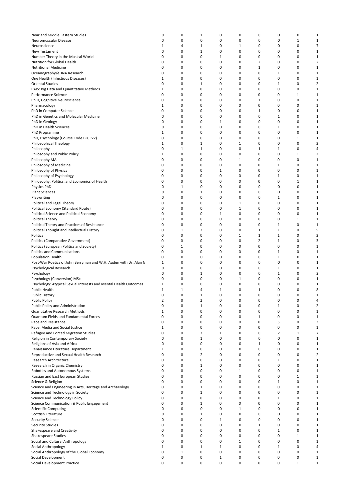| Near and Middle Eastern Studies                                  | 0            | 0           | 1            | 0            | 0            | 0              | $\mathbf 0$    | 0            | $\mathbf{1}$   |
|------------------------------------------------------------------|--------------|-------------|--------------|--------------|--------------|----------------|----------------|--------------|----------------|
| Neuromuscular Disease                                            | 0            | 0           | 0            | 0            | 0            | 0              | 0              | $\mathbf{1}$ | 1              |
| Neuroscience                                                     | $\mathbf{1}$ | 4           | 1            | 0            | 1            | 0              | 0              | 0            | $\overline{7}$ |
|                                                                  | 0            | 0           | 1            | 0            | 0            | 0              | 0              | 0            | $\mathbf{1}$   |
| New Testament                                                    | 0            |             | 0            |              |              |                | 0              |              |                |
| Number Theory in the Musical World                               |              | 0           |              | 1            | 0            | 0              |                | 0            | $\mathbf{1}$   |
| Nutrition for Global Health                                      | 0            | 0           | 0            | 0            | 0            | $\overline{2}$ | 0              | 0            | $\overline{2}$ |
| <b>Nutritional Medicine</b>                                      | 0            | 0           | 0            | 0            | 0            | $\mathbf 1$    | 0              | 0            | $\mathbf{1}$   |
| Oceanography/eDNA Research                                       | 0            | 0           | 0            | 0            | 0            | 0              | 1              | 0            | $\mathbf{1}$   |
| One Health (Infectious Diseases)                                 | 1            | 0           | 0            | 0            | 0            | 0              | 0              | 0            | $\mathbf{1}$   |
| <b>Oriental Studies</b>                                          | 0            | 0           | 1            | 0            | 0            | 0              | 1              | 0            | $\overline{2}$ |
| PAIS: Big Data and Quantitative Methods                          | $\mathbf{1}$ | 0           | 0            | 0            | 0            | 0              | 0              | 0            | $\mathbf{1}$   |
| Performance Science                                              | 0            | 0           | 0            | 0            | 0            | 0              | 0              | $1\,$        | $\mathbf{1}$   |
| Ph.D, Cognitive Neuroscience                                     | 0            | 0           | 0            | 0            | 0            | 1              | 0              | 0            | $\mathbf{1}$   |
| Pharmacology                                                     | 1            | 0           | 0            | 0            | 0            | 0              | 0              | 0            | $\mathbf{1}$   |
| PhD in Computer Science                                          | 0            | 0           | 0            | 0            | 0            | 1              | 0              | 0            | 1              |
| PhD in Genetics and Molecular Medicine                           | 0            | 0           | 0            | 0            | 0            | 0              | 1              | 0            | $\mathbf{1}$   |
| PhD in Geology                                                   | 0            | 0           | 0            | 1            | 0            | 0              | 0              | 0            | 1              |
|                                                                  | 0            | 0           | 0            | 0            | 0            | 0              |                | 0            |                |
| PhD in Health Sciences                                           |              |             |              |              |              |                | 1              |              | $\mathbf{1}$   |
| PhD Programme                                                    | 1            | 0           | 0            | 0            | 0            | 0              | 0              | 0            | $\mathbf{1}$   |
| PhD, Psychology (Course Code BLCP22)                             | 0            | 0           | 0            | 0            | 0            | 0              | 0              | 1            | $\mathbf{1}$   |
| Philosophical Theology                                           | 1            | 0           | 1            | 0            | 1            | 0              | 0              | 0            | 3              |
| Philosophy                                                       | 0            | 1           | 1            | 0            | 0            | 1              | 1              | 0            | 4              |
| Philosophy and Public Policy                                     | 1            | 0           | 0            | 0            | 0            | 0              | 0              | 1            | $\overline{2}$ |
| Philosophy MA                                                    | 0            | 0           | 0            | 0            | 1            | 0              | 0              | 0            | 1              |
| Philosophy of Medicine                                           | 0            | 0           | 0            | 0            | 0            | 0              | 1              | 0            | $\mathbf{1}$   |
| Philosophy of Physics                                            | 0            | 0           | 0            | 1            | 0            | 0              | 0              | 0            | $\mathbf{1}$   |
| Philosophy of Psychology                                         | 0            | 0           | 0            | 0            | 0            | 0              | $1\,$          | 0            | $\mathbf{1}$   |
| Philosophy, Politics, and Economics of Health                    | 0            | 0           | 0            | 0            | 0            | 0              | 0              | 1            | $\mathbf{1}$   |
|                                                                  |              |             |              |              |              |                |                |              |                |
| Physics PhD                                                      | 0            | 1           | 0            | 0            | 0            | 0              | 0              | 0            | 1              |
| <b>Plant Sciences</b>                                            | 0            | 0           | 1            | 0            | 0            | 0              | 0              | 0            | 1              |
| Playwriting                                                      | 0            | 0           | 0            | 0            | 0            | 0              | 1              | 0            | $\mathbf{1}$   |
| Political and Legal Theory                                       | 0            | 0           | 0            | 0            | 1            | 0              | 0              | 0            | $\mathbf{1}$   |
| Political Economy (Standard Route)                               | 0            | 0           | 0            | 0            | 1            | 0              | 0              | 0            | 1              |
| Political Science and Political Economy                          | 0            | 0           | 0            | 1            | 0            | 0              | 0              | 0            | 1              |
| Political Theory                                                 | 0            | 0           | 0            | 0            | 0            | 0              | 0              | 1            | 1              |
| Political Theory and Practices of Resistance                     | 0            | 0           | 0            | 0            | 0            | 0              | 1              | 0            | 1              |
| Political Thought and Intellectual History                       | 0            | $\mathbf 1$ | 2            | 0            | 0            | $\mathbf{1}$   | 1              | 0            | 5              |
| Politics                                                         | 0            | 0           | 0            | 0            | 1            | 1              | 1              | 0            | 3              |
|                                                                  | 0            | 0           | 0            | 0            | 0            | $\overline{2}$ | 1              | 0            | 3              |
| Politics (Comparative Government)                                |              |             |              |              |              |                |                |              |                |
| Politics (European Politics and Society)                         | 0            | 1           | 0            | 0            | 0            | 0              | 0              | 0            | $\mathbf{1}$   |
| <b>Politics and Communications</b>                               | 0            | 0           | 0            | 0            | 0            | 0              | 1              | 0            | $\mathbf{1}$   |
| Population Health                                                | 0            | 0           | 0            | 0            | 0            | 0              | 1              | 0            | 1              |
| Post-War Poetics of John Berryman and W.H. Auden with Dr. Alan M | 1            | 0           | 0            | 0            | 0            | 0              | 0              | 0            | $\mathbf{1}$   |
| Psychological Research                                           | 0            | 0           | 0            | 0            | 0            | 0              | 1              | 0            | 1              |
| Psychology                                                       | 0            | 0           | 1            | 0            | 0            | 0              | 1              | 0            | $\overline{2}$ |
| Psychology (Conversion) MSc                                      | 0            | 0           | 0            | 0            | 1            | 0              | 0              | 0            | 1              |
| Psychology: Atypical Sexual Interests and Mental Health Outcomes | 1            | 0           | 0            | 0            | 0            | 0              | 0              | 0            | $\mathbf{1}$   |
| Public Health                                                    | 1            | 1           | 4            | 1            | 0            | 1              | 0              | 0            | 8              |
| <b>Public History</b>                                            | $\Omega$     | 0           | $\mathbf{1}$ | 0            | 0            | 0              | 0              | 0            | $1\,$          |
| <b>Public Policy</b>                                             | 2            | 0           | 2            | 0            | 0            | 0              | 0              | 0            | 4              |
| Public Policy and Administration                                 | 0            | 0           | $1\,$        | 0            | 0            | 0              | $1\,$          | 0            | $\overline{2}$ |
|                                                                  |              |             |              |              |              |                | 0              |              |                |
| Quantitative Research Methods                                    | 1            | 0           | 0            | 0            | 0            | 0              |                | 0            | $\mathbf{1}$   |
| Quantum Fields and Fundamental Forces                            | 0            | 0           | 0            | 0            | 0            | $\mathbf{1}$   | 0              | 0            | $\mathbf{1}$   |
| Race and Resistance                                              | 0            | 0           | 0            | 0            | 0            | 0              | 3              | 0            | 3              |
| Race, Media and Social Justice                                   | 1            | 0           | 0            | 0            | 0            | 0              | 0              | 0            | $\mathbf 1$    |
| Refugee and Forced Migration Studies                             | 0            | 0           | 3            | 1            | 0            | 0              | $\overline{2}$ | $\mathbf{1}$ | $\overline{7}$ |
| Religion in Contemporary Society                                 | 0            | 0           | $\mathbf{1}$ | 0            | 0            | 0              | 0              | 0            | $\mathbf{1}$   |
| Religions of Asia and Africa                                     | 0            | 0           | 0            | 0            | 0            | 1              | 0              | 0            | $\mathbf{1}$   |
| Renaissance Literature Department                                | $\mathbf{1}$ | 0           | 0            | 0            | 0            | 0              | 0              | 0            | $\mathbf{1}$   |
| Reproductive and Sexual Health Research                          | 0            | 0           | 2            | 0            | 0            | 0              | 0              | 0            | $\overline{2}$ |
| Research Architecture                                            | 0            | 0           | 0            | 0            | 0            | 0              | 1              | 0            | $\mathbf{1}$   |
| Research in Organic Chemistry                                    | 0            | 0           | 1            | 0            | 0            | 0              | 0              | 0            | $\mathbf{1}$   |
| Robotics and Autonomous Systems                                  | 0            | 0           | 0            | 0            | 1            | 0              | 0              | 0            | $\mathbf{1}$   |
| Russian and East European Studies                                | 0            | 0           | 0            | 0            | 0            | 0              | 0              | $\mathbf{1}$ | $\mathbf{1}$   |
| Science & Religion                                               | 0            | 0           | 0            | 0            | 0            | 0              | 1              | $\mathsf 0$  | $\mathbf{1}$   |
|                                                                  |              | 0           |              |              | 0            |                | $\mathbf 0$    |              |                |
| Science and Engineering in Arts, Heritage and Archaeology        | 0            |             | 1            | 0            |              | 0              |                | $\mathsf 0$  | $\mathbf{1}$   |
| Science and Technology in Society                                | 0            | 0           | 1            | 0            | 0            | $\mathbf 0$    | 0              | $\mathsf 0$  | $\mathbf{1}$   |
| Science and Technology Policy                                    | 0            | 0           | 0            | 0            | 0            | 0              | 1              | 0            | $\mathbf{1}$   |
| Science Communication & Public Engagement                        | 0            | 0           | 1            | 0            | 0            | 0              | 0              | 0            | $\mathbf{1}$   |
| <b>Scientific Computing</b>                                      | 0            | 0           | 0            | 0            | 1            | 0              | 0              | 0            | $\mathbf{1}$   |
| Scottish Literature                                              | 0            | 0           | 1            | 0            | 0            | 0              | 0              | 0            | $\mathbf{1}$   |
| <b>Security Science</b>                                          | 0            | 0           | 0            | 1            | 0            | 0              | 0              | 0            | $\mathbf{1}$   |
| <b>Security Studies</b>                                          | 0            | 0           | 0            | 0            | 0            | 1              | 0              | 0            | $\mathbf{1}$   |
| Shakespeare and Creativity                                       | 0            | 0           | 0            | 0            | 0            | 0              | 1              | 0            | $\mathbf{1}$   |
| Shakespeare Studies                                              | 0            | 0           | 0            | 0            | 0            | 0              | 0              | $\mathbf{1}$ | $\mathbf{1}$   |
| Social and Cultural Anthropology                                 | 0            | 0           | 0            | 0            | $\mathbf{1}$ | 0              | 0              | 0            | $\mathbf{1}$   |
| Social Anthropology                                              | 1            | 0           | 1            | $\mathbf{1}$ | 0            | 0              | 1              | 0            | 4              |
|                                                                  | 0            | 1           | 0            | 0            | 0            | 0              | 0              | 0            |                |
| Social Anthropology of the Global Economy                        |              |             |              |              |              |                |                |              | $\mathbf{1}$   |
| Social Development                                               | 0            | 0           | 0            | 1            | 0            | 0              | 0              | 0            | $\mathbf{1}$   |
| Social Development Practice                                      | 0            | 0           | 0            | 0            | 0            | 0              | 0              | $\mathbf{1}$ | $\mathbf 1$    |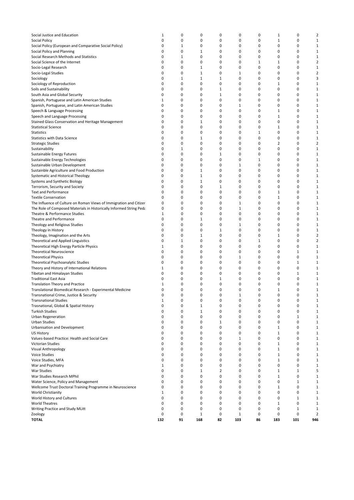| Social Justice and Education                                                                      | 1                 | 0            | 0                          | 0                 | 0                 | 0                 | $1\,$                       | 0                | $\overline{2}$                 |
|---------------------------------------------------------------------------------------------------|-------------------|--------------|----------------------------|-------------------|-------------------|-------------------|-----------------------------|------------------|--------------------------------|
| Social Policy                                                                                     | 0                 | 0            | 0                          | 0                 | 0                 | 0                 | $\mathbf 1$                 | 0                | $\mathbf 1$                    |
| Social Policy (European and Comparative Social Policy)                                            | 0                 | $\mathbf{1}$ | 0                          | 0                 | 0                 | 0                 | 0                           | 0                | $\mathbf{1}$                   |
| Social Policy and Planning                                                                        | 0                 | 0            | 1                          | 0                 | 0                 | 0                 | 0                           | 0                | $\mathbf{1}$                   |
| Social Research Methods and Statistics<br>Social Science of the Internet                          | 0<br>0            | 1<br>0       | 0<br>0                     | 0<br>0            | 0<br>0            | 0<br>$\mathbf{1}$ | 0<br>$\mathbf{1}$           | 0<br>0           | $\mathbf{1}$<br>$\overline{2}$ |
| Socio-Legal Research                                                                              | 0                 | 0            | 1                          | 0                 | 0                 | 0                 | 0                           | 0                | $\mathbf{1}$                   |
| Socio-Legal Studies                                                                               | 0                 | 0            | $\mathbf 1$                | 0                 | $\mathbf{1}$      | 0                 | 0                           | 0                | $\overline{2}$                 |
| Sociology                                                                                         | 0                 | $1\,$        | $1\,$                      | $1\,$             | 0                 | 0                 | 0                           | 0                | 3                              |
| Sociology of Reproduction                                                                         | 0                 | 0            | 0                          | 0                 | 0                 | 0                 | $\mathbf{1}$                | 0                | $\mathbf{1}$                   |
| Soils and Sustainability                                                                          | 0                 | 0            | 0                          | $\mathbf{1}$      | 0                 | 0                 | 0                           | 0                | $\mathbf{1}$                   |
| South Asia and Global Security                                                                    | 0                 | 0            | 0                          | $\mathbf 1$       | 0                 | 0                 | 0<br>0                      | 0                | $\mathbf{1}$                   |
| Spanish, Portuguese and Latin American Studies<br>Spanish, Portuguese, and Latin American Studies | 1<br>0            | 0<br>0       | 0<br>0                     | 0<br>0            | 0<br>$\mathbf{1}$ | 0<br>0            | 0                           | 0<br>0           | $\mathbf{1}$<br>$\mathbf{1}$   |
| Speech & Language Processing                                                                      | 0                 | 0            | 0                          | 0                 | 0                 | 0                 | $\mathbf{1}$                | 0                | $\mathbf{1}$                   |
| Speech and Language Processing                                                                    | 0                 | 0            | 0                          | 0                 | 0                 | 0                 | $\mathbf{1}$                | 0                | $\mathbf 1$                    |
| Stained Glass Conservation and Heritage Management                                                | 0                 | 0            | 1                          | 0                 | 0                 | 0                 | $\mathbf 0$                 | 0                | $\mathbf{1}$                   |
| <b>Statistical Science</b>                                                                        | 0                 | 0            | 0                          | 0                 | 0                 | 0                 | 1                           | 0                | $\mathbf{1}$                   |
| Statistics                                                                                        | 0                 | 0            | 0                          | 0                 | 0                 | 1                 | $\mathbf 0$                 | 0                | $\mathbf{1}$                   |
| <b>Statistics with Data Science</b>                                                               | 0                 | 0            | 1                          | 0                 | 0<br>0            | 0                 | 0                           | 0                | $\mathbf{1}$                   |
| <b>Strategic Studies</b><br>Sustainability                                                        | 0<br>0            | 0<br>$1\,$   | 0<br>0                     | 0<br>0            | 0                 | 0<br>0            | $\overline{2}$<br>0         | 0<br>0           | $\overline{2}$<br>$\mathbf{1}$ |
| Sustainable Energy Futures                                                                        | 0                 | 0            | 0                          | $1\,$             | 0                 | 0                 | 0                           | 0                | $\mathbf 1$                    |
| Sustainable Energy Technologies                                                                   | 0                 | 0            | 0                          | 0                 | 0                 | $\mathbf{1}$      | 0                           | 0                | $\mathbf{1}$                   |
| Sustainable Urban Development                                                                     | 0                 | 0            | 0                          | 0                 | $\mathbf{1}$      | 0                 | 0                           | 0                | $\mathbf{1}$                   |
| Sustainble Agriculture and Food Production                                                        | 0                 | 0            | $1\,$                      | 0                 | 0                 | 0                 | 0                           | 0                | $\mathbf{1}$                   |
| Systematic and Historical Theology                                                                | 0                 | 0            | $1\,$                      | 0                 | 0                 | 0                 | 0                           | 0                | $\mathbf{1}$                   |
| Systems and Synthetic Biology                                                                     | 0                 | 0            | $1\,$                      | 0                 | 0                 | 0                 | 0                           | 0                | $\mathbf 1$                    |
| Terrorism, Security and Society<br><b>Text and Performance</b>                                    | 0<br>0            | 0<br>0       | 0<br>0                     | $\mathbf{1}$<br>0 | 0<br>0            | 0<br>0            | 0<br>$\mathbf{1}$           | 0<br>0           | $\mathbf{1}$<br>$\mathbf{1}$   |
| <b>Textile Conservation</b>                                                                       | 0                 | 0            | 0                          | 0                 | 0                 | 0                 | $\mathbf{1}$                | 0                | $\mathbf{1}$                   |
| The Influence of Culture on Roman Views of Immigration and Citizer                                | 0                 | 0            | 0                          | 0                 | $1\,$             | 0                 | 0                           | 0                | $\mathbf{1}$                   |
| The Role of Composed Materials in Historically Informed String Peda                               | 0                 | 0            | 0                          | 0                 | $1\,$             | 0                 | 0                           | 0                | $\mathbf{1}$                   |
| Theatre & Performance Studies                                                                     | 1                 | 0            | 0                          | 0                 | 0                 | 0                 | 0                           | 0                | $\mathbf{1}$                   |
| <b>Theatre and Performance</b>                                                                    | 0                 | 0            | 1                          | 0                 | 0                 | 0                 | 0                           | 0                | $\mathbf{1}$                   |
| Theology and Religious Studies                                                                    | 0                 | 0            | 0                          | 0                 | $1\,$             | 0                 | 0                           | 0                | $\mathbf{1}$                   |
| Theology in History<br>Theology, Imagination and the Arts                                         | 0<br>0            | 0<br>0       | 0<br>1                     | $1\,$<br>0        | 0<br>0            | 0<br>0            | 0<br>1                      | 0<br>0           | $\mathbf{1}$<br>$\overline{2}$ |
| Theoretical and Applied Linguistics                                                               | 0                 | $1\,$        | 0                          | 0                 | 0                 | $\mathbf{1}$      | 0                           | 0                | $\overline{2}$                 |
| Theoretical High Energy Particle Physics                                                          | 1                 | 0            | 0                          | 0                 | 0                 | 0                 | 0                           | 0                | $\mathbf 1$                    |
| <b>Theoretical Neuroscience</b>                                                                   | 0                 | 0            | 0                          | 0                 | 0                 | 0                 | 0                           | $1\,$            | $\mathbf{1}$                   |
| <b>Theoretical Physics</b>                                                                        | 0                 | 0            | 0                          | 0                 | 1                 | 0                 | 0                           | 0                | $\mathbf{1}$                   |
| Theoretical Psychoanalytic Studies                                                                | 0                 | 0            | 0                          | 0                 | 0                 | 0                 | 0                           | $\mathbf 1$      | $\mathbf{1}$                   |
| Theory and History of International Relations                                                     | 1                 | 0            | 0                          | 0                 | $\mathbf 0$       | 0                 | 0                           | 0                | $\mathbf{1}$                   |
| Tibetan and Himalayan Studies<br><b>Traditional East Asia</b>                                     | 0<br>0            | 0<br>0       | 0<br>0                     | 0<br>$1\,$        | 0<br>0            | 0<br>0            | 0<br>0                      | $\mathbf 1$<br>0 | $\mathbf{1}$<br>$\mathbf{1}$   |
| <b>Translation Theory and Practice</b>                                                            | 1                 | 0            | 0                          | 0                 | 0                 | 0                 | 0                           | 0                | $\mathbf 1$                    |
| Translational Biomedical Research - Experimental Medicine                                         | 0                 | 0            | 0                          | 0                 | 0                 | 0                 | $\mathbf{1}$                | 0                | $\mathbf 1$                    |
| Transnational Crime, Justice & Security                                                           | 0                 | 0            | 0                          | 0                 | $\mathbf{1}$      | 0                 | $\Omega$                    | $\mathbf 0$      | $\mathbf{1}$                   |
| <b>Transnational Studies</b>                                                                      | $\mathbf 1$       | 0            | 0                          | 0                 | 0                 | 0                 | 0                           | 0                | 1                              |
| Trasnational, Global & Spatial History                                                            | 0                 | 0            | $1\,$                      | 0                 | 0                 | $\mathbf 0$       | 0                           | 0                | $\mathbf{1}$                   |
| <b>Turkish Studies</b>                                                                            | 0                 | 0            | $\mathbf 1$<br>$\mathbf 0$ | 0                 | 0                 | 0                 | 0                           | 0                | $\mathbf{1}$                   |
| Urban Regeneration<br>Urban Studies                                                               | 0<br>0            | 0<br>0       | 0                          | 0<br>$\mathbf{1}$ | 0<br>0            | 0<br>0            | 0<br>0                      | $\mathbf 1$<br>0 | $\mathbf{1}$<br>$\mathbf{1}$   |
| Urbanisation and Development                                                                      | 0                 | 0            | 0                          | 0                 | 0                 | 0                 | $\mathbf{1}$                | 0                | $\mathbf{1}$                   |
| US History                                                                                        | 0                 | 0            | 0                          | 0                 | 0                 | 0                 | $\mathbf{1}$                | 0                | $\mathbf{1}$                   |
| Values-based Practice: Health and Social Care                                                     | 0                 | 0            | 0                          | 0                 | $\mathbf{1}$      | 0                 | 0                           | 0                | $\mathbf{1}$                   |
| Victorian Studies                                                                                 | 0                 | 0            | 0                          | 0                 | 0                 | 0                 | $\mathbf{1}$                | 0                | $\mathbf{1}$                   |
| Visual Anthropology                                                                               | 0                 | 0            | 0                          | 0                 | 0                 | 0                 | $\mathbf{1}$                | 0                | $\mathbf{1}$                   |
| <b>Voice Studies</b>                                                                              | 0                 | 0            | 0                          | 0                 | $\mathbf 0$       | $\mathbf 0$       | $\mathbf{1}$                | 0                | $\mathbf{1}$                   |
| Voice Studies, MFA<br>War and Psychiatry                                                          | 0<br>$\mathbf{1}$ | 0<br>0       | 0<br>0                     | 0<br>0            | 0<br>$\mathbf 0$  | 0<br>$\mathbf 0$  | $\mathbf{1}$<br>$\mathbf 0$ | 0<br>0           | $\mathbf{1}$<br>$\mathbf{1}$   |
| <b>War Studies</b>                                                                                | 0                 | 0            | 1                          | $\overline{2}$    | 0                 | 0                 | $\mathbf{1}$                | $\mathbf{1}$     | 5                              |
| War Studies Research MPhil                                                                        | 0                 | 0            | 0                          | $\mathbf 0$       | 0                 | $\mathbf 0$       | $\mathbf{1}$                | 0                | $\mathbf{1}$                   |
| Water Science, Policy and Management                                                              | 0                 | 0            | 0                          | 0                 | 0                 | 0                 | $\mathbf 0$                 | $\mathbf{1}$     | $\mathbf{1}$                   |
| Wellcome Trust Doctoral Training Programme in Neuroscience                                        | 0                 | 0            | 0                          | 0                 | 0                 | 0                 | $\mathbf{1}$                | 0                | $\mathbf{1}$                   |
| World Christianity                                                                                | 1                 | 0            | 0                          | $\mathbf 0$       | 0                 | 0                 | 0                           | 0                | $\mathbf{1}$                   |
| World History and Cultures                                                                        | 0                 | 0            | 0                          | 0                 | 0                 | 0                 | 0                           | $\mathbf{1}$     | $\mathbf{1}$                   |
| <b>World Theatres</b>                                                                             | 0                 | 0            | 0                          | 0                 | 0                 | 0                 | $1\,$                       | 0                | 1                              |
| Writing Practice and Study MLitt<br>Zoology                                                       | 0<br>0            | 0<br>0       | 0<br>$1\,$                 | 0<br>0            | 0<br>1            | 0<br>0            | 0<br>0                      | $1\,$<br>0       | $\mathbf{1}$<br>2              |
| <b>TOTAL</b>                                                                                      | 132               | 91           | 168                        | 82                | 103               | 86                | 183                         | 101              | 946                            |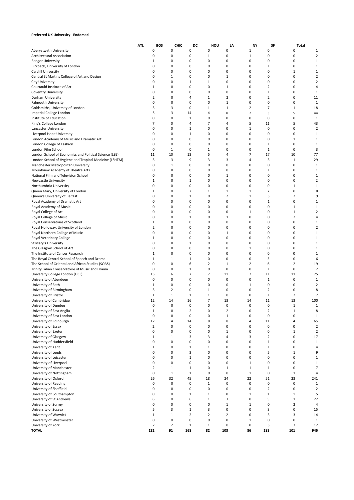### **Preferred UK University - Endorsed**

|                                                                         | ATI. | BOS                           | CHIC                          | DC             | HOU            | LA                  | <b>NY</b>      | SF                  | Total            |                         |
|-------------------------------------------------------------------------|------|-------------------------------|-------------------------------|----------------|----------------|---------------------|----------------|---------------------|------------------|-------------------------|
| Aberystwyth University                                                  |      | 0                             | 0                             | 0              | 0              | 0                   | 1              | 0                   | 0                | 1                       |
| Architectural Association                                               |      | 0                             | 0                             | 0              | 1              | 0                   | 1              | 0                   | 0                | 2                       |
| <b>Bangor University</b>                                                |      | 1                             | 0                             | 0              | 0              | 0                   | 0              | 0                   | 0                |                         |
| Birkbeck, University of London                                          |      | 0                             | $\mathbf 0$                   | 0              | 0              | 0                   | 0              | 1                   | 0                |                         |
| Cardiff University                                                      |      | 0                             | $\mathbf 0$                   | 0              | 0              | 0                   | 0              | 0                   | 1                | 1                       |
| Central St Martins College of Art and Design                            |      | 0                             | 1                             | 0              | 0              | 1                   | 0              | 0                   | 0                |                         |
| City University                                                         |      | $\mathbf 0$                   | $\mathbf 0$                   | 1              | 1              | 0                   | 0              | 0                   | 0                | 2                       |
| Courtauld Institute of Art                                              |      | 1                             | 0                             | 0              | 0              | 1                   | 0              | 2                   | 0                | 4                       |
| Coventry University                                                     |      | $\mathbf 0$<br>$\overline{2}$ | $\mathbf 0$<br>$\mathbf 0$    | 0<br>4         | 0              | 0<br>$\overline{2}$ | 0<br>0         | 1<br>2              | $\Omega$<br>0    | 1                       |
| Durham University<br><b>Falmouth University</b>                         |      | $\pmb{0}$                     | $\mathbf 0$                   | 0              | 1<br>0         | $\mathbf 1$         | 0              | 0                   | 0                | 11<br>1                 |
| Goldsmiths, University of London                                        |      | 3                             | 3                             | 0              | 1              | $\mathbf 1$         | $\overline{2}$ | 7                   | 1                | 18                      |
| Imperial College London                                                 |      | 5                             | 3                             | 14             | 4              | 8                   | $\overline{2}$ | 3                   | 5                | 44                      |
| Institute of Education                                                  |      | 0                             | 0                             | 1              | 0              | 0                   | 0              | 0                   | 0                | 1                       |
| King's College London                                                   |      | 7                             | $\mathbf 0$                   | 4              | 7              | 4                   | 5              | 11                  | 5                | 43                      |
| Lancaster University                                                    |      | 0                             | $\mathbf 0$                   | 1              | 0              | 0                   | 1              | 0                   | 0                | $\overline{2}$          |
| Liverpool Hope University                                               |      | 0                             | $\mathbf 0$                   | $\mathbf 1$    | 0              | 0                   | 0              | 0                   | 0                | 1                       |
| London Academy of Music and Dramatic Art                                |      | 0                             | $\mathbf 0$                   | 0              | 0              | 0                   | 0              | 0                   | 1                | 1                       |
| London College of Fashion                                               |      | 0                             | $\mathbf 0$                   | 0              | 0              | 0                   | 0              | 1                   | 0                | 1                       |
| London Film School                                                      |      | $\mathbf 0$                   | 1                             | 0              | 1              | 0                   | 0              | 1                   | 0                | 3                       |
| London School of Economics and Political Science (LSE)                  |      | 11                            | 10                            | 13             | 5              | 4                   | 7              | 17                  | 10               | 77                      |
| London School of Hygiene and Tropical Medicine (LSHTM)                  |      | 3                             | 3                             | 9              | 3              | 3                   | 4              | 3                   | 1                | 29                      |
| Manchester Metropolitan University                                      |      | 0                             | 1                             | 0              | 0              | 0                   | 0              | 0                   | 0                | 1                       |
| Mountview Academy of Theatre Arts                                       |      | 0                             | $\mathbf 0$                   | 0              | 0              | 0                   | 0              | 1                   | 0                | 1                       |
| National Film and Television School                                     |      | 0                             | $\mathbf 0$                   | 0              | 0              | 1                   | 0              | 0                   | 0                |                         |
| Newcastle University                                                    |      | $\mathbf{1}$                  | $\pmb{0}$                     | 1              | 0              | 0                   | 0              | 0                   | 0                | 2                       |
| Northumbria University                                                  |      | 0                             | $\pmb{0}$                     | 0              | 0              | 0                   | 0              | 0                   | 1                | -1                      |
| Queen Mary, University of London                                        |      | 1                             | $\mathbf 0$                   | $\overline{2}$ | 1              | 1                   | 1              | 2                   | 0                | 8                       |
| Queen's University of Belfast                                           |      | 0                             | $\mathbf 0$                   | $\mathbf 1$    | 0              | $\overline{2}$      | 1              | 3                   | $\overline{2}$   | 9                       |
| Royal Academy of Dramatic Art                                           |      | 0                             | $\mathbf 0$                   | 0              | 0              | 0                   | 0              | 1                   | 0                | 1                       |
| Royal Academy of Music                                                  |      | 0                             | $\mathbf 0$                   | 0              | 0              | 0                   | 0              | 0                   | 1                | 1                       |
| Royal College of Art                                                    |      | $\mathbf 0$                   | 0                             | 0              | 0              | 0                   | 1              | 0                   | 1                |                         |
| Royal College of Music                                                  |      | 0                             | 0<br>0                        | 1<br>0         | 0<br>0         | 1<br>0              | 0<br>0         | 0<br>0              | 2<br>0           | 1                       |
| Royal Conservatoire of Scotland<br>Royal Holloway, University of London |      | 1<br>$\overline{2}$           | $\mathbf 0$                   | 0              | 0              | 0                   | 0              | 0                   | 0                |                         |
| Royal Northern College of Music                                         |      | 0                             | $\mathbf 0$                   | 0              | 0              | 1                   | 0              | 0                   | 0                |                         |
| Royal Veterinary College                                                |      | 1                             | $\mathbf 0$                   | 0              | 0              | 0                   | 0              | 0                   | 0                | 1                       |
| St Mary's University                                                    |      | 0                             | $\pmb{0}$                     | 1              | 0              | 0                   | 0              | 0                   | 0                | 1                       |
| The Glasgow School of Art                                               |      | 0                             | $\pmb{0}$                     | 0              | 0              | 0                   | 1              | 0                   | 0                | 1                       |
| The Institute of Cancer Research                                        |      | 1                             | 0                             | 0              | 0              | 0                   | 0              | 0                   | 0                | 1                       |
| The Royal Central School of Speech and Drama                            |      | 1                             | 1                             | $\mathbf 1$    | 0              | 0                   | 0              | 3                   | 0                | 6                       |
| The School of Oriental and African Studies (SOAS)                       |      | 0                             | $\mathbf 0$                   | 6              | $\overline{2}$ | 1                   | $\overline{2}$ | 6                   | $\overline{2}$   | 19                      |
| Trinity Laban Conservatoire of Music and Drama                          |      | 0                             | $\mathbf 0$                   | $\mathbf 1$    | 0              | 0                   | 0              | 1                   | 0                | $\overline{2}$          |
| University College London (UCL)                                         |      | 15                            | 6                             | 7              | 7              | 11                  | 7              | 11                  | 11               | 75                      |
| University of Aberdeen                                                  |      | $\mathbf 0$                   | 0                             | 0              | 0              | 0                   | 0              | 1                   | 0                | 1                       |
| University of Bath                                                      |      | 1                             | $\mathbf 0$                   | 0              | 0              | 0                   | 1              | 0                   | 0                | 2                       |
| University of Birmingham                                                |      | 3                             | $\overline{2}$                | 0              | 1              | 0                   | 0              | 2                   | 0                | 8                       |
| University of Bristol                                                   |      | 1                             | 1                             | 1              | 1              | 0                   | 0              | 1                   | $\overline{2}$   | 7                       |
| University of Cambridge                                                 |      | 12                            | 14                            | 16             | 7              | 13                  | 14             | 11                  | 13               | 100                     |
| University of Dundee                                                    |      | $\mathbf 0$                   | $\mathbf 0$                   | 0              | 0              | 0                   | 0              | 0                   | 1                | $\mathbf{1}$            |
| University of East Anglia                                               |      | 1                             | 0                             | 2              | 0              | 2                   | 0              | 2                   | 1                |                         |
| University of East London                                               |      | $\pmb{0}$                     | $\pmb{0}$                     | $\pmb{0}$      | 0              | $\mathbf 1$         | 0              | $\pmb{0}$           | 0                | 1                       |
| University of Edinburgh                                                 |      | 12<br>$\overline{2}$          | $\overline{4}$<br>$\mathbf 0$ | 14<br>0        | 8<br>0         | 8<br>0              | 4<br>0         | 11<br>0             | 4<br>0           | 65                      |
| University of Essex                                                     |      |                               |                               |                |                |                     |                |                     |                  | $\overline{\mathbf{2}}$ |
| University of Exeter<br>University of Glasgow                           |      | 0<br>1                        | $\mathbf 0$<br>$\mathbf{1}$   | 0<br>3         | 0<br>3         | $\mathbf 1$<br>4    | 0<br>3         | 0<br>$\overline{2}$ | $\mathbf 1$<br>0 | $\overline{2}$<br>17    |
| University of Huddersfield                                              |      | 0                             | $\pmb{0}$                     | 0              | 0              | 0                   | 0              | 1                   | 0                | 1                       |
| University of Kent                                                      |      | 1                             | $\pmb{0}$                     | $\mathbf 1$    | 1              | 0                   | 0              | 1                   | 0                | 4                       |
| University of Leeds                                                     |      | 0                             | $\mathbf 0$                   | 3              | 0              | 0                   | 0              | 5                   | 1                | 9                       |
| University of Leicester                                                 |      | $\mathbf 0$                   | $\mathbf 0$                   | 1              | 0              | 0                   | 0              | 0                   | 0                | 1                       |
| University of Liverpool                                                 |      | 0                             | $\pmb{0}$                     | 0              | 0              | 0                   | $\mathbf 1$    | 0                   | 0                | 1                       |
| University of Manchester                                                |      | $\overline{2}$                | $\mathbf{1}$                  | $\mathbf 1$    | 0              | $\mathbf 1$         | $\mathbf{1}$   | 1                   | 0                | 7                       |
| University of Nottingham                                                |      | 0                             | $\mathbf{1}$                  | $1\,$          | 0              | 0                   | $\mathbf 1$    | $\pmb{0}$           | $\mathbf 1$      | 4                       |
| University of Oxford                                                    |      | 26                            | 32                            | 45             | 18             | 24                  | 22             | 51                  | 23               | 241                     |
| University of Reading                                                   |      | $\pmb{0}$                     | $\pmb{0}$                     | $\pmb{0}$      | $\mathbf 1$    | 0                   | 0              | 0                   | 0                | 1                       |
| University of Sheffield                                                 |      | $\pmb{0}$                     | $\pmb{0}$                     | 0              | 0              | 0                   | 0              | $\overline{2}$      | 0                | $\overline{2}$          |
| University of Southampton                                               |      | 0                             | $\pmb{0}$                     | $1\,$          | $\mathbf{1}$   | 0                   | $\mathbf{1}$   | $\mathbf 1$         | $\mathbf 1$      | 5                       |
| University of St Andrews                                                |      | 6                             | $\pmb{0}$                     | 6              | $\mathbf{1}$   | 3                   | 0              | 5                   | $\mathbf 1$      | 22                      |
| University of Surrey                                                    |      | 0                             | $\pmb{0}$                     | 0              | 0              | $\mathbf 1$         | $\mathbf{1}$   | 0                   | $\overline{2}$   | 4                       |
| University of Sussex                                                    |      | 5                             | 3                             | $\mathbf 1$    | 3              | 0                   | 0              | 3                   | 0                | 15                      |
| University of Warwick                                                   |      | 1                             | 1                             | $\overline{2}$ | $\overline{2}$ | $\overline{2}$      | 0              | 3                   | 3                | 14                      |
| University of Westminster                                               |      | $\pmb{0}$                     | $\pmb{0}$                     | 0              | 0              | 0                   | $\mathbf{1}$   | 0                   | 0                | 1                       |
| University of York                                                      |      | $\overline{2}$                | $\mathbf 2$                   | $\mathbf 1$    | 1              | 0                   | 0              | 3                   | 3                | 12                      |
| <b>TOTAL</b>                                                            |      | 132                           | 91                            | 168            | 82             | 103                 | 86             | 183                 | 101              | 946                     |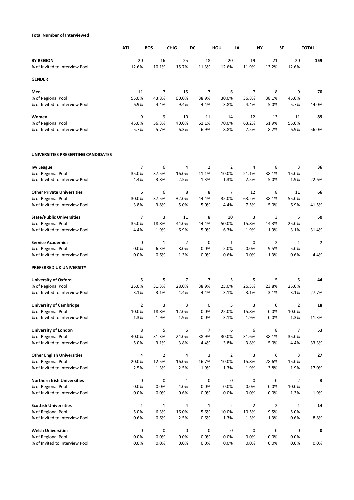## **Total Number of Interviewed**

|                                                      | <b>ATL</b>     | <b>BOS</b>     | <b>CHIG</b>    | DC             | HOU            | LA             | NY           | SF           | <b>TOTAL</b> |
|------------------------------------------------------|----------------|----------------|----------------|----------------|----------------|----------------|--------------|--------------|--------------|
| <b>BY REGION</b><br>% of Invited to Interview Pool   | 20<br>12.6%    | 16<br>10.1%    | 25<br>15.7%    | 18<br>11.3%    | 20<br>12.6%    | 19<br>11.9%    | 21<br>13.2%  | 20<br>12.6%  | 159          |
| <b>GENDER</b>                                        |                |                |                |                |                |                |              |              |              |
| Men                                                  | 11             | $\overline{7}$ | 15             | $\overline{7}$ | 6              | 7              | 8            | 9            | 70           |
| % of Regional Pool                                   | 55.0%          | 43.8%          | 60.0%          | 38.9%          | 30.0%          | 36.8%          | 38.1%        | 45.0%        |              |
| % of Invited to Interview Pool                       | 6.9%           | 4.4%           | 9.4%           | 4.4%           | 3.8%           | 4.4%           | 5.0%         | 5.7%         | 44.0%        |
| Women                                                | 9              | 9              | 10             | 11             | 14             | 12             | 13           | 11           | 89           |
| % of Regional Pool                                   | 45.0%          | 56.3%          | 40.0%          | 61.1%          | 70.0%          | 63.2%          | 61.9%        | 55.0%        |              |
| % of Invited to Interview Pool                       | 5.7%           | 5.7%           | 6.3%           | 6.9%           | 8.8%           | 7.5%           | 8.2%         | 6.9%         | 56.0%        |
| UNIVERSITIES PRESENTING CANDIDATES                   |                |                |                |                |                |                |              |              |              |
| <b>Ivy League</b>                                    | $\overline{7}$ | 6              | 4              | $\overline{2}$ | $\overline{2}$ | 4              | 8            | 3            | 36           |
| % of Regional Pool                                   | 35.0%          | 37.5%          | 16.0%          | 11.1%          | 10.0%          | 21.1%          | 38.1%        | 15.0%        |              |
| % of Invited to Interview Pool                       | 4.4%           | 3.8%           | 2.5%           | 1.3%           | 1.3%           | 2.5%           | 5.0%         | 1.9%         | 22.6%        |
| <b>Other Private Universities</b>                    | 6              | 6              | 8              | 8              | 7              | 12             | 8            | 11           | 66           |
| % of Regional Pool                                   | 30.0%          | 37.5%          | 32.0%          | 44.4%          | 35.0%          | 63.2%          | 38.1%        | 55.0%        |              |
| % of Invited to Interview Pool                       | 3.8%           | 3.8%           | 5.0%           | 5.0%           | 4.4%           | 7.5%           | 5.0%         | 6.9%         | 41.5%        |
| <b>State/Public Universities</b>                     | $\overline{7}$ | 3              | 11             | 8              | 10             | 3              | 3            | 5            | 50           |
| % of Regional Pool                                   | 35.0%          | 18.8%          | 44.0%          | 44.4%          | 50.0%          | 15.8%          | 14.3%        | 25.0%        |              |
| % of Invited to Interview Pool                       | 4.4%           | 1.9%           | 6.9%           | 5.0%           | 6.3%           | 1.9%           | 1.9%         | 3.1%         | 31.4%        |
| <b>Service Academies</b>                             | 0              | $\mathbf{1}$   | $\overline{2}$ | 0              | $\mathbf{1}$   | 0              | 2            | $\mathbf{1}$ | 7            |
| % of Regional Pool                                   | 0.0%           | 6.3%           | 8.0%           | 0.0%           | 5.0%           | 0.0%           | 9.5%         | 5.0%         |              |
| % of Invited to Interview Pool                       | 0.0%           | 0.6%           | 1.3%           | 0.0%           | 0.6%           | 0.0%           | 1.3%         | 0.6%         | 4.4%         |
| PREFERRED UK UNIVERSITY                              |                |                |                |                |                |                |              |              |              |
| <b>University of Oxford</b>                          | 5              | 5              | 7              | 7              | 5              | 5              | 5            | 5            | 44           |
| % of Regional Pool                                   | 25.0%          | 31.3%          | 28.0%          | 38.9%          | 25.0%          | 26.3%          | 23.8%        | 25.0%        |              |
| % of Invited to Interview Pool                       | 3.1%           | 3.1%           | 4.4%           | 4.4%           | 3.1%           | 3.1%           | 3.1%         | 3.1%         | 27.7%        |
| <b>University of Cambridge</b>                       | $\overline{2}$ | 3              | 3              | 0              | 5              | 3              | 0            | 2            | 18           |
| % of Regional Pool                                   | 10.0%          | 18.8%          | 12.0%          | 0.0%           | 25.0%          | 15.8%          | 0.0%         | 10.0%        |              |
| % of Invited to Interview Pool                       | 1.3%           | 1.9%           | 1.9%           | 0.0%           | 3.1%           | 1.9%           | 0.0%         | 1.3%         | 11.3%        |
| <b>University of London</b>                          | 8              | 5              | 6              | $\overline{7}$ | 6              | 6              | 8            | 7            | 53           |
| % of Regional Pool                                   | 40.0%          | 31.3%          | 24.0%          | 38.9%          | 30.0%          | 31.6%          | 38.1%        | 35.0%        |              |
| % of Invited to Interview Pool                       | 5.0%           | 3.1%           | 3.8%           | 4.4%           | 3.8%           | 3.8%           | 5.0%         | 4.4%         | 33.3%        |
| <b>Other English Universities</b>                    | 4              | $\overline{2}$ | 4              | 3              | $\overline{2}$ | 3              | 6            | 3            | 27           |
| % of Regional Pool                                   | 20.0%          | 12.5%          | 16.0%          | 16.7%          | 10.0%          | 15.8%          | 28.6%        | 15.0%        |              |
| % of Invited to Interview Pool                       | 2.5%           | 1.3%           | 2.5%           | 1.9%           | 1.3%           | 1.9%           | 3.8%         | 1.9%         | 17.0%        |
| <b>Northern Irish Universities</b>                   | 0              | 0              | $\mathbf{1}$   | 0              | 0              | 0              | 0            | 2            | 3            |
| % of Regional Pool                                   | 0.0%           | 0.0%           | 4.0%           | 0.0%           | 0.0%           | 0.0%           | 0.0%         | 10.0%        |              |
| % of Invited to Interview Pool                       | 0.0%           | 0.0%           | 0.6%           | 0.0%           | 0.0%           | 0.0%           | 0.0%         | 1.3%         | 1.9%         |
| <b>Scottish Universities</b>                         | $\mathbf{1}$   | $1\,$          | 4              | $\mathbf 1$    | $\overline{2}$ | $\overline{2}$ | 2            | $\mathbf 1$  | 14           |
| % of Regional Pool<br>% of Invited to Interview Pool | 5.0%<br>0.6%   | 6.3%<br>0.6%   | 16.0%<br>2.5%  | 5.6%<br>0.6%   | 10.0%<br>1.3%  | 10.5%<br>1.3%  | 9.5%<br>1.3% | 5.0%<br>0.6% | 8.8%         |
|                                                      |                |                |                |                |                |                |              |              |              |
| <b>Welsh Universities</b>                            | 0              | 0              | 0              | 0              | 0              | 0              | 0            | 0            | 0            |
| % of Regional Pool                                   | 0.0%           | 0.0%           | 0.0%           | 0.0%           | 0.0%           | 0.0%           | 0.0%         | 0.0%         |              |
| % of Invited to Interview Pool                       | 0.0%           | 0.0%           | 0.0%           | 0.0%           | 0.0%           | 0.0%           | 0.0%         | 0.0%         | 0.0%         |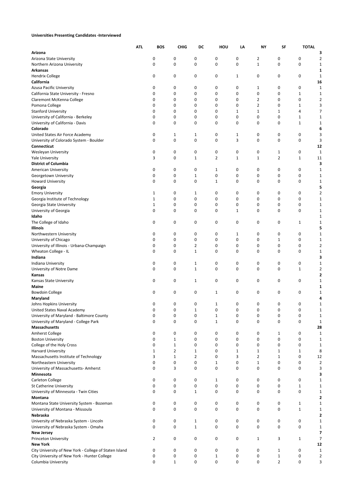### **Universities Presenting Candidates -Interviewed**

|                                                                                                        | <b>ATL</b> | BOS          | <b>CHIG</b>  | DC             | HOU                          | LA           | NY             | SF               | <b>TOTAL</b> |                   |
|--------------------------------------------------------------------------------------------------------|------------|--------------|--------------|----------------|------------------------------|--------------|----------------|------------------|--------------|-------------------|
| Arizona                                                                                                |            |              |              |                |                              |              |                |                  |              | 3                 |
| Arizona State University                                                                               |            | 0            | 0            | 0              | 0                            | 0            | 2              | 0                | 0            | 2                 |
| Northern Arizona University                                                                            |            | 0            | 0            | 0              | 0                            | 0            | $\mathbf{1}$   | 0                | $\mathbf 0$  | 1                 |
| Arkansas                                                                                               |            |              |              |                |                              |              |                |                  |              | 1                 |
| <b>Hendrix College</b><br>California                                                                   |            | 0            | 0            | 0              | 0                            | 1            | 0              | 0                | 0            | 1<br>16           |
| Azusa Pacific University                                                                               |            | 0            | 0            | 0              | 0                            | 0            | 1              | 0                | 0            | 1                 |
| California State University - Fresno                                                                   |            | 0            | 0            | 0              | 0                            | 0            | 0              | 0                | $\mathbf{1}$ | 1                 |
| Claremont McKenna College                                                                              |            | 0            | 0            | 0              | 0                            | 0            | 2              | 0                | 0            | 2                 |
| Pomona College                                                                                         |            | 0            | 0            | 0              | $\mathbf 0$                  | 0            | $\overline{2}$ | 0                | $\mathbf{1}$ | 3                 |
| <b>Stanford University</b>                                                                             |            | 0            | 0            | 0              | 0                            | $\mathbf{1}$ | 1              | 1                | 4            | 7                 |
| University of California - Berkeley                                                                    |            | 0            | 0            | 0              | $\mathbf 0$                  | 0            | 0              | 0                | $\mathbf{1}$ | 1                 |
| University of California - Davis<br>Colorado                                                           |            | 0            | 0            | 0              | 0                            | 0            | 0              | 0                | $\mathbf{1}$ | $\mathbf{1}$<br>6 |
| United States Air Force Academy                                                                        |            | 0            | 1            | $\mathbf{1}$   | 0                            | $\mathbf{1}$ | 0              | 0                | 0            | 3                 |
| University of Colorado System - Boulder                                                                |            | 0            | 0            | 0              | $\mathbf 0$                  | 3            | $\mathbf 0$    | 0                | 0            | 3                 |
| Connecticut                                                                                            |            |              |              |                |                              |              |                |                  |              | 12                |
| Wesleyan University                                                                                    |            | 0            | 0            | 0              | 0                            | 0            | 0              | 1                | 0            | 1                 |
| <b>Yale University</b>                                                                                 |            | 3            | 0            | $\mathbf{1}$   | $\overline{2}$               | $\mathbf{1}$ | $\mathbf{1}$   | $\overline{2}$   | $\mathbf{1}$ | 11                |
| <b>District of Columbia</b>                                                                            |            |              |              |                |                              |              |                |                  |              | 3                 |
| American University                                                                                    |            | 0            | 0            | 0              | 1                            | 0            | 0              | 0                | 0            | 1                 |
| Georgetown University                                                                                  |            | 0            | 0            | $\mathbf{1}$   | 0                            | 0            | 0              | 0                | 0            | 1                 |
| <b>Howard University</b>                                                                               |            | 0            | 0            | 0              | $\mathbf 1$                  | 0            | 0              | 0                | 0            | 1<br>5            |
| Georgia<br><b>Emory University</b>                                                                     |            | 1            | 0            | 1              | 0                            | 0            | 0              | 0                | 0            | 2                 |
| Georgia Institute of Technology                                                                        |            | $\mathbf{1}$ | 0            | 0              | $\mathbf 0$                  | 0            | 0              | 0                | 0            | $\mathbf{1}$      |
| Georgia State University                                                                               |            | $\mathbf{1}$ | 0            | 0              | 0                            | 0            | 0              | 0                | 0            | 1                 |
| University of Georgia                                                                                  |            | 0            | 0            | 0              | 0                            | $\mathbf{1}$ | 0              | 0                | 0            | 1                 |
| Idaho                                                                                                  |            |              |              |                |                              |              |                |                  |              | 1                 |
| The College of Idaho                                                                                   |            | 0            | 0            | 0              | 0                            | 0            | 0              | 0                | 1            | 1                 |
| Illinois                                                                                               |            |              |              |                |                              |              |                |                  |              | 5                 |
| Northwestern University                                                                                |            | 0            | 0            | 0              | 0                            | 1            | 0              | 0                | 0            | 1                 |
| University of Chicago                                                                                  |            | 0            | 0            | 0              | 0                            | 0            | 0              | $\mathbf{1}$     | 0            | $\mathbf{1}$      |
| University of Illinois - Urbana-Champaign                                                              |            | 0            | 0            | 2              | 0                            | 0            | 0              | 0                | 0            | 2                 |
| Wheaton College - IL                                                                                   |            | 0            | 0            | $\mathbf{1}$   | 0                            | 0            | 0              | 0                | 0            | 1                 |
| Indiana<br>Indiana University                                                                          |            | 0            | 0            | $\mathbf{1}$   | 0                            | 0            | 0              | 0                | 0            | з<br>1            |
| University of Notre Dame                                                                               |            | 0            | 0            | $\mathbf{1}$   | 0                            | 0            | 0              | 0                | $\mathbf{1}$ | 2                 |
| Kansas                                                                                                 |            |              |              |                |                              |              |                |                  |              | 2                 |
| Kansas State University                                                                                |            | 0            | 0            | $\mathbf{1}$   | 0                            | 0            | 0              | 0                | 0            |                   |
| Maine                                                                                                  |            |              |              |                |                              |              |                |                  |              | 1                 |
| <b>Bowdoin College</b>                                                                                 |            | 0            | 0            | 0              | 1                            | 0            | 0              | 0                | 0            |                   |
| Maryland                                                                                               |            |              |              |                |                              |              |                |                  |              | 4                 |
| Johns Hopkins University                                                                               |            | 0            | 0            | 0              | $\mathbf{1}$                 | 0            | 0              | 0                | 0            | 1                 |
| United States Naval Academy                                                                            |            | 0            | 0            |                | 0                            | 0            |                | 0                | 0            |                   |
| University of Maryland - Baltimore County<br>University of Maryland - College Park                     |            | 0<br>0       | 0<br>0       | 0<br>0         | $\mathbf{1}$<br>$\mathbf{1}$ | 0<br>0       | 0<br>0         | 0<br>0           | 0<br>0       | 1<br>1            |
| Massachusetts                                                                                          |            |              |              |                |                              |              |                |                  |              | 28                |
| Amherst College                                                                                        |            | 0            | 0            | 0              | 0                            | 0            | 0              | $\mathbf{1}$     | 0            | 1                 |
| <b>Boston University</b>                                                                               |            | 0            | $\mathbf{1}$ | 0              | 0                            | 0            | 0              | 0                | 0            | 1                 |
| College of the Holy Cross                                                                              |            | 0            | $\mathbf{1}$ | 0              | 0                            | 0            | 0              | 0                | 0            | 1                 |
| Harvard University                                                                                     |            | 1            | 2            | 1              | 0                            | $\mathbf{1}$ | 1              | 1                | $\mathbf{1}$ | 8                 |
| Massachusetts Institute of Technology                                                                  |            | 3            | $\mathbf{1}$ | $\overline{2}$ | 0                            | 3            | $\overline{2}$ | $\mathbf{1}$     | 0            | 12                |
| Northeastern University                                                                                |            | 0            | 0            | 0              | $\mathbf{1}$                 | 0            | $\mathbf{1}$   | 0                | 0            | $\overline{2}$    |
| University of Massachusetts-Amherst                                                                    |            | 0            | 3            | 0              | 0                            | 0            | 0              | 0                | 0            | 3                 |
| Minnesota                                                                                              |            |              |              |                |                              |              |                |                  |              | з                 |
| Carleton College<br><b>St Catherine University</b>                                                     |            | 0<br>0       | 0<br>0       | 0<br>0         | 1<br>0                       | 0<br>0       | 0<br>0         | 0<br>0           | 0            | 1                 |
| University of Minnesota - Twin Cities                                                                  |            | 0            | 0            | 1              | 0                            | 0            | 0              | 0                | 1<br>0       | 1<br>1            |
| Montana                                                                                                |            |              |              |                |                              |              |                |                  |              | 2                 |
| Montana State University System - Bozeman                                                              |            | 0            | 0            | 0              | 0                            | 0            | 0              | 0                | 1            | 1                 |
| University of Montana - Missoula                                                                       |            | 0            | 0            | 0              | 0                            | 0            | $\mathbf 0$    | 0                | $\mathbf{1}$ | 1                 |
| Nebraska                                                                                               |            |              |              |                |                              |              |                |                  |              | 2                 |
| University of Nebraska System - Lincoln                                                                |            | 0            | 0            | 1              | 0                            | 0            | 0              | 0                | 0            | 1                 |
| University of Nebraska System - Omaha                                                                  |            | 0            | 0            | $\mathbf{1}$   | 0                            | 0            | 0              | 0                | 0            | $\mathbf{1}$      |
| <b>New Jersey</b>                                                                                      |            |              |              |                |                              |              |                |                  |              | 7                 |
| Princeton University                                                                                   |            | 2            | 0            | 0              | 0                            | 0            | $\mathbf{1}$   | 3                | $\mathbf{1}$ | 7                 |
| <b>New York</b>                                                                                        |            |              |              |                |                              |              |                |                  |              | 12                |
| City University of New York - College of Staten Island<br>City University of New York - Hunter College |            | 0<br>0       | 0<br>0       | 0<br>0         | 0<br>$1\,$                   | 0<br>0       | 0<br>0         | 1<br>$\mathbf 1$ | 0<br>0       | $\mathbf 1$<br>2  |
| Columbia University                                                                                    |            | 0            | $\mathbf 1$  | 0              | 0                            | 0            | 0              | $\overline{2}$   | 0            | 3                 |
|                                                                                                        |            |              |              |                |                              |              |                |                  |              |                   |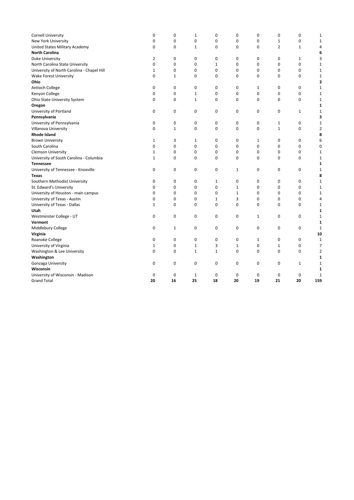| <b>Cornell University</b>                  | 0            | 0            | $\mathbf 1$  | 0            | 0            | 0            | 0              | 0            | $\mathbf{1}$   |
|--------------------------------------------|--------------|--------------|--------------|--------------|--------------|--------------|----------------|--------------|----------------|
| New York University                        | 0            | 0            | 0            | 0            | 0            | 0            | $\mathbf{1}$   | 0            | 1              |
| United States Military Academy             | 0            | 0            | 1            | $\mathbf 0$  | 0            | 0            | $\overline{2}$ | $\mathbf{1}$ | 4              |
| <b>North Carolina</b>                      |              |              |              |              |              |              |                |              | 6              |
| <b>Duke University</b>                     | 2            | 0            | 0            | 0            | 0            | 0            | 0              | 1            | 3              |
| North Carolina State University            | 0            | $\pmb{0}$    | 0            | $\mathbf 1$  | 0            | 0            | 0              | $\mathbf 0$  | $\mathbf 1$    |
| University of North Carolina - Chapel Hill | 1            | 0            | 0            | $\Omega$     | $\Omega$     | 0            | 0              | $\mathbf 0$  | $\mathbf{1}$   |
| Wake Forest University                     | 0            | $\mathbf{1}$ | 0            | 0            | 0            | 0            | 0              | 0            | $\mathbf{1}$   |
| Ohio                                       |              |              |              |              |              |              |                |              | 3              |
| Antioch College                            | 0            | 0            | 0            | 0            | 0            | 1            | 0              | 0            | $\mathbf{1}$   |
| Kenyon College                             | 0            | 0            | $\mathbf{1}$ | 0            | 0            | 0            | 0              | $\mathbf 0$  | $\mathbf{1}$   |
| Ohio State University System               | 0            | 0            | $\mathbf{1}$ | 0            | 0            | 0            | 0              | 0            | $\mathbf{1}$   |
| Oregon                                     |              |              |              |              |              |              |                |              | 1              |
| University of Portland                     | 0            | 0            | 0            | 0            | 0            | 0            | 0              | 1            | $\mathbf{1}$   |
| Pennsylvania                               |              |              |              |              |              |              |                |              | 3              |
| University of Pennsylvania                 | 0            | 0            | 0            | 0            | 0            | 0            | $\mathbf{1}$   | 0            | $\mathbf{1}$   |
| Villanova University                       | 0            | $\mathbf{1}$ | 0            | 0            | 0            | 0            | $\mathbf{1}$   | 0            | 2              |
| <b>Rhode Island</b>                        |              |              |              |              |              |              |                |              | 8              |
| <b>Brown University</b>                    | $\mathbf{1}$ | 3            | $\mathbf{1}$ | 0            | 0            | 1            | 0              | 0            | 6              |
| South Carolina                             | 0            | 0            | 0            | 0            | 0            | 0            | 0              | 0            | 0              |
| <b>Clemson University</b>                  | 1            | 0            | 0            | 0            | 0            | 0            | 0              | 0            | $\mathbf{1}$   |
| University of South Carolina - Columbia    | $\mathbf{1}$ | $\mathbf 0$  | 0            | 0            | $\Omega$     | 0            | 0              | 0            | $\mathbf{1}$   |
| <b>Tennessee</b>                           |              |              |              |              |              |              |                |              | 1              |
| University of Tennessee - Knoxville        | 0            | 0            | 0            | 0            | $\mathbf{1}$ | 0            | 0              | 0            | $\mathbf 1$    |
| Texas                                      |              |              |              |              |              |              |                |              | 8              |
| Southern Methodist University              | 0            | 0            | 0            | 1            | 0            | 0            | 0              | 0            | $\mathbf{1}$   |
| St. Edward's University                    | 0            | $\mathbf 0$  | 0            | $\mathbf 0$  | $\mathbf{1}$ | 0            | $\mathbf 0$    | 0            | $\mathbf 1$    |
| University of Houston - main campus        | 0            | 0            | 0            | 0            | $\mathbf{1}$ | 0            | 0              | $\mathbf 0$  | $\mathbf{1}$   |
| University of Texas - Austin               | 0            | 0            | 0            | $\mathbf 1$  | 3            | 0            | 0              | 0            | 4              |
| University of Texas - Dallas               | $\mathbf{1}$ | 0            | 0            | 0            | 0            | 0            | 0              | 0            | $\mathbf{1}$   |
| Utah                                       |              |              |              |              |              |              |                |              | 1              |
| Westminster College - UT                   | 0            | 0            | 0            | 0            | 0            | 1            | 0              | 0            | $\mathbf{1}$   |
| Vermont                                    |              |              |              |              |              |              |                |              | 1              |
| Middlebury College                         | 0            | 1            | 0            | 0            | 0            | 0            | 0              | 0            | $\mathbf{1}$   |
| Virginia                                   |              |              |              |              |              |              |                |              | 10             |
| Roanoke College                            | 0            | 0            | 0            | 0            | 0            | $\mathbf{1}$ | 0              | 0            | $\mathbf{1}$   |
| University of Virginia                     | 1            | 0            | 1            | 3            | $\mathbf{1}$ | 0            | $\mathbf{1}$   | $\mathbf 0$  | 7              |
| Washington & Lee University                | 0            | 0            | $\mathbf{1}$ | $\mathbf{1}$ | 0            | 0            | 0              | 0            | $\overline{2}$ |
| Washington                                 |              |              |              |              |              |              |                |              | 1              |
| Gonzaga University                         | 0            | 0            | 0            | 0            | 0            | 0            | 0              | $\mathbf 1$  | $\mathbf{1}$   |
| Wisconsin                                  |              |              |              |              |              |              |                |              | 1              |
| University of Wisconsin - Madison          | 0            | 0            | $\mathbf 1$  | 0            | 0            | 0            | 0              | 0            | $\mathbf{1}$   |
| <b>Grand Total</b>                         | 20           | 16           | 25           | 18           | 20           | 19           | 21             | 20           | 159            |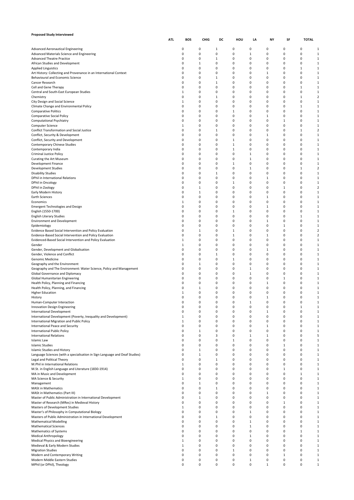| <b>Proposed Study Interviewed</b>                                                                                    |     |               |                  |                   |                            |                            |                  |                   |                          |                                |
|----------------------------------------------------------------------------------------------------------------------|-----|---------------|------------------|-------------------|----------------------------|----------------------------|------------------|-------------------|--------------------------|--------------------------------|
|                                                                                                                      | ATL | <b>BOS</b>    | CHIG             | DC                | HOU                        | LA                         | NY               | SF                | <b>TOTAL</b>             |                                |
| <b>Advanced Aeronautical Engineering</b>                                                                             |     | 0             | 0                | $\mathbf{1}$      | 0                          | 0                          | 0                | 0                 | 0                        | $\mathbf{1}$                   |
| Advanced Materials Science and Engineering                                                                           |     | 0             | 0                | 0                 | 0                          | $\mathbf 1$                | 0                | 0                 | 0                        | 1                              |
| <b>Advanced Theatre Practice</b><br>African Studies and Development                                                  |     | 0<br>0        | 0<br>1           | 1<br>0            | 0<br>0                     | $\mathbf 0$<br>0           | 0<br>0           | 0<br>0            | 0<br>0                   | 1<br>$\mathbf{1}$              |
| <b>Applied Linguistics</b>                                                                                           |     | 0             | 0                | 0                 | 0                          | 0                          | 0                | 0                 | 1                        | 1                              |
| Art History: Collecting and Provenance in an International Context                                                   |     | 0             | 0                | 0                 | $\mathbf 0$                | $\pmb{0}$                  | 1                | 0                 | 0                        | 1                              |
| Behavioural and Economic Science<br>Cancer Research                                                                  |     | 0<br>0        | 0<br>0           | $\mathbf{1}$<br>1 | 0<br>$\mathbf 0$           | $\pmb{0}$<br>0             | 0<br>0           | 0<br>0            | 0<br>$\Omega$            | $\mathbf{1}$<br>1              |
| Cell and Gene Therapy                                                                                                |     | 0             | 0                | 0                 | $\mathbf 0$                | $\pmb{0}$                  | 0                | 0                 | $\mathbf{1}$             | 1                              |
| Central and South-East European Studies                                                                              |     | 1             | 0                | 0                 | 0                          | 0                          | $\mathbf 0$      | 0                 | 0                        | 1                              |
| Chemistry                                                                                                            |     | 0             | 0                | 1                 | $\mathbf 0$                | 0                          | 0                | 0                 | $\mathbf{1}$             | $\overline{2}$                 |
| City Design and Social Science<br>Climate Change and Environmental Policy                                            |     | 1<br>0        | 0<br>0           | 0<br>0            | 0<br>0                     | 0<br>0                     | $\mathbf 0$<br>0 | 0<br>0            | 0<br>$\mathbf{1}$        | 1<br>1                         |
| <b>Comparative Politics</b>                                                                                          |     | 0             | 0                | 0                 | 1                          | 0                          | 0                | 0                 | 0                        | 1                              |
| Comparative Social Policy                                                                                            |     | 0             | 0                | 0                 | 0                          | 0                          | 1                | 0                 | $\Omega$                 | $\mathbf{1}$                   |
| Computational Psychiatry<br>Computer Science                                                                         |     | 0<br>1        | 0<br>0           | 0<br>0            | 0<br>0                     | 0<br>$\mathbf 0$           | 0<br>0           | 1<br>0            | $\Omega$<br>0            | 1<br>1                         |
| Conflict Transformation and Social Justice                                                                           |     | 0             | 0                | $\mathbf{1}$      | 0                          | 0                          | $\mathbf 0$      | 0                 | 1                        | $\overline{\mathbf{c}}$        |
| Conflict, Security & Development                                                                                     |     | 0             | $\mathbf 0$      | 0                 | $\mathbf 0$                | $\mathbf 0$                | 1                | 0                 | 0                        | 1                              |
| Conflict, Security and Development                                                                                   |     | 0             | 0                | 0                 | 1                          | $\mathbf 0$                | 0<br>$\mathbf 0$ | 0                 | 0<br>$\Omega$            | 1                              |
| Contemporary Chinese Studies<br>Contemporary India                                                                   |     | 0<br>0        | 0<br>$\mathbf 0$ | 0<br>0            | 1<br>1                     | 0<br>0                     | 0                | 0<br>0            | 0                        | 1<br>$\mathbf{1}$              |
| Criminal Justice Policy                                                                                              |     | 0             | 0                | 0                 | 0                          | $\mathbf{1}$               | 0                | 0                 | 0                        | 1                              |
| Curating the Art Museum                                                                                              |     | 0             | 0                | 0                 | 0                          | 1                          | $\mathbf 0$      | 0                 | $\Omega$                 | 1                              |
| Development Finance<br><b>Development Studies</b>                                                                    |     | 0<br>0        | $\mathbf 0$<br>0 | 0<br>0            | 1<br>0                     | 0<br>$\mathbf{1}$          | 0<br>0           | 0<br>0            | 0<br>1                   | $\mathbf{1}$<br>$\overline{2}$ |
| <b>Disability Studies</b>                                                                                            |     | 0             | 0                | 1                 | 0                          | 0                          | $\mathbf 0$      | 0                 | $\Omega$                 | 1                              |
| DPhil in International Relations                                                                                     |     | 0             | 0                | 0                 | $\mathbf 0$                | $\pmb{0}$                  | 1                | 0                 | 0                        | 1                              |
| DPhil in Oncology                                                                                                    |     | 0             | 0                | 0                 | 1                          | $\mathbf 0$                | 0                | 0                 | 0                        | 1                              |
| DPhil in Zoology<br>Early Modern History                                                                             |     | 0<br>0        | 1<br>1           | 0<br>0            | $\mathbf 0$<br>$\mathbf 0$ | 0<br>$\pmb{0}$             | 0<br>0           | $\mathbf{1}$<br>0 | $\Omega$<br>0            | $\overline{2}$<br>1            |
| Earth Sciences                                                                                                       |     | 0             | 0                | 0                 | 0                          | $\mathbf 0$                | 1                | 0                 | 0                        | 1                              |
| Economics                                                                                                            |     | 1             | 0                | 0                 | $\mathbf 0$                | $\mathbf 0$                | 0                | 0                 | $\Omega$                 | 1                              |
| <b>Emergent Technologies and Design</b>                                                                              |     | 0             | 0                | 0                 | $\mathbf 0$                | $\pmb{0}$                  | 1                | 0                 | 0                        | 1                              |
| English (1550-1700)<br><b>English Literary Studies</b>                                                               |     | 0<br>0        | 0<br>0           | 0<br>0            | 1<br>$\mathbf 0$           | 0<br>$\mathbf 0$           | $\mathbf 0$<br>0 | 0<br>0            | $\Omega$<br>$\mathbf{1}$ | 1<br>1                         |
| <b>Environment and Development</b>                                                                                   |     | 0             | 0                | 0                 | 0                          | 0                          | 1                | 0                 | 0                        | $\mathbf{1}$                   |
| Epidemiology                                                                                                         |     | 0             | 0                | 0                 | 0                          | 0                          | 0                | 1                 | $\Omega$                 | 1                              |
| Evidence Based Social Intervention and Policy Evaluation<br>Evidence-Based Social Intervention and Policy Evaluation |     | 0<br>0        | $\mathbf 1$<br>0 | 0<br>0            | 1<br>1                     | $\mathbf 0$<br>0           | 0<br>1           | 0<br>0            | $\Omega$<br>0            | $\mathbf 2$<br>$\overline{2}$  |
| Evidenced-Based Social Intervention and Policy Evaluation                                                            |     | 1             | 0                | 0                 | 0                          | 0                          | 0                | 0                 | $\Omega$                 | 1                              |
| Gender                                                                                                               |     | 1             | 0                | 0                 | $\mathbf 0$                | $\mathbf 0$                | 0                | 0                 | $\Omega$                 | 1                              |
| Gender, Development and Globalisation                                                                                |     | 0             | 0                | 0                 | 0                          | $\pmb{0}$                  | 1                | 0                 | 0                        | $\mathbf{1}$                   |
| Gender, Violence and Conflict<br>Genomic Medicine                                                                    |     | 0<br>0        | 0<br>0           | $\mathbf{1}$<br>0 | $\mathbf 0$<br>1           | $\mathbf 0$<br>$\mathbf 0$ | 0<br>0           | 0<br>0            | $\Omega$<br>0            | 1<br>1                         |
| Geography and the Environment                                                                                        |     | 0             | 1                | 0                 | 0                          | 0                          | $\mathbf 0$      | 0                 | $\Omega$                 | 1                              |
| Geography and The Environment: Water Science, Policy and Management                                                  |     | 0             | 0                | 0                 | $\mathbf 0$                | 1                          | 0                | 0                 | 0                        | 1                              |
| Global Governance and Diplomacy                                                                                      |     | 0<br>0        | 0<br>0           | 0<br>0            | 0<br>0                     | $\mathbf 1$<br>0           | 0<br>0           | 0<br>1            | 0<br>$\Omega$            | $\mathbf{1}$<br>1              |
| Global Humanitarian Engineering<br>Health Policy, Planning and Financing                                             |     | 0             | $\mathbf 0$      | 0                 | $\mathbf 0$                | 0                          | 1                | 0                 | $\Omega$                 | 1                              |
| Health Policy, Planning, and Financing                                                                               |     | 0             | $\mathbf 1$      | 0                 | 0                          | 0                          | 0                | 0                 | 0                        | 1                              |
| <b>Higher Education</b>                                                                                              |     | 1             | 0                | 0                 | 0                          | $\pmb{0}$                  | $\mathbf 0$      | 0                 | $\Omega$                 | 1                              |
| History<br>Human-Computer Interaction                                                                                |     | $\Omega$<br>0 | $\Omega$<br>0    | 0<br>0            | $\Omega$<br>0              | 0<br>$\mathbf{1}$          | 1<br>0           | 0<br>0            | $\Omega$<br>0            | $\mathbf{1}$<br>1              |
| <b>Innovation Design Engineering</b>                                                                                 |     | 0             | 0                | 0                 | 0                          | $\pmb{0}$                  | 0                | 0                 | 1                        | 1                              |
| <b>International Development</b>                                                                                     |     | 0             | 0                | 0                 | 0                          | $\pmb{0}$                  | 1                | 0                 | 0                        | 1                              |
| International Development (Poverty, Inequality and Development)<br>International Migration and Public Policy         |     | 1<br>1        | 0<br>0           | 0<br>0            | 0<br>$\mathbf 0$           | $\pmb{0}$<br>0             | 0<br>0           | 0<br>0            | 0<br>0                   | 1<br>1                         |
| International Peace and Security                                                                                     |     | 0             | 0                | 0                 | $\mathbf 0$                | $\pmb{0}$                  | $\mathbf 1$      | 0                 | 0                        | 1                              |
| <b>International Public Policy</b>                                                                                   |     | 0             | 1                | 0                 | 0                          | $\pmb{0}$                  | 0                | 0                 | 0                        | 1                              |
| <b>International Relations</b>                                                                                       |     | 0             | 0                | 3                 | 0                          | 1                          | 1                | 0                 | 0                        | 5                              |
| <b>Islamic Law</b><br><b>Islamic Studies</b>                                                                         |     | 0<br>0        | 0<br>0           | 0<br>0            | 1<br>0                     | $\pmb{0}$<br>0             | 0<br>0           | 0<br>$\mathbf{1}$ | 0<br>0                   | 1<br>1                         |
| Islamic Studies and History                                                                                          |     | 0             | $\mathbf 1$      | 0                 | 0                          | $\pmb{0}$                  | 0                | 0                 | 0                        | 1                              |
| Language Sciences (with a specialisation in Sign Language and Deaf Studies)                                          |     | 0             | $\mathbf 1$      | 0                 | 0                          | $\pmb{0}$                  | 0                | 0                 | 0                        | 1                              |
| Legal and Political Theory<br>M.Phil in International Relations                                                      |     | 0<br>1        | 0<br>0           | 1<br>0            | $\mathbf 0$<br>0           | 0<br>$\pmb{0}$             | 0<br>0           | 0<br>0            | 0<br>0                   | 1<br>1                         |
| M.St. in English Language and Literature (1830-1914)                                                                 |     | 0             | 0                | 0                 | 0                          | 0                          | 0                | 1                 | 0                        | 1                              |
| MA in Music and Development                                                                                          |     | 0             | 0                | 0                 | $\mathbf 0$                | 0                          | 0                | 0                 | $\mathbf{1}$             | 1                              |
| MA Science & Security                                                                                                |     | 1             | 0                | 0                 | 0                          | $\mathbf 0$                | 0                | 0                 | 0                        | 1                              |
| Management<br><b>MASt in Mathematics</b>                                                                             |     | 0<br>0        | 1<br>0           | 0<br>1            | 0<br>$\mathbf 0$           | $\mathbf 0$<br>0           | 0<br>0           | 0<br>0            | $\Omega$<br>0            | 1<br>1                         |
| MASt in Mathematics (Part III)                                                                                       |     | 0             | 0                | 0                 | 0                          | $\pmb{0}$                  | $\mathbf 1$      | 0                 | 0                        | 1                              |
| Master of Public Administration in International Development                                                         |     | 0             | 1                | 0                 | 0                          | 0                          | 0                | 0                 | $\Omega$                 | 1                              |
| Master of Research (MRes) in Medieval History                                                                        |     | 0<br>1        | 0<br>0           | 0<br>0            | $\mathbf 0$<br>0           | $\pmb{0}$<br>$\pmb{0}$     | 0<br>0           | $\mathbf{1}$<br>0 | 0<br>0                   | 1<br>1                         |
| Masters of Development Studies<br>Master's of Philosophy in Computational Biology                                    |     | 0             | 0                | 0                 | 0                          | 1                          | 0                | 0                 | 0                        | 1                              |
| Masters of Public Administration in International Development                                                        |     | 0             | 0                | 1                 | $\mathbf 0$                | $\pmb{0}$                  | 0                | 0                 | 0                        | 1                              |
| <b>Mathematical Modelling</b>                                                                                        |     | 0             | 0                | 0                 | 0                          | $\mathbf 1$                | 0                | 0                 | 0                        | 1                              |
| <b>Mathematical Sciences</b><br>Mathematics of Systems                                                               |     | 0<br>0        | 0<br>0           | 0<br>0            | $\mathbf 0$<br>0           | 1<br>$\pmb{0}$             | 0<br>0           | 0<br>0            | 0<br>1                   | 1<br>1                         |
| <b>Medical Anthropology</b>                                                                                          |     | 0             | 0                | 0                 | 0                          | 1                          | 0                | 0                 | 0                        | 1                              |
| Medical Physics and Bioengineering                                                                                   |     | 1             | 0                | 0                 | 0                          | 0                          | 0                | 0                 | 0                        | 1                              |
| Medieval & Early Modern Studies                                                                                      |     | 1             | 0                | 0                 | 0                          | $\pmb{0}$                  | 0                | 0                 | 0                        | 1                              |
| <b>Migration Studies</b><br>Modern and Contemporary Writing                                                          |     | 0<br>0        | 0<br>0           | 0<br>0            | 1<br>0                     | 0<br>$\mathbf 0$           | 0<br>0           | 0<br>$\mathbf{1}$ | 0<br>0                   | 1<br>1                         |
| Modern Middle Eastern Studies                                                                                        |     | 0             | 0                | 0                 | 0                          | $\mathbf 1$                | 0                | 0                 | 0                        | 1                              |
| MPhil (or DPhil), Theology                                                                                           |     | 0             | 0                | 0                 | 0                          | 0                          | 1                | 0                 | 0                        | 1                              |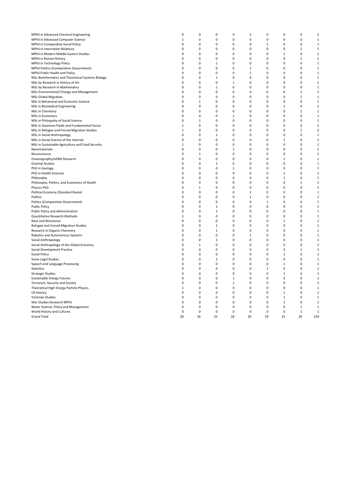| MPhil in Advanced Chemical Engineering             | 0             | 0           | 0            | 0                        | $\overline{2}$ | 0            | 0            | 0            | $\overline{2}$ |
|----------------------------------------------------|---------------|-------------|--------------|--------------------------|----------------|--------------|--------------|--------------|----------------|
| MPhil in Advanced Computer Science                 | $\mathbf{1}$  | $\mathbf 0$ | 0            | 0                        | $\mathbf 0$    | 0            | 0            | $\mathbf 0$  | 1              |
| MPhil in Comparative Social Policy                 | $\Omega$      | 0           | 0            | $\Omega$                 | 0              | 1            | 0            | 0            | $\mathbf 1$    |
| <b>MPhil in Internation Relations</b>              | $\Omega$      | 0           | 0            | $\Omega$                 | 0              | 0            | 0            | 1            | 1              |
| MPhil in Modern Middle Eastern Studies             | $\Omega$      | 0           | 0            | $\Omega$                 | $\mathbf 0$    | 0            | $\mathbf{1}$ | $\mathbf 0$  | $\mathbf 1$    |
| MPhil in Roman History                             | 0             | 0           | 0            | 0                        | 0              | 0            | 0            | 1            | $\mathbf 1$    |
| MPhil in Technology Policy                         | $\Omega$      | 0           | $\mathbf 1$  | $\Omega$                 | $\mathbf 0$    | 0            | $\Omega$     | $\mathbf 0$  | $\mathbf 1$    |
| MPhil Politics (Comparative Government)            | 0             | 0           | 0            | 0                        | 1              | 0            | 0            | 0            | 1              |
| MPhil Public Health and Policy                     | $\Omega$      | $\mathbf 0$ | 0            | $\Omega$                 | $\mathbf 1$    | 0            | $\Omega$     | $\mathbf 0$  | $\mathbf 1$    |
| MSc Bioinformatics and Theoretical Systems Biology | 0             | 0           | 1            | 0                        | 0              | 0            | 0            | 0            | 1              |
| MSc by Research in History of Art                  | $\Omega$      | $\mathbf 0$ | 0            | $\mathbf{1}$             | $\mathbf 0$    | 0            | $\Omega$     | $\mathbf 0$  | $\mathbf 1$    |
| MSc by Research in Mathematics                     | 0             | 0           | 1            | 0                        | 0              | 0            | 0            | $\mathsf 0$  | 1              |
| MSc Environmental Change and Management            | $\Omega$      | $\mathbf 0$ | 0            | $\Omega$                 | $\mathbf 0$    | 0            | $\Omega$     | 1            | 1              |
| <b>MSc Global Migration</b>                        | 0             | 0           | 0            | 0                        | 0              | 0            | 0            | 1            | 1              |
| MSc in Behavioral and Economic Science             | $\Omega$      | 1           | 0            | $\Omega$                 | 0              | 0            | 0            | 0            | 1              |
| MSc in Biomedical Engineering                      | 0             | 0           | 0            | $\Omega$                 | $\mathbf 0$    | 0            | 1            | $\mathsf 0$  | 1              |
| MSc in Chemistry                                   | 0             | 0           | 0            | $\Omega$                 | $\mathbf 0$    | 0            | 0            | $\mathbf{1}$ | 1              |
| <b>MSc in Economics</b>                            | 0             | 0           | 0            | $\mathbf{1}$             | $\mathbf 0$    | 0            | 0            | $\mathsf 0$  | $\mathbf 1$    |
| MSc in Philospohy of Social Science                | 0             | $\mathbf 1$ | 0            | $\Omega$                 | $\mathbf 0$    | 0            | 0            | $\mathbf 0$  | $\mathbf 1$    |
| MSc in Quantum Fields and Fundamental Forces       | $\mathbf{1}$  | $\mathbf 0$ | 0            | $\Omega$                 | $\mathbf 0$    | 0            | 0            | $\pmb{0}$    | $\mathbf 1$    |
| MSc in Refugee and Forced Migration Studies        | 1             | 0           | 0            | $\Omega$                 | $\mathbf 0$    | 0            | 0            | 1            | $\overline{2}$ |
| MSc in Social Anthropology                         | 0             | 0           | $\mathbf 1$  | $\Omega$                 | $\mathbf 0$    | 0            | 0            | $\pmb{0}$    | $\mathbf 1$    |
| MSc in Social Science of the Internet              | $\Omega$      | 0           | 0            | $\Omega$                 | $\mathbf 0$    | 0            | $\mathbf{1}$ | $\mathbf 0$  | $\mathbf 1$    |
|                                                    | 1             | $\mathbf 0$ | 0            | $\Omega$                 | $\mathbf 0$    | 0            | 0            | $\mathbf 0$  | $\mathbf 1$    |
| MSc in Sustainable Agriculture and Food Security   | $\Omega$      | 0           | 0            | $\mathbf{1}$             | $\mathbf 0$    | 0            | 0            | $\mathbf 0$  | $\mathbf 1$    |
| Nanomaterials                                      | 0             | 1           | 0            | 0                        | $\mathbf 0$    | 0            | $\mathbf 0$  | $\mathbf 0$  | $\mathbf 1$    |
| Neuroscience                                       | $\Omega$      | $\mathbf 0$ | 0            | $\Omega$                 | $\mathbf 0$    | 0            |              | $\mathbf 0$  | $\mathbf 1$    |
| Oceanography/eDNA Research                         |               | 0           |              | $\Omega$                 | 0              | 0            | 1<br>0       | $\mathbf 0$  |                |
| <b>Oriental Studies</b>                            | 0             | $\mathbf 0$ | $\mathbf 1$  |                          | $\mathbf 0$    | 0            |              | $\mathbf 0$  | $\mathbf 1$    |
| PhD in Geology                                     | 0<br>$\Omega$ |             | $\mathbf 0$  | $\mathbf{1}$<br>$\Omega$ |                |              | 0            |              | $\mathbf 1$    |
| PhD in Health Sciences                             |               | 0           | 0            |                          | 0              | 0            | 1            | $\mathbf 0$  | $\mathbf 1$    |
| Philosophy                                         | $\Omega$      | $\mathbf 0$ | 0            | $\Omega$                 | $\mathbf 0$    | 0            | $\mathbf 1$  | $\mathbf 0$  | $\mathbf 1$    |
| Philosophy, Politics, and Economics of Health      | $\Omega$      | 0           | 0            | $\Omega$                 | $\mathbf 0$    | 0            | 0            | $\mathbf{1}$ | $\mathbf 1$    |
| Physics PhD                                        | 0             | $\,1\,$     | 0            | $\Omega$                 | $\Omega$       | 0            | $\mathbf 0$  | $\mathbf 0$  | $\mathbf 1$    |
| Political Economy (Standard Route)                 | $\Omega$      | 0           | 0            | $\Omega$                 | 1              | 0            | 0            | $\mathbf 0$  | $\mathbf 1$    |
| Politics                                           | $\Omega$      | $\mathbf 0$ | 0            | $\Omega$                 | $\mathbf{1}$   | 0            | 0            | $\mathbf 0$  | $1\,$          |
| Politics (Comparative Government)                  | $\Omega$      | 0           | 0            | $\Omega$                 | $\mathbf 0$    | $\mathbf{1}$ | 0            | $\mathbf 0$  | $\mathbf 1$    |
| <b>Public Policy</b>                               | 0             | $\mathbf 0$ | 1            | $\Omega$                 | $\mathbf 0$    | 0            | 0            | $\mathbf 0$  | 1              |
| Public Policy and Administration                   | 0             | 0           | $\,1\,$      | $\Omega$                 | $\mathbf 0$    | 0            | 0            | $\mathbf 0$  | $\mathbf 1$    |
| Quantitative Research Methods                      | $\mathbf{1}$  | $\mathbf 0$ | 0            | $\Omega$                 | $\mathbf 0$    | 0            | 0            | $\mathbf 0$  | 1              |
| Race and Resistance                                | $\Omega$      | $\mathbf 0$ | 0            | $\Omega$                 | $\mathbf 0$    | 0            | $\mathbf{1}$ | $\mathbf 0$  | $\mathbf 1$    |
| Refugee and Forced Migration Studies               | 0             | 0           | 1            | $\Omega$                 | 0              | 0            | 0            | $\mathbf 0$  | 1              |
| Research in Organic Chemistry                      | $\Omega$      | 0           | $\mathbf{1}$ | $\Omega$                 | $\mathbf 0$    | 0            | 0            | $\mathbf 0$  | $1\,$          |
| Robotics and Autonomous Systems                    | 0             | 0           | 0            | $\Omega$                 | 1              | 0            | 0            | $\mathbf 0$  | 1              |
| Social Anthropology                                | $\Omega$      | 0           | $\mathbf 1$  | $\Omega$                 | 0              | 0            | $\Omega$     | $\mathbf 0$  | $\mathbf 1$    |
| Social Anthropology of the Global Economy          | $\Omega$      | 1           | 0            | $\Omega$                 | 0              | 0            | 0            | $\mathbf 0$  | 1              |
| Social Development Practice                        | $\Omega$      | 0           | 0            | $\Omega$                 | $\mathbf 0$    | 0            | $\Omega$     | $\mathbf{1}$ | $\mathbf 1$    |
| <b>Social Policy</b>                               | $\Omega$      | 0           | 0            | $\Omega$                 | 0              | 0            | $\mathbf{1}$ | $\mathbf 0$  | $\mathbf 1$    |
| Socio-Legal Studies                                | $\Omega$      | $\mathbf 0$ | 1            | $\Omega$                 | $\mathbf 0$    | 0            | 0            | $\mathbf 0$  | 1              |
| Speech and Language Processing                     | $\Omega$      | 0           | 0            | $\Omega$                 | 0              | 0            | 1            | $\mathbf 0$  | 1              |
| Statistics                                         | $\Omega$      | $\mathbf 0$ | 0            | $\Omega$                 | $\mathbf 0$    | 1            | 0            | $\mathbf 0$  | 1              |
| <b>Strategic Studies</b>                           | $\Omega$      | 0           | 0            | $\Omega$                 | $\mathbf 0$    | 0            | $\mathbf 1$  | $\mathbf 0$  | $\mathbf 1$    |
| Sustainable Energy Futures                         | $\Omega$      | 0           | 0            | $\mathbf{1}$             | 0              | 0            | 0            | 0            | 1              |
| Terrorism, Security and Society                    | 0             | 0           | 0            | $\mathbf{1}$             | $\mathbf 0$    | 0            | 0            | $\mathsf 0$  | 1              |
| Theoretical High Energy Particle Physics           | 1             | 0           | 0            | 0                        | $\mathbf 0$    | 0            | 0            | $\mathsf 0$  | 1              |
| US History                                         | 0             | 0           | 0            | 0                        | $\mathbf 0$    | 0            | 1            | $\mathsf 0$  | $\mathbf 1$    |
| Victorian Studies                                  | 0             | 0           | 0            | 0                        | $\mathbf 0$    | 0            | 1            | $\mathbf 0$  | $\mathbf 1$    |
| War Studies Research MPhil                         | $\Omega$      | 0           | 0            | 0                        | $\mathbf 0$    | 0            | 1            | $\mathsf 0$  | 1              |
| Water Science, Policy and Management               | $\Omega$      | 0           | 0            | 0                        | 0              | 0            | 0            | $\mathbf{1}$ | 1              |
| World History and Cultures                         | 0             | 0           | 0            | 0                        | $\mathbf 0$    | 0            | 0            | $\mathbf{1}$ | $\mathbf 1$    |
| <b>Grand Total</b>                                 | 20            | 16          | 25           | 18                       | 20             | 19           | 21           | 20           | 159            |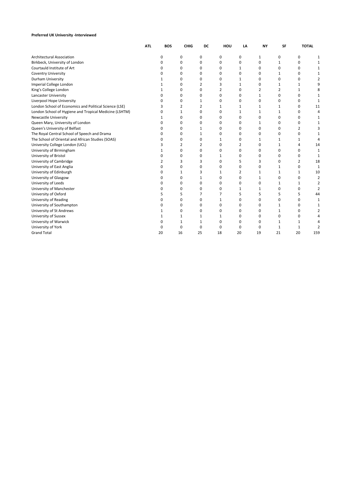### **Preferred UK University -Interviewed**

|                                                        | ATL | <b>BOS</b>   | <b>CHIG</b> | DC | HOU      | LA           | <b>NY</b> | SF           | <b>TOTAL</b>   |                |
|--------------------------------------------------------|-----|--------------|-------------|----|----------|--------------|-----------|--------------|----------------|----------------|
| <b>Architectural Association</b>                       |     | 0            | 0           | 0  | 0        | 0            | 1         | 0            | 0              | 1              |
| Birkbeck, University of London                         |     | 0            | 0           | 0  | 0        | 0            | 0         | 1            | 0              |                |
| Courtauld Institute of Art                             |     | 0            | 0           | 0  | 0        | $\mathbf{1}$ | 0         | 0            | 0              |                |
| <b>Coventry University</b>                             |     | 0            | 0           | 0  | 0        | 0            | 0         | 1            | 0              |                |
| <b>Durham University</b>                               |     | 1            | 0           | 0  | 0        | 1            | 0         | 0            | 0              |                |
| Imperial College London                                |     | 1            | $\Omega$    | 2  | 3        | 1            | 0         | 1            | $\mathbf{1}$   |                |
| King's College London                                  |     | 1            | 0           | 0  | 2        | 0            | 2         | 2            | $\mathbf{1}$   |                |
| <b>Lancaster University</b>                            |     | 0            | $\Omega$    | 0  | 0        | 0            | 1         | 0            | 0              |                |
| Liverpool Hope University                              |     | ŋ            | 0           | 1  | 0        | 0            | 0         | 0            | 0              |                |
| London School of Economics and Political Science (LSE) |     |              | 2           | 2  | 1        | 1            | 1         | 1            | 0              | 11             |
| London School of Hygiene and Tropical Medicine (LSHTM) |     | O            | 1           | 0  | 0        | 1            | 1         | $\mathbf{1}$ | 0              |                |
| <b>Newcastle University</b>                            |     | 1            | 0           | 0  | 0        | 0            | 0         | 0            | 0              |                |
| Queen Mary, University of London                       |     | $\Omega$     | $\Omega$    | 0  | 0        | 0            | 1         | 0            | 0              |                |
| Queen's University of Belfast                          |     | $\Omega$     | 0           | 1  | 0        | 0            | 0         | 0            | 2              |                |
| The Royal Central School of Speech and Drama           |     | $\Omega$     | $\Omega$    | 1  | 0        | 0            | 0         | 0            | 0              |                |
| The School of Oriental and African Studies (SOAS)      |     | $\Omega$     | 0           | 0  | 1        | 0            | 1         | 1            | 1              |                |
| University College London (UCL)                        |     | З            | 2           | 2  | 0        | 2            | 0         | 1            | 4              | 14             |
| University of Birmingham                               |     | 1            | 0           | 0  | 0        | 0            | 0         | 0            | 0              |                |
| University of Bristol                                  |     | 0            | 0           | 0  | 1        | 0            | 0         | 0            | 0              |                |
| University of Cambridge                                |     | 2            | 3           | 3  | 0        | 5            | 3         | 0            | $\overline{2}$ | 18             |
| University of East Anglia                              |     | $\Omega$     | 0           | 0  | 0        | 0            | 0         | 1            | 0              | 1              |
| University of Edinburgh                                |     | 0            | 1           | 3  | 1        | 2            | 1         | 1            | 1              | 10             |
| University of Glasgow                                  |     | $\Omega$     | 0           | 1  | 0        | 0            | 1         | 0            | 0              | $\overline{2}$ |
| University of Leeds                                    |     | <sup>0</sup> | $\Omega$    | 0  | 0        | 0            | 0         | 1            | $\mathbf{1}$   |                |
| University of Manchester                               |     | $\Omega$     | 0           | 0  | 0        | 1            | 1         | 0            | 0              |                |
| University of Oxford                                   |     | 5            | 5           | 7  | 7        | 5            | 5         | 5            | 5              | 44             |
| University of Reading                                  |     | $\Omega$     | 0           | 0  | 1        | 0            | 0         | 0            | 0              |                |
| University of Southampton                              |     | 0            | 0           | 0  | 0        | 0            | 0         | 1            | 0              |                |
| University of St Andrews                               |     | 1            | 0           | 0  | 0        | 0            | 0         | 1            | 0              |                |
| University of Sussex                                   |     | 1            | 1           | 1  | 1        | 0            | 0         | 0            | 0              |                |
| University of Warwick                                  |     | $\Omega$     | 1           | 1  | 0        | 0            | 0         | 1            | 1              |                |
| University of York                                     |     | $\Omega$     | $\Omega$    | 0  | $\Omega$ | $\Omega$     | $\Omega$  | $\mathbf{1}$ | $\mathbf{1}$   | 2              |
| <b>Grand Total</b>                                     |     | 20           | 16          | 25 | 18       | 20           | 19        | 21           | 20             | 159            |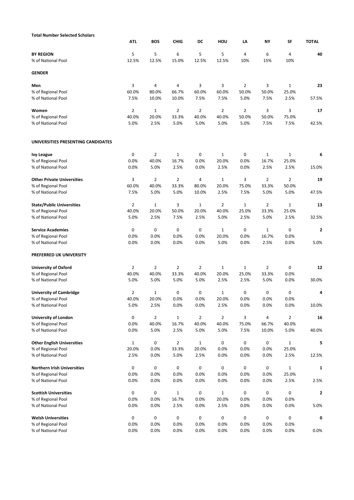| <b>Total Number Selected Scholars</b>  |                |                |                |                |                |                |                |                |                |
|----------------------------------------|----------------|----------------|----------------|----------------|----------------|----------------|----------------|----------------|----------------|
|                                        | <b>ATL</b>     | <b>BOS</b>     | <b>CHIG</b>    | DC             | HOU            | LA             | ΝY             | SF             | <b>TOTAL</b>   |
| <b>BY REGION</b><br>% of National Pool | 5<br>12.5%     | 5<br>12.5%     | 6<br>15.0%     | 5<br>12.5%     | 5<br>12.5%     | 4<br>10%       | 6<br>15%       | 4<br>10%       | 40             |
| <b>GENDER</b>                          |                |                |                |                |                |                |                |                |                |
| Men                                    | 3              | 4              | 4              | 3              | 3              | $\overline{2}$ | 3              | 1              | 23             |
| % of Regional Pool                     | 60.0%          | 80.0%          | 66.7%          | 60.0%          | 60.0%          | 50.0%          | 50.0%          | 25.0%          |                |
| % of National Pool                     | 7.5%           | 10.0%          | 10.0%          | 7.5%           | 7.5%           | 5.0%           | 7.5%           | 2.5%           | 57.5%          |
| Women                                  | $\overline{2}$ | $\mathbf{1}$   | $\overline{2}$ | $\overline{2}$ | $\overline{2}$ | $\overline{2}$ | 3              | 3              | 17             |
| % of Regional Pool                     | 40.0%          | 20.0%          | 33.3%          | 40.0%          | 40.0%          | 50.0%          | 50.0%          | 75.0%          |                |
| % of National Pool                     | 5.0%           | 2.5%           | 5.0%           | 5.0%           | 5.0%           | 5.0%           | 7.5%           | 7.5%           | 42.5%          |
| UNIVERSITIES PRESENTING CANDIDATES     |                |                |                |                |                |                |                |                |                |
| <b>Ivy League</b>                      | 0              | $\overline{2}$ | 1              | 0              | $\mathbf{1}$   | 0              | $\mathbf{1}$   | 1              | 6              |
| % of Regional Pool                     | 0.0%           | 40.0%          | 16.7%          | 0.0%           | 20.0%          | 0.0%           | 16.7%          | 25.0%          |                |
| % of National Pool                     | 0.0%           | 5.0%           | 2.5%           | 0.0%           | 2.5%           | 0.0%           | 2.5%           | 2.5%           | 15.0%          |
| <b>Other Private Universities</b>      | 3              | 2              | $\overline{2}$ | 4              | $\mathbf{1}$   | 3              | $\overline{2}$ | 2              | 19             |
| % of Regional Pool                     | 60.0%          | 40.0%          | 33.3%          | 80.0%          | 20.0%          | 75.0%          | 33.3%          | 50.0%          |                |
| % of National Pool                     | 7.5%           | 5.0%           | 5.0%           | 10.0%          | 2.5%           | 7.5%           | 5.0%           | 5.0%           | 47.5%          |
| <b>State/Public Universities</b>       | $\overline{2}$ | $\mathbf{1}$   | 3              | $\mathbf{1}$   | $\overline{2}$ | $\mathbf{1}$   | $\overline{2}$ | $\mathbf{1}$   | 13             |
| % of Regional Pool                     | 40.0%          | 20.0%          | 50.0%          | 20.0%          | 40.0%          | 25.0%          | 33.3%          | 25.0%          |                |
| % of National Pool                     | 5.0%           | 2.5%           | 7.5%           | 2.5%           | 5.0%           | 2.5%           | 5.0%           | 2.5%           | 32.5%          |
| <b>Service Academies</b>               | 0              | 0              | 0              | 0              | $\mathbf{1}$   | 0              | $\mathbf{1}$   | 0              | $\overline{2}$ |
| % of Regional Pool                     | 0.0%           | 0.0%           | 0.0%           | 0.0%           | 20.0%          | 0.0%           | 16.7%          | 0.0%           |                |
| % of National Pool                     | 0.0%           | 0.0%           | 0.0%           | 0.0%           | 5.0%           | 0.0%           | 2.5%           | 0.0%           | 5.0%           |
| PREFERRED UK UNIVERSITY                |                |                |                |                |                |                |                |                |                |
| <b>University of Oxford</b>            | $\overline{2}$ | $\overline{2}$ | $\overline{2}$ | $\overline{2}$ | $\mathbf{1}$   | $\mathbf{1}$   | $\overline{2}$ | 0              | 12             |
| % of Regional Pool                     | 40.0%          | 40.0%          | 33.3%          | 40.0%          | 20.0%          | 25.0%          | 33.3%          | 0.0%           |                |
| % of National Pool                     | 5.0%           | 5.0%           | 5.0%           | 5.0%           | 2.5%           | 2.5%           | 5.0%           | 0.0%           | 30.0%          |
| <b>University of Cambridge</b>         | $\overline{2}$ | 1              | 0              | 0              | 1              | 0              | 0              | 0              | 4              |
| % of Regional Pool                     | 40.0%          | 20.0%          | 0.0%           | 0.0%           | 20.0%          | 0.0%           | 0.0%           | 0.0%           |                |
| % of National Pool                     | 5.0%           | 2.5%           | 0.0%           | 0.0%           | 2.5%           | 0.0%           | 0.0%           | 0.0%           | 10.0%          |
| <b>University of London</b>            | 0              | 2              | $\mathbf{1}$   | $\overline{2}$ | $\overline{2}$ | 3              | 4              | $\overline{2}$ | 16             |
| % of Regional Pool                     | 0.0%           | 40.0%          | 16.7%          | 40.0%          | 40.0%          | 75.0%          | 66.7%          | 40.0%          |                |
| % of National Pool                     | 0.0%           | 5.0%           | 2.5%           | 5.0%           | 5.0%           | 7.5%           | 10.0%          | 5.0%           | 40.0%          |
| <b>Other English Universities</b>      | $\mathbf 1$    | 0              | $\overline{2}$ | $\mathbf 1$    | 0              | 0              | 0              | $\mathbf{1}$   | 5              |
| % of Regional Pool                     | 20.0%          | 0.0%           | 33.3%          | 20.0%          | 0.0%           | 0.0%           | 0.0%           | 25.0%          |                |
| % of National Pool                     | 2.5%           | 0.0%           | 5.0%           | 2.5%           | 0.0%           | 0.0%           | 0.0%           | 2.5%           | 12.5%          |
| <b>Northern Irish Universities</b>     | 0              | 0              | 0              | 0              | 0              | 0              | 0              | 1              | 1              |
| % of Regional Pool                     | 0.0%           | 0.0%           | 0.0%           | 0.0%           | 0.0%           | 0.0%           | 0.0%           | 25.0%          |                |
| % of National Pool                     | 0.0%           | 0.0%           | 0.0%           | 0.0%           | 0.0%           | 0.0%           | 0.0%           | 2.5%           | 2.5%           |
| <b>Scottish Universities</b>           | 0              | 0              | 1              | 0              | $\mathbf{1}$   | 0              | 0              | 0              | 2              |
| % of Regional Pool                     | 0.0%           | 0.0%           | 16.7%          | 0.0%           | 20.0%          | 0.0%           | 0.0%           | 0.0%           |                |
| % of National Pool                     | 0.0%           | 0.0%           | 2.5%           | 0.0%           | 2.5%           | 0.0%           | 0.0%           | 0.0%           | 5.0%           |
| <b>Welsh Universities</b>              | 0              | 0              | 0              | 0              | 0              | 0              | 0              | 0              | 0              |
| % of Regional Pool                     | 0.0%           | 0.0%           | 0.0%           | 0.0%           | 0.0%           | 0.0%           | 0.0%           | 0.0%           |                |
| % of National Pool                     | 0.0%           | 0.0%           | 0.0%           | 0.0%           | 0.0%           | 0.0%           | 0.0%           | 0.0%           | 0.0%           |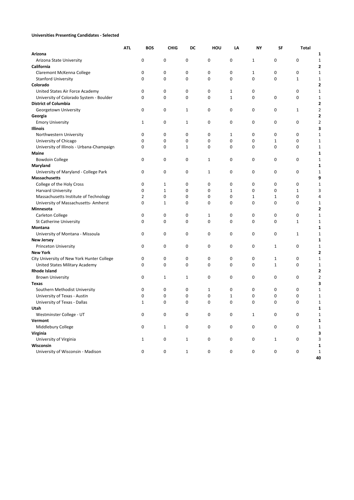## **Universities Presenting Candidates - Selected**

|                                            | <b>ATL</b> | <b>BOS</b> | <b>CHIG</b>  | DC          | HOU                 | LA           | NΥ          | SF           | <b>Total</b> |                         |
|--------------------------------------------|------------|------------|--------------|-------------|---------------------|--------------|-------------|--------------|--------------|-------------------------|
| Arizona                                    |            |            |              |             |                     |              |             |              |              | 1                       |
| Arizona State University                   |            | 0          | 0            | 0           | 0                   | 0            | 1           | 0            | 0            | 1                       |
| California                                 |            |            |              |             |                     |              |             |              |              | 2                       |
| Claremont McKenna College                  |            | 0          | 0            | 0           | 0                   | 0            | 1           | 0            | 0            | 1                       |
| <b>Stanford University</b>                 |            | 0          | 0            | 0           | 0                   | 0            | 0           | 0            | $\mathbf{1}$ | 1                       |
| Colorado                                   |            |            |              |             |                     |              |             |              |              | 2                       |
| United States Air Force Academy            |            | 0          | 0            | 0           | $\mathbf 0$         | 1            | 0           |              | 0            | 1                       |
| University of Colorado System - Boulder    |            | 0          | 0            | 0           | 0                   | 1            | 0           | 0            | 0            | 1                       |
| <b>District of Columbia</b>                |            |            |              |             |                     |              |             |              |              | 2                       |
| Georgetown University                      |            | 0          | 0            | 1           | 0                   | $\mathbf 0$  | 0           | 0            | $\mathbf{1}$ | $\overline{\mathbf{c}}$ |
| Georgia                                    |            |            |              |             |                     |              |             |              |              | 2                       |
| <b>Emory University</b>                    |            | 1          | 0            | 1           | 0                   | 0            | 0           | 0            | 0            | $\overline{2}$          |
| <b>Illinois</b>                            |            |            |              |             |                     |              |             |              |              | 3                       |
| Northwestern University                    |            | 0          | 0            | 0           | 0                   | 1            | 0           | 0            | 0            | $\mathbf 1$             |
| University of Chicago                      |            | $\Omega$   | $\mathbf 0$  | 0           | $\mathbf 0$         | 0            | 0           | $\mathbf{1}$ | 0            | $\mathbf 1$             |
| University of Illinois - Urbana-Champaign  |            | 0          | $\mathbf 0$  | 1           | 0                   | $\mathbf 0$  | 0           | $\mathbf 0$  | 0            | $\mathbf 1$             |
| Maine                                      |            |            |              |             |                     |              |             |              |              | 1                       |
| <b>Bowdoin College</b>                     |            | 0          | 0            | 0           | $\mathbf{1}$        | $\mathbf 0$  | 0           | $\mathbf 0$  | 0            | $\mathbf 1$             |
| Maryland                                   |            |            |              |             |                     |              |             |              |              | 1                       |
| University of Maryland - College Park      |            | 0          | 0            | 0           | $\mathbf{1}$        | 0            | 0           | 0            | 0            | $\mathbf 1$             |
| Massachusetts                              |            |            |              |             |                     |              |             |              |              | 9                       |
| College of the Holy Cross                  |            | 0          | 1            | 0           | 0                   | 0            | 0           | 0            | 0            | 1                       |
| <b>Harvard University</b>                  |            | 0          | $\mathbf{1}$ | 0           | 0                   | $\mathbf{1}$ | 0           | $\mathbf 0$  | $\mathbf{1}$ | 3                       |
| Massachusetts Institute of Technology      |            | 2          | 0            | 0           | 0                   | 0            | $\mathbf 1$ | $\mathbf{1}$ | 0            | 4                       |
| University of Massachusetts-Amherst        |            | 0          | 1            | 0           | 0                   | 0            | 0           | 0            | 0            | $\mathbf{1}$            |
| Minnesota                                  |            |            |              |             |                     |              |             |              |              | 2                       |
| Carleton College                           |            | 0          | 0            | 0           | 1                   | 0            | 0           | 0            | 0            | 1                       |
| St Catherine University                    |            | 0          | 0            | $\mathbf 0$ | $\mathbf 0$         | 0            | 0           | 0            | $\mathbf{1}$ | $\mathbf{1}$            |
| Montana                                    |            |            |              |             |                     |              |             |              |              | 1                       |
| University of Montana - Missoula           |            | 0          | 0            | 0           | 0                   | 0            | 0           | $\mathbf 0$  | 1            | 1                       |
| <b>New Jersey</b>                          |            |            |              |             |                     |              |             |              |              | 1                       |
| <b>Princeton University</b>                |            | 0          | 0            | 0           | 0                   | 0            | 0           | $\mathbf{1}$ | 0            | 1                       |
| <b>New York</b>                            |            |            |              |             |                     |              |             |              |              | 2                       |
| City University of New York Hunter College |            | 0          | 0            | 0           | 0                   | 0            | 0           | 1            | 0            | 1                       |
| United States Military Academy             |            | 0          | 0            | 0           | 0                   | $\mathbf 0$  | 0           | $\mathbf{1}$ | 0            | $\mathbf 1$             |
| <b>Rhode Island</b>                        |            |            |              |             |                     |              |             |              |              | 2                       |
| <b>Brown University</b>                    |            | 0          | 1            | 1           | 0                   | 0            | 0           | 0            | 0            | 2                       |
| <b>Texas</b>                               |            |            |              |             |                     |              |             |              |              | 3                       |
| Southern Methodist University              |            | 0          | 0            | 0           | 1                   | 0            | 0           | 0            | 0            | 1                       |
| University of Texas - Austin               |            | 0          | 0            | 0           | 0                   | $1\,$        | 0           | 0            | 0            | 1                       |
| University of Texas - Dallas               |            | 1          | $\mathbf 0$  | 0           | $\mathbf 0$         | 0            | 0           | $\Omega$     | $\mathbf 0$  | $\mathbf 1$             |
| Utah                                       |            |            |              |             |                     |              |             |              |              | $\mathbf{1}$            |
| Westminster College - UT                   |            | 0          | 0            | 0           | 0                   | 0            | $\mathbf 1$ | 0            | 0            | 1                       |
| Vermont                                    |            |            |              |             |                     |              |             |              |              | 1                       |
| Middlebury College                         |            | 0          | $\mathbf 1$  | 0           | $\mathsf{O}\xspace$ | 0            | 0           | 0            | 0            | $\mathbf 1$             |
| Virginia                                   |            |            |              |             |                     |              |             |              |              | 3                       |
| University of Virginia                     |            | $1\,$      | 0            | 1           | 0                   | 0            | 0           | $\mathbf{1}$ | 0            | 3                       |
| Wisconsin                                  |            |            |              |             |                     |              |             |              |              | 1                       |
| University of Wisconsin - Madison          |            | 0          | 0            | 1           | 0                   | 0            | 0           | 0            | 0            | $\mathbf 1$             |
|                                            |            |            |              |             |                     |              |             |              |              | 40                      |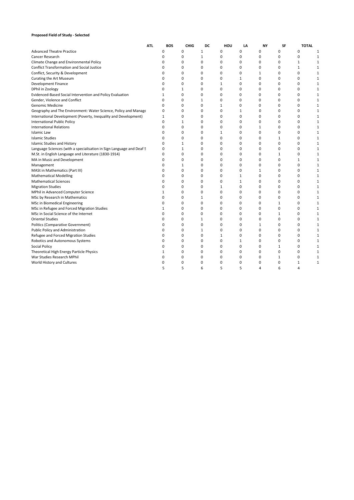### **Proposed Field of Study - Selected**

|                                                                      | ATI. | <b>BOS</b> | <b>CHIG</b>  | DC           | HOU          | LA           | <b>NY</b>    | SF           | <b>TOTAL</b> |              |
|----------------------------------------------------------------------|------|------------|--------------|--------------|--------------|--------------|--------------|--------------|--------------|--------------|
| <b>Advanced Theatre Practice</b>                                     |      | 0          | 0            | 1            | 0            | 0            | 0            | 0            | 0            | 1            |
| Cancer Research                                                      |      | 0          | 0            | 1            | 0            | 0            | 0            | 0            | 0            | 1            |
| Climate Change and Environmental Policy                              |      | 0          | 0            | 0            | 0            | 0            | 0            | 0            | $\mathbf{1}$ | 1            |
| <b>Conflict Transformation and Social Justice</b>                    |      | 0          | 0            | 0            | 0            | 0            | 0            | 0            | $\mathbf{1}$ | 1            |
| Conflict, Security & Development                                     |      | 0          | 0            | 0            | 0            | 0            | $\mathbf 1$  | 0            | 0            |              |
| <b>Curating the Art Museum</b>                                       |      | 0          | 0            | 0            | 0            | 1            | 0            | 0            | 0            | 1            |
| <b>Development Finance</b>                                           |      | 0          | $\Omega$     | $\Omega$     | $\mathbf{1}$ | $\Omega$     | 0            | 0            | 0            |              |
| DPhil in Zoology                                                     |      | 0          | $\mathbf{1}$ | 0            | 0            | 0            | 0            | 0            | 0            | 1            |
| Evidenced-Based Social Intervention and Policy Evaluation            |      | 1          | 0            | 0            | 0            | 0            | 0            | 0            | 0            | 1            |
| Gender, Violence and Conflict                                        |      | 0          | 0            | 1            | 0            | 0            | 0            | 0            | 0            | 1            |
| <b>Genomic Medicine</b>                                              |      | 0          | 0            | 0            | $\mathbf{1}$ | 0            | 0            | 0            | 0            | 1            |
| Geography and The Environment: Water Science, Policy and Manage      |      | 0          | $\Omega$     | 0            | 0            | $\mathbf{1}$ | 0            | 0            | 0            | $\mathbf{1}$ |
| International Development (Poverty, Inequality and Development)      |      | 1          | 0            | 0            | 0            | 0            | 0            | 0            | 0            | $\mathbf{1}$ |
| <b>International Public Policy</b>                                   |      | 0          | $\mathbf{1}$ | 0            | 0            | 0            | 0            | 0            | 0            | 1            |
| <b>International Relations</b>                                       |      | 0          | 0            | 0            | 0            | 0            | 1            | 0            | 0            | 1            |
| <b>Islamic Law</b>                                                   |      | 0          | 0            | 0            | $\mathbf{1}$ | 0            | 0            | 0            | 0            | 1            |
| <b>Islamic Studies</b>                                               |      | 0          | 0            | 0            | 0            | 0            | 0            | 1            | 0            | 1            |
| <b>Islamic Studies and History</b>                                   |      | 0          | $\mathbf{1}$ | 0            | 0            | 0            | 0            | 0            | 0            | 1            |
| Language Sciences (with a specialisation in Sign Language and Deaf S |      | 0          | $\mathbf{1}$ | 0            | 0            | 0            | 0            | 0            | 0            | $\mathbf{1}$ |
| M.St. in English Language and Literature (1830-1914)                 |      | 0          | 0            | 0            | 0            | 0            | 0            | 1            | 0            | 1            |
| MA in Music and Development                                          |      | 0          | 0            | 0            | 0            | 0            | 0            | 0            | $\mathbf{1}$ | 1            |
| Management                                                           |      | 0          | $\mathbf{1}$ | 0            | 0            | 0            | 0            | 0            | 0            | 1            |
| MASt in Mathematics (Part III)                                       |      | 0          | 0            | 0            | 0            | 0            | $\mathbf{1}$ | 0            | 0            | $\mathbf{1}$ |
| <b>Mathematical Modelling</b>                                        |      | $\Omega$   | 0            | 0            | 0            | $\mathbf{1}$ | 0            | 0            | 0            | 1            |
| <b>Mathematical Sciences</b>                                         |      | 0          | 0            | 0            | $\mathbf 0$  | $\mathbf{1}$ | 0            | 0            | 0            | 1            |
| <b>Migration Studies</b>                                             |      | 0          | 0            | 0            | $\mathbf 1$  | 0            | 0            | 0            | 0            |              |
| MPhil in Advanced Computer Science                                   |      | 1          | 0            | 0            | $\mathbf 0$  | 0            | 0            | 0            | 0            | 1            |
| MSc by Research in Mathematics                                       |      | 0          | 0            | $\mathbf{1}$ | $\mathbf 0$  | 0            | 0            | 0            | 0            | 1            |
| MSc in Biomedical Engineering                                        |      | 0          | 0            | 0            | $\mathbf 0$  | 0            | 0            | 1            | 0            | 1            |
| MSc in Refugee and Forced Migration Studies                          |      | 1          | 0            | 0            | $\mathbf 0$  | 0            | 0            | 0            | 0            | $\mathbf{1}$ |
| MSc in Social Science of the Internet                                |      | 0          | 0            | 0            | 0            | 0            | 0            | 1            | 0            | 1            |
| <b>Oriental Studies</b>                                              |      | 0          | 0            | $\mathbf{1}$ | 0            | 0            | 0            | 0            | 0            | $\mathbf{1}$ |
| Politics (Comparative Government)                                    |      | 0          | 0            | 0            | 0            | 0            | $\mathbf{1}$ | 0            | 0            | $\mathbf{1}$ |
| Public Policy and Administration                                     |      | 0          | 0            | 1            | 0            | 0            | 0            | 0            | 0            | 1            |
| Refugee and Forced Migration Studies                                 |      | 0          | 0            | 0            | $\mathbf{1}$ | 0            | 0            | 0            | 0            | 1            |
| Robotics and Autonomous Systems                                      |      | 0          | 0            | 0            | 0            | 1            | 0            | 0            | 0            | 1            |
| Social Policy                                                        |      | 0          | 0            | 0            | 0            | 0            | 0            | $\mathbf{1}$ | 0            | 1            |
| Theoretical High Energy Particle Physics                             |      | 1          | 0            | 0            | 0            | 0            | 0            | 0            | 0            | 1            |
| War Studies Research MPhil                                           |      | 0          | 0            | 0            | 0            | 0            | 0            | 1            | 0            | 1            |
| World History and Cultures                                           |      | 0          | 0            | 0            | 0            | 0            | 0            | ŋ            | $\mathbf{1}$ | 1            |
|                                                                      |      | 5          | 5            | 6            | 5            | 5            | 4            | 6            | 4            |              |